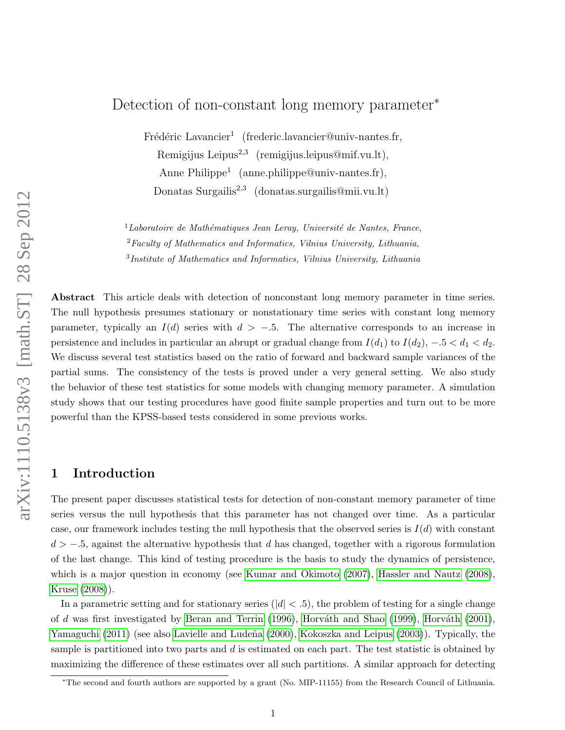# Detection of non-constant long memory parameter<sup>∗</sup>

Frédéric Lavancier<sup>1</sup> (frederic.lavancier@univ-nantes.fr, Remigijus Leipus<sup>2,3</sup> (remigijus.leipus@mif.vu.lt), Anne Philippe<sup>1</sup> (anne.philippe@univ-nantes.fr), Donatas Surgailis<sup>2,3</sup> (donatas.surgailis@mii.vu.lt)

 $1$ Laboratoire de Mathématiques Jean Leray, Université de Nantes, France,  ${}^{2}Faculty$  of Mathematics and Informatics, Vilnius University, Lithuania, <sup>3</sup>Institute of Mathematics and Informatics, Vilnius University, Lithuania

Abstract This article deals with detection of nonconstant long memory parameter in time series. The null hypothesis presumes stationary or nonstationary time series with constant long memory parameter, typically an  $I(d)$  series with  $d > -.5$ . The alternative corresponds to an increase in persistence and includes in particular an abrupt or gradual change from  $I(d_1)$  to  $I(d_2)$ ,  $-.5 < d_1 < d_2$ . We discuss several test statistics based on the ratio of forward and backward sample variances of the partial sums. The consistency of the tests is proved under a very general setting. We also study the behavior of these test statistics for some models with changing memory parameter. A simulation study shows that our testing procedures have good finite sample properties and turn out to be more powerful than the KPSS-based tests considered in some previous works.

# 1 Introduction

The present paper discusses statistical tests for detection of non-constant memory parameter of time series versus the null hypothesis that this parameter has not changed over time. As a particular case, our framework includes testing the null hypothesis that the observed series is  $I(d)$  with constant  $d > -0.5$ , against the alternative hypothesis that d has changed, together with a rigorous formulation of the last change. This kind of testing procedure is the basis to study the dynamics of persistence, which is a major question in economy (see [Kumar and Okimoto \(2007\)](#page-38-0), [Hassler and Nautz \(2008\)](#page-38-1), [Kruse \(2008\)](#page-38-2)).

In a parametric setting and for stationary series ( $|d| < .5$ ), the problem of testing for a single change of d was first investigated by [Beran and Terrin \(1996\)](#page-37-0), Horváth and Shao (1999), Horváth (2001), [Yamaguchi \(2011\)](#page-40-0) (see also Lavielle and Ludeña (2000), [Kokoszka and Leipus \(2003\)](#page-38-6)). Typically, the sample is partitioned into two parts and  $d$  is estimated on each part. The test statistic is obtained by maximizing the difference of these estimates over all such partitions. A similar approach for detecting

<sup>∗</sup>The second and fourth authors are supported by a grant (No. MIP-11155) from the Research Council of Lithuania.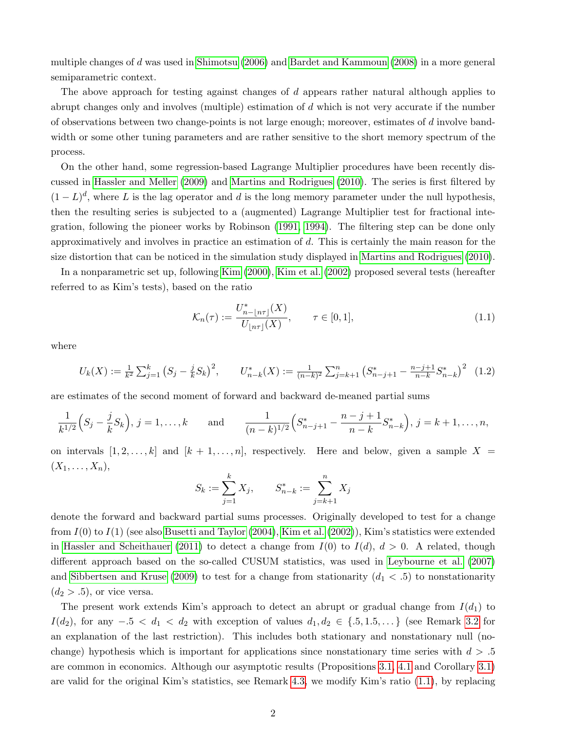multiple changes of d was used in [Shimotsu \(2006\)](#page-39-0) and [Bardet and Kammoun \(2008\)](#page-37-1) in a more general semiparametric context.

The above approach for testing against changes of d appears rather natural although applies to abrupt changes only and involves (multiple) estimation of d which is not very accurate if the number of observations between two change-points is not large enough; moreover, estimates of d involve bandwidth or some other tuning parameters and are rather sensitive to the short memory spectrum of the process.

On the other hand, some regression-based Lagrange Multiplier procedures have been recently discussed in [Hassler and Meller \(2009\)](#page-38-7) and [Martins and Rodrigues \(2010\)](#page-39-1). The series is first filtered by  $(1-L)^d$ , where L is the lag operator and d is the long memory parameter under the null hypothesis, then the resulting series is subjected to a (augmented) Lagrange Multiplier test for fractional integration, following the pioneer works by Robinson [\(1991,](#page-39-2) [1994\)](#page-39-3). The filtering step can be done only approximatively and involves in practice an estimation of d. This is certainly the main reason for the size distortion that can be noticed in the simulation study displayed in [Martins and Rodrigues \(2010\)](#page-39-1).

In a nonparametric set up, following [Kim \(2000\)](#page-38-8), [Kim et al. \(2002\)](#page-38-9) proposed several tests (hereafter referred to as Kim's tests), based on the ratio

<span id="page-1-0"></span>
$$
\mathcal{K}_n(\tau) := \frac{U_{n-\lfloor n\tau \rfloor}^*(X)}{U_{\lfloor n\tau \rfloor}(X)}, \qquad \tau \in [0,1],
$$
\n(1.1)

where

<span id="page-1-1"></span>
$$
U_k(X) := \frac{1}{k^2} \sum_{j=1}^k \left( S_j - \frac{j}{k} S_k \right)^2, \qquad U_{n-k}^*(X) := \frac{1}{(n-k)^2} \sum_{j=k+1}^n \left( S_{n-j+1}^* - \frac{n-j+1}{n-k} S_{n-k}^* \right)^2 \tag{1.2}
$$

are estimates of the second moment of forward and backward de-meaned partial sums

$$
\frac{1}{k^{1/2}}\Big(S_j - \frac{j}{k}S_k\Big), j = 1, \dots, k \quad \text{and} \quad \frac{1}{(n-k)^{1/2}}\Big(S_{n-j+1}^* - \frac{n-j+1}{n-k}S_{n-k}^*\Big), j = k+1, \dots, n,
$$

on intervals  $[1, 2, \ldots, k]$  and  $[k + 1, \ldots, n]$ , respectively. Here and below, given a sample  $X =$  $(X_1,\ldots,X_n),$ 

$$
S_k := \sum_{j=1}^k X_j, \qquad S_{n-k}^* := \sum_{j=k+1}^n X_j
$$

denote the forward and backward partial sums processes. Originally developed to test for a change from  $I(0)$  to  $I(1)$  (see also [Busetti and Taylor \(2004\)](#page-37-2), [Kim et al. \(2002\)](#page-38-9)), Kim's statistics were extended in [Hassler and Scheithauer \(2011\)](#page-38-10) to detect a change from  $I(0)$  to  $I(d)$ ,  $d > 0$ . A related, though different approach based on the so-called CUSUM statistics, was used in [Leybourne et al. \(2007\)](#page-39-4) and [Sibbertsen and Kruse \(2009\)](#page-39-5) to test for a change from stationarity  $(d_1 < .5)$  to nonstationarity  $(d_2 > .5)$ , or vice versa.

The present work extends Kim's approach to detect an abrupt or gradual change from  $I(d_1)$  to  $I(d_2)$ , for any  $-0.5 < d_1 < d_2$  with exception of values  $d_1, d_2 \in \{0.5, 1.5, \ldots\}$  (see Remark [3.2](#page-6-0) for an explanation of the last restriction). This includes both stationary and nonstationary null (nochange) hypothesis which is important for applications since nonstationary time series with  $d > 0.5$ are common in economics. Although our asymptotic results (Propositions [3.1,](#page-5-0) [4.1](#page-7-0) and Corollary [3.1\)](#page-6-1) are valid for the original Kim's statistics, see Remark [4.3,](#page-8-0) we modify Kim's ratio [\(1.1\)](#page-1-0), by replacing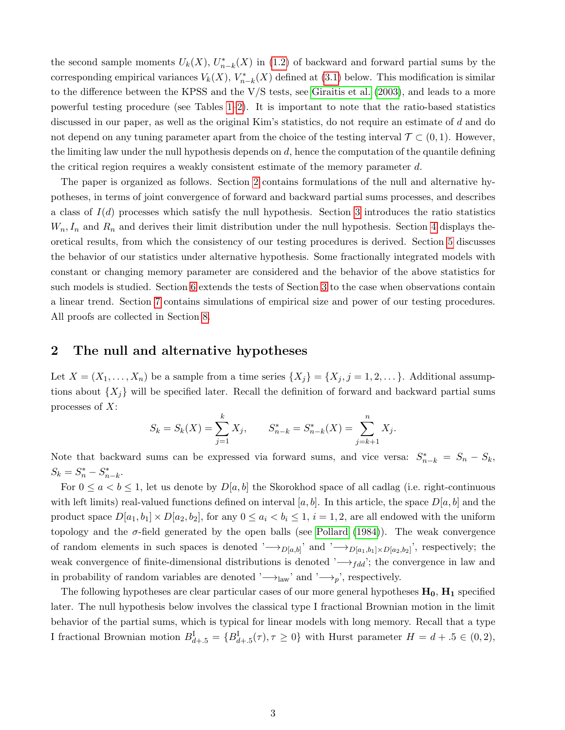the second sample moments  $U_k(X)$ ,  $U_{n-k}^*(X)$  in [\(1.2\)](#page-1-1) of backward and forward partial sums by the corresponding empirical variances  $V_k(X)$ ,  $V^*_{n-k}(X)$  defined at [\(3.1\)](#page-4-0) below. This modification is similar to the difference between the KPSS and the V/S tests, see [Giraitis et al. \(2003\)](#page-37-3), and leads to a more powerful testing procedure (see Tables [1–](#page-23-0)[2\)](#page-24-0). It is important to note that the ratio-based statistics discussed in our paper, as well as the original Kim's statistics, do not require an estimate of d and do not depend on any tuning parameter apart from the choice of the testing interval  $\mathcal{T} \subset (0,1)$ . However, the limiting law under the null hypothesis depends on  $d$ , hence the computation of the quantile defining the critical region requires a weakly consistent estimate of the memory parameter  $d$ .

The paper is organized as follows. Section [2](#page-2-0) contains formulations of the null and alternative hypotheses, in terms of joint convergence of forward and backward partial sums processes, and describes a class of  $I(d)$  processes which satisfy the null hypothesis. Section [3](#page-4-1) introduces the ratio statistics  $W_n, I_n$  and  $R_n$  and derives their limit distribution under the null hypothesis. Section [4](#page-7-1) displays theoretical results, from which the consistency of our testing procedures is derived. Section [5](#page-8-1) discusses the behavior of our statistics under alternative hypothesis. Some fractionally integrated models with constant or changing memory parameter are considered and the behavior of the above statistics for such models is studied. Section [6](#page-15-0) extends the tests of Section [3](#page-4-1) to the case when observations contain a linear trend. Section [7](#page-17-0) contains simulations of empirical size and power of our testing procedures. All proofs are collected in Section [8.](#page-31-0)

### <span id="page-2-0"></span>2 The null and alternative hypotheses

Let  $X = (X_1, \ldots, X_n)$  be a sample from a time series  $\{X_j\} = \{X_j, j = 1, 2, \ldots\}$ . Additional assumptions about  $\{X_i\}$  will be specified later. Recall the definition of forward and backward partial sums processes of  $X$ :

$$
S_k = S_k(X) = \sum_{j=1}^k X_j, \qquad S_{n-k}^* = S_{n-k}^*(X) = \sum_{j=k+1}^n X_j.
$$

Note that backward sums can be expressed via forward sums, and vice versa:  $S_{n-k}^* = S_n - S_k$ ,  $S_k = S_n^* - S_{n-k}^*$ .

For  $0 \le a < b \le 1$ , let us denote by  $D[a, b]$  the Skorokhod space of all cadlag (i.e. right-continuous with left limits) real-valued functions defined on interval [a, b]. In this article, the space  $D[a, b]$  and the product space  $D[a_1, b_1] \times D[a_2, b_2]$ , for any  $0 \le a_i < b_i \le 1$ ,  $i = 1, 2$ , are all endowed with the uniform topology and the  $\sigma$ -field generated by the open balls (see [Pollard \(1984\)](#page-39-6)). The weak convergence of random elements in such spaces is denoted ' $\rightarrow_{D[a,b]}$ ' and ' $\rightarrow_{D[a_1,b_1]\times D[a_2,b_2]}$ ', respectively; the weak convergence of finite-dimensional distributions is denoted  $\rightarrow_{fdd}$ ; the convergence in law and in probability of random variables are denoted ' $\rightarrow$ <sub>law</sub>' and ' $\rightarrow$ <sub>p</sub>', respectively.

The following hypotheses are clear particular cases of our more general hypotheses  $H_0$ ,  $H_1$  specified later. The null hypothesis below involves the classical type I fractional Brownian motion in the limit behavior of the partial sums, which is typical for linear models with long memory. Recall that a type I fractional Brownian motion  $B_{d+.5}^{\text{I}} = \{B_{d+.5}^{\text{I}}(\tau), \tau \ge 0\}$  with Hurst parameter  $H = d + .5 \in (0, 2),$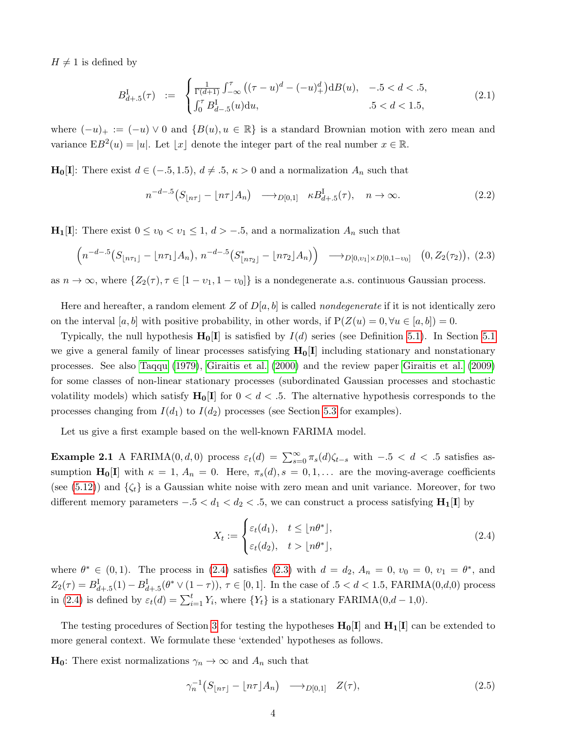$H \neq 1$  is defined by

<span id="page-3-2"></span>
$$
B_{d+.5}^{\text{I}}(\tau) := \begin{cases} \frac{1}{\Gamma(d+1)} \int_{-\infty}^{\tau} \left( (\tau - u)^d - (-u)_{+}^d \right) \mathrm{d}B(u), & -0.5 < d < 0.5, \\ \int_0^{\tau} B_{d-.5}^{\text{I}}(u) \mathrm{d}u, & 0.5 < d < 1.5, \end{cases}
$$
(2.1)

where  $(-u)_+ := (-u) \vee 0$  and  $\{B(u), u \in \mathbb{R}\}\$ is a standard Brownian motion with zero mean and variance  $EB^2(u) = |u|$ . Let  $|x|$  denote the integer part of the real number  $x \in \mathbb{R}$ .

 $\mathbf{H}_0[\mathbf{I}]$ : There exist  $d \in (-5, 1.5), d \neq 0.5, \kappa > 0$  and a normalization  $A_n$  such that

<span id="page-3-4"></span>
$$
n^{-d-5}\left(S_{\lfloor n\tau \rfloor} - \lfloor n\tau \rfloor A_n\right) \longrightarrow_{D[0,1]} \kappa B^{\mathrm{I}}_{d+.5}(\tau), \quad n \to \infty. \tag{2.2}
$$

 $\mathbf{H}_1[\mathbf{I}]$ : There exist  $0 \le v_0 < v_1 \le 1, d > -.5$ , and a normalization  $A_n$  such that

<span id="page-3-1"></span>
$$
\left(n^{-d-5}\left(S_{\lfloor n\tau_1\rfloor}-\lfloor n\tau_1\rfloor A_n\right),\,n^{-d-5}\left(S_{\lfloor n\tau_2\rfloor}^*-\lfloor n\tau_2\rfloor A_n\right)\right)\quad\longrightarrow_{D[0,v_1]\times D[0,1-v_0]} \quad (0,Z_2(\tau_2)),\,\,(2.3)
$$

as  $n \to \infty$ , where  $\{Z_2(\tau), \tau \in [1 - \nu_1, 1 - \nu_0]\}$  is a nondegenerate a.s. continuous Gaussian process.

Here and hereafter, a random element Z of  $D[a, b]$  is called *nondegenerate* if it is not identically zero on the interval [a, b] with positive probability, in other words, if  $P(Z(u) = 0, \forall u \in [a, b]) = 0$ .

Typically, the null hypothesis  $H_0[I]$  is satisfied by  $I(d)$  series (see Definition [5.1\)](#page-8-2). In Section [5.1](#page-8-3) we give a general family of linear processes satisfying  $H_0[I]$  including stationary and nonstationary processes. See also [Taqqu \(1979\)](#page-40-1), [Giraitis et al. \(2000\)](#page-38-11) and the review paper [Giraitis et al. \(2009\)](#page-38-12) for some classes of non-linear stationary processes (subordinated Gaussian processes and stochastic volatility models) which satisfy  $H_0[I]$  for  $0 < d < 0.5$ . The alternative hypothesis corresponds to the processes changing from  $I(d_1)$  to  $I(d_2)$  processes (see Section [5.3](#page-11-0) for examples).

<span id="page-3-5"></span>Let us give a first example based on the well-known FARIMA model.

**Example 2.1** A FARIMA $(0, d, 0)$  process  $\varepsilon_t(d) = \sum_{s=0}^{\infty} \pi_s(d)\zeta_{t-s}$  with  $-0.5 < d < 0.5$  satisfies assumption  $H_0[I]$  with  $\kappa = 1, A_n = 0$ . Here,  $\pi_s(d), s = 0, 1, \ldots$  are the moving-average coefficients (see [\(5.12\)](#page-11-1)) and  $\{\zeta_t\}$  is a Gaussian white noise with zero mean and unit variance. Moreover, for two different memory parameters  $-0.5 < d_1 < d_2 < 0.5$ , we can construct a process satisfying  $\mathbf{H}_1[\mathbf{I}]$  by

<span id="page-3-0"></span>
$$
X_t := \begin{cases} \varepsilon_t(d_1), & t \le \lfloor n\theta^* \rfloor, \\ \varepsilon_t(d_2), & t > \lfloor n\theta^* \rfloor, \end{cases} \tag{2.4}
$$

where  $\theta^* \in (0,1)$ . The process in [\(2.4\)](#page-3-0) satisfies [\(2.3\)](#page-3-1) with  $d = d_2$ ,  $A_n = 0$ ,  $v_0 = 0$ ,  $v_1 = \theta^*$ , and  $Z_2(\tau) = B_{d+1.5}^{\text{I}}(1) - B_{d+1.5}^{\text{I}}(\theta^* \vee (1 - \tau)), \tau \in [0, 1].$  In the case of  $.5 < d < 1.5$ , FARIMA(0,d,0) process in [\(2.4\)](#page-3-0) is defined by  $\varepsilon_t(d) = \sum_{i=1}^t Y_i$ , where  $\{Y_t\}$  is a stationary FARIMA(0,d - 1,0).

The testing procedures of Section [3](#page-4-1) for testing the hypotheses  $H_0[I]$  and  $H_1[I]$  can be extended to more general context. We formulate these 'extended' hypotheses as follows.

 $\mathbf{H}_0$ : There exist normalizations  $\gamma_n \to \infty$  and  $A_n$  such that

<span id="page-3-3"></span>
$$
\gamma_n^{-1}(S_{\lfloor n\tau \rfloor} - \lfloor n\tau \rfloor A_n) \longrightarrow_{D[0,1]} Z(\tau), \tag{2.5}
$$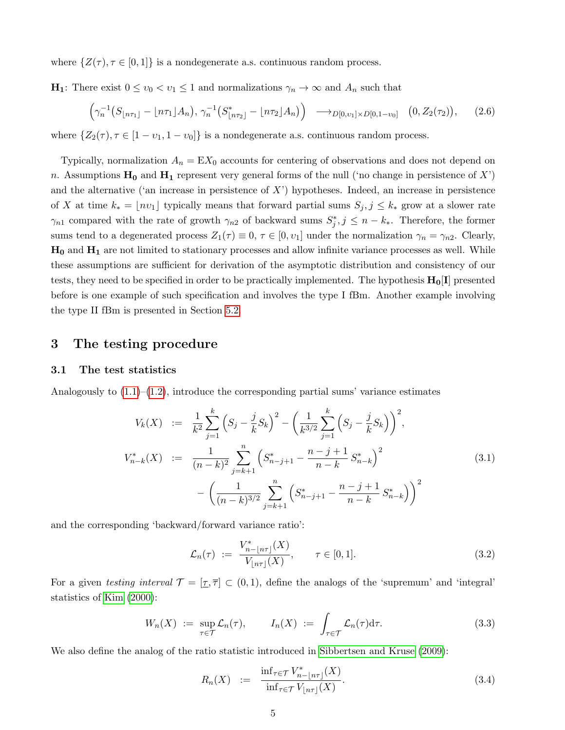where  $\{Z(\tau), \tau \in [0, 1]\}$  is a nondegenerate a.s. continuous random process.

**H**<sub>1</sub>: There exist  $0 \le v_0 < v_1 \le 1$  and normalizations  $\gamma_n \to \infty$  and  $A_n$  such that

<span id="page-4-5"></span>
$$
\left(\gamma_n^{-1}(S_{\lfloor n\tau_1 \rfloor} - \lfloor n\tau_1 \rfloor A_n), \, \gamma_n^{-1}(S_{\lfloor n\tau_2 \rfloor}^* - \lfloor n\tau_2 \rfloor A_n)\right) \longrightarrow_{D[0,\nu_1] \times D[0,1-\nu_0]} (0, Z_2(\tau_2)), \quad (2.6)
$$

where  $\{Z_2(\tau), \tau \in [1 - \nu_1, 1 - \nu_0]\}$  is a nondegenerate a.s. continuous random process.

Typically, normalization  $A_n = EX_0$  accounts for centering of observations and does not depend on n. Assumptions  $H_0$  and  $H_1$  represent very general forms of the null ('no change in persistence of X') and the alternative ('an increase in persistence of  $X'$ ) hypotheses. Indeed, an increase in persistence of X at time  $k_* = \lfloor nv_1 \rfloor$  typically means that forward partial sums  $S_j, j \leq k_*$  grow at a slower rate  $\gamma_{n1}$  compared with the rate of growth  $\gamma_{n2}$  of backward sums  $S_j^*, j \leq n - k_*$ . Therefore, the former sums tend to a degenerated process  $Z_1(\tau) \equiv 0, \tau \in [0, \nu_1]$  under the normalization  $\gamma_n = \gamma_{n2}$ . Clearly,  $H_0$  and  $H_1$  are not limited to stationary processes and allow infinite variance processes as well. While these assumptions are sufficient for derivation of the asymptotic distribution and consistency of our tests, they need to be specified in order to be practically implemented. The hypothesis  $H_0[I]$  presented before is one example of such specification and involves the type I fBm. Another example involving the type II fBm is presented in Section [5.2.](#page-9-0)

### <span id="page-4-1"></span>3 The testing procedure

#### <span id="page-4-6"></span>3.1 The test statistics

Analogously to  $(1.1)$ – $(1.2)$ , introduce the corresponding partial sums' variance estimates

<span id="page-4-0"></span>
$$
V_k(X) := \frac{1}{k^2} \sum_{j=1}^k \left( S_j - \frac{j}{k} S_k \right)^2 - \left( \frac{1}{k^{3/2}} \sum_{j=1}^k \left( S_j - \frac{j}{k} S_k \right) \right)^2,
$$
  

$$
V_{n-k}^*(X) := \frac{1}{(n-k)^2} \sum_{j=k+1}^n \left( S_{n-j+1}^* - \frac{n-j+1}{n-k} S_{n-k}^* \right)^2 - \left( \frac{1}{(n-k)^{3/2}} \sum_{j=k+1}^n \left( S_{n-j+1}^* - \frac{n-j+1}{n-k} S_{n-k}^* \right) \right)^2
$$
(3.1)

and the corresponding 'backward/forward variance ratio':

<span id="page-4-2"></span>
$$
\mathcal{L}_n(\tau) := \frac{V_{n-\lfloor n\tau \rfloor}^*(X)}{V_{\lfloor n\tau \rfloor}(X)}, \qquad \tau \in [0,1].
$$
\n(3.2)

For a given testing interval  $\mathcal{T} = [\mathcal{T}, \overline{\tau}] \subset (0, 1)$ , define the analogs of the 'supremum' and 'integral' statistics of [Kim \(2000\)](#page-38-8):

<span id="page-4-4"></span>
$$
W_n(X) := \sup_{\tau \in \mathcal{T}} \mathcal{L}_n(\tau), \qquad I_n(X) := \int_{\tau \in \mathcal{T}} \mathcal{L}_n(\tau) d\tau.
$$
 (3.3)

We also define the analog of the ratio statistic introduced in [Sibbertsen and Kruse \(2009\)](#page-39-5):

<span id="page-4-3"></span>
$$
R_n(X) := \frac{\inf_{\tau \in \mathcal{T}} V_{n-\lfloor n\tau \rfloor}^*(X)}{\inf_{\tau \in \mathcal{T}} V_{\lfloor n\tau \rfloor}(X)}.
$$
\n(3.4)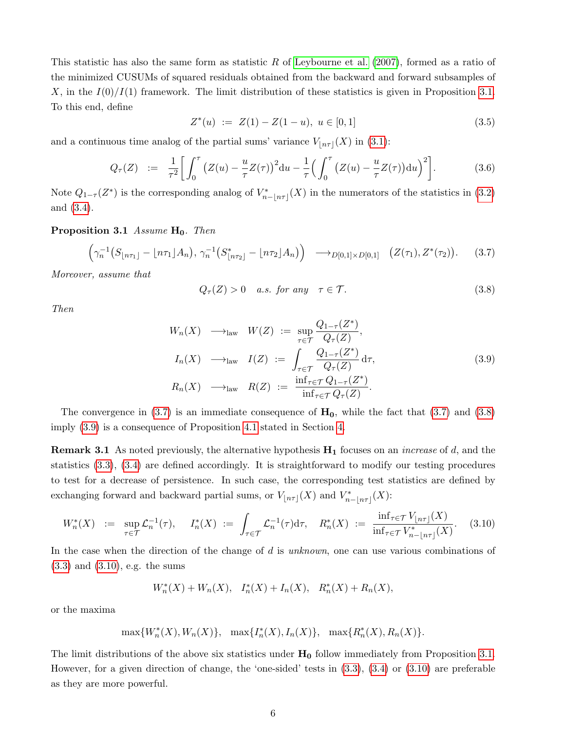This statistic has also the same form as statistic R of Leybourne et al.  $(2007)$ , formed as a ratio of the minimized CUSUMs of squared residuals obtained from the backward and forward subsamples of X, in the  $I(0)/I(1)$  framework. The limit distribution of these statistics is given in Proposition [3.1.](#page-5-0) To this end, define

<span id="page-5-6"></span>
$$
Z^*(u) := Z(1) - Z(1 - u), \ u \in [0, 1] \tag{3.5}
$$

and a continuous time analog of the partial sums' variance  $V_{\lfloor n\tau \rfloor}(X)$  in [\(3.1\)](#page-4-0):

<span id="page-5-5"></span>
$$
Q_{\tau}(Z) := \frac{1}{\tau^2} \bigg[ \int_0^{\tau} \big( Z(u) - \frac{u}{\tau} Z(\tau) \big)^2 du - \frac{1}{\tau} \big( \int_0^{\tau} \big( Z(u) - \frac{u}{\tau} Z(\tau) \big) du \big)^2 \bigg]. \tag{3.6}
$$

Note  $Q_{1-\tau}(Z^*)$  is the corresponding analog of  $V^*_{n-|n\tau|}(X)$  in the numerators of the statistics in [\(3.2\)](#page-4-2) and [\(3.4\)](#page-4-3).

<span id="page-5-0"></span>**Proposition 3.1** Assume  $H_0$ . Then

<span id="page-5-1"></span>
$$
\left(\gamma_n^{-1}(S_{\lfloor n\tau_1 \rfloor} - \lfloor n\tau_1 \rfloor A_n), \, \gamma_n^{-1}(S_{\lfloor n\tau_2 \rfloor}^* - \lfloor n\tau_2 \rfloor A_n)\right) \longrightarrow_{D[0,1] \times D[0,1]} (Z(\tau_1), Z^*(\tau_2)). \tag{3.7}
$$

Moreover, assume that

<span id="page-5-2"></span>
$$
Q_{\tau}(Z) > 0 \quad a.s. \text{ for any } \tau \in \mathcal{T}. \tag{3.8}
$$

Then

<span id="page-5-3"></span>
$$
W_n(X) \longrightarrow_{\text{law}} W(Z) := \sup_{\tau \in \mathcal{T}} \frac{Q_{1-\tau}(Z^*)}{Q_{\tau}(Z)},
$$
  
\n
$$
I_n(X) \longrightarrow_{\text{law}} I(Z) := \int_{\tau \in \mathcal{T}} \frac{Q_{1-\tau}(Z^*)}{Q_{\tau}(Z)} d\tau,
$$
  
\n
$$
R_n(X) \longrightarrow_{\text{law}} R(Z) := \frac{\inf_{\tau \in \mathcal{T}} Q_{1-\tau}(Z^*)}{\inf_{\tau \in \mathcal{T}} Q_{\tau}(Z)}.
$$
\n(3.9)

The convergence in [\(3.7\)](#page-5-1) is an immediate consequence of  $H_0$ , while the fact that (3.7) and [\(3.8\)](#page-5-2) imply [\(3.9\)](#page-5-3) is a consequence of Proposition [4.1](#page-7-0) stated in Section [4.](#page-7-1)

**Remark 3.1** As noted previously, the alternative hypothesis  $H_1$  focuses on an *increase* of d, and the statistics [\(3.3\)](#page-4-4), [\(3.4\)](#page-4-3) are defined accordingly. It is straightforward to modify our testing procedures to test for a decrease of persistence. In such case, the corresponding test statistics are defined by exchanging forward and backward partial sums, or  $V_{\lfloor n\tau \rfloor}(X)$  and  $V_{n-\lfloor n\tau \rfloor}^*(X)$ :

<span id="page-5-4"></span>
$$
W_n^*(X) := \sup_{\tau \in \mathcal{T}} \mathcal{L}_n^{-1}(\tau), \quad I_n^*(X) := \int_{\tau \in \mathcal{T}} \mathcal{L}_n^{-1}(\tau) d\tau, \quad R_n^*(X) := \frac{\inf_{\tau \in \mathcal{T}} V_{\lfloor n\tau \rfloor}(X)}{\inf_{\tau \in \mathcal{T}} V_{n-\lfloor n\tau \rfloor}^*(X)}.
$$
 (3.10)

In the case when the direction of the change of d is unknown, one can use various combinations of [\(3.3\)](#page-4-4) and [\(3.10\)](#page-5-4), e.g. the sums

$$
W_n^*(X) + W_n(X), \quad I_n^*(X) + I_n(X), \quad R_n^*(X) + R_n(X),
$$

or the maxima

$$
\max\{W_n^*(X),W_n(X)\},\ \ \max\{I_n^*(X),I_n(X)\},\ \ \max\{R_n^*(X),R_n(X)\}.
$$

The limit distributions of the above six statistics under  $H_0$  follow immediately from Proposition [3.1.](#page-5-0) However, for a given direction of change, the 'one-sided' tests in [\(3.3\)](#page-4-4), [\(3.4\)](#page-4-3) or [\(3.10\)](#page-5-4) are preferable as they are more powerful.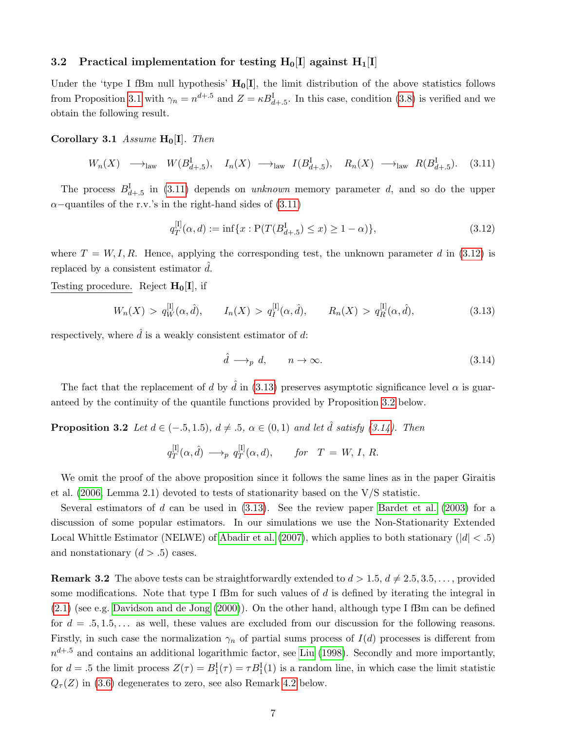#### 3.2 Practical implementation for testing  $H_0[I]$  against  $H_1[I]$

Under the 'type I fBm null hypothesis'  $H_0[I]$ , the limit distribution of the above statistics follows from Proposition [3.1](#page-5-0) with  $\gamma_n = n^{d+0.5}$  and  $Z = \kappa B_{d+0.5}^{\text{I}}$ . In this case, condition [\(3.8\)](#page-5-2) is verified and we obtain the following result.

<span id="page-6-1"></span>Corollary 3.1 Assume  $H_0[I]$ . Then

<span id="page-6-2"></span>
$$
W_n(X) \longrightarrow_{\text{law}} W(B_{d+.5}^{\text{I}}), \quad I_n(X) \longrightarrow_{\text{law}} I(B_{d+.5}^{\text{I}}), \quad R_n(X) \longrightarrow_{\text{law}} R(B_{d+.5}^{\text{I}}). \tag{3.11}
$$

The process  $B_{d+1,5}^{\text{I}}$  in [\(3.11\)](#page-6-2) depends on unknown memory parameter d, and so do the upper  $\alpha$ –quantiles of the r.v.'s in the right-hand sides of [\(3.11\)](#page-6-2)

<span id="page-6-3"></span>
$$
q_T^{[I]}(\alpha, d) := \inf\{x : P(T(B_{d+.5}^I) \le x) \ge 1 - \alpha)\},\tag{3.12}
$$

where  $T = W, I, R$ . Hence, applying the corresponding test, the unknown parameter d in [\(3.12\)](#page-6-3) is replaced by a consistent estimator  $\hat{d}$ .

Testing procedure. Reject  $H_0[I]$ , if

<span id="page-6-4"></span>
$$
W_n(X) > q_W^{[I]}(\alpha, \hat{d}), \qquad I_n(X) > q_I^{[I]}(\alpha, \hat{d}), \qquad R_n(X) > q_R^{[I]}(\alpha, \hat{d}), \tag{3.13}
$$

respectively, where  $\hat{d}$  is a weakly consistent estimator of d:

<span id="page-6-6"></span>
$$
\hat{d} \longrightarrow_p d, \qquad n \to \infty. \tag{3.14}
$$

The fact that the replacement of d by  $\hat{d}$  in [\(3.13\)](#page-6-4) preserves asymptotic significance level  $\alpha$  is guaranteed by the continuity of the quantile functions provided by Proposition [3.2](#page-6-5) below.

<span id="page-6-5"></span>**Proposition 3.2** Let  $d \in (-.5, 1.5), d \neq .5, \alpha \in (0, 1)$  and let  $\hat{d}$  satisfy [\(3.14\)](#page-6-6). Then

$$
q_T^{[I]}(\alpha, \hat{d}) \longrightarrow_p q_T^{[I]}(\alpha, d), \quad \text{for} \quad T = W, I, R.
$$

We omit the proof of the above proposition since it follows the same lines as in the paper Giraitis et al.  $(2006, \text{Lemma } 2.1)$  devoted to tests of stationarity based on the V/S statistic.

Several estimators of d can be used in  $(3.13)$ . See the review paper Bardet et al.  $(2003)$  for a discussion of some popular estimators. In our simulations we use the Non-Stationarity Extended Local Whittle Estimator (NELWE) of [Abadir et al. \(2007\)](#page-37-5), which applies to both stationary ( $|d| < .5$ ) and nonstationary  $(d > .5)$  cases.

<span id="page-6-0"></span>**Remark 3.2** The above tests can be straightforwardly extended to  $d > 1.5$ ,  $d \neq 2.5, 3.5, \ldots$ , provided some modifications. Note that type I fBm for such values of  $d$  is defined by iterating the integral in [\(2.1\)](#page-3-2) (see e.g. [Davidson and de Jong \(2000\)](#page-37-6)). On the other hand, although type I fBm can be defined for  $d = .5, 1.5, \ldots$  as well, these values are excluded from our discussion for the following reasons. Firstly, in such case the normalization  $\gamma_n$  of partial sums process of  $I(d)$  processes is different from  $n^{d+0.5}$  and contains an additional logarithmic factor, see [Liu \(1998\)](#page-39-7). Secondly and more importantly, for  $d = .5$  the limit process  $Z(\tau) = B_1^{\text{I}}(\tau) = \tau B_1^{\text{I}}(1)$  is a random line, in which case the limit statistic  $Q_{\tau}(Z)$  in [\(3.6\)](#page-5-5) degenerates to zero, see also Remark [4.2](#page-7-2) below.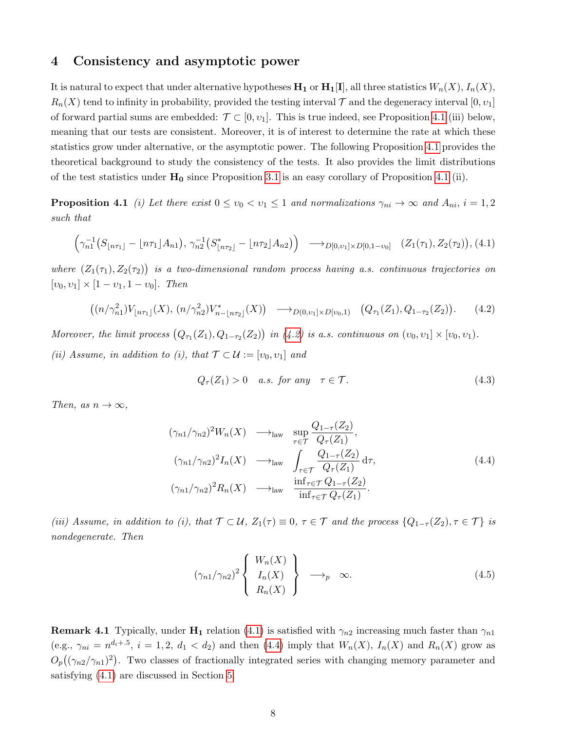### <span id="page-7-1"></span>4 Consistency and asymptotic power

It is natural to expect that under alternative hypotheses  $H_1$  or  $H_1[I]$ , all three statistics  $W_n(X)$ ,  $I_n(X)$ ,  $R_n(X)$  tend to infinity in probability, provided the testing interval  $\mathcal T$  and the degeneracy interval  $[0, v_1]$ of forward partial sums are embedded:  $\mathcal{T} \subset [0, v_1]$ . This is true indeed, see Proposition [4.1](#page-7-0) (iii) below, meaning that our tests are consistent. Moreover, it is of interest to determine the rate at which these statistics grow under alternative, or the asymptotic power. The following Proposition [4.1](#page-7-0) provides the theoretical background to study the consistency of the tests. It also provides the limit distributions of the test statistics under  $H_0$  since Proposition [3.1](#page-5-0) is an easy corollary of Proposition [4.1](#page-7-0) (ii).

<span id="page-7-0"></span>**Proposition 4.1** (i) Let there exist  $0 \le v_0 < v_1 \le 1$  and normalizations  $\gamma_{ni} \to \infty$  and  $A_{ni}$ ,  $i = 1, 2$ such that

<span id="page-7-4"></span>
$$
\left(\gamma_{n1}^{-1}(S_{\lfloor n\tau_1 \rfloor} - \lfloor n\tau_1 \rfloor A_{n1}), \gamma_{n2}^{-1}(S_{\lfloor n\tau_2 \rfloor}^* - \lfloor n\tau_2 \rfloor A_{n2})\right) \longrightarrow_{D[0,\nu_1] \times D[0,1-\nu_0]} (Z_1(\tau_1), Z_2(\tau_2)), (4.1)
$$

where  $(Z_1(\tau_1), Z_2(\tau_2))$  is a two-dimensional random process having a.s. continuous trajectories on  $[v_0, v_1] \times [1 - v_1, 1 - v_0].$  Then

<span id="page-7-3"></span>
$$
((n/\gamma_{n1}^2)V_{\lfloor n\tau_1 \rfloor}(X), (n/\gamma_{n2}^2)V_{n-\lfloor n\tau_2 \rfloor}^*(X)) \longrightarrow_{D(0,v_1] \times D[v_0,1)} (Q_{\tau_1}(Z_1), Q_{1-\tau_2}(Z_2)). \tag{4.2}
$$

Moreover, the limit process  $(Q_{\tau_1}(Z_1), Q_{1-\tau_2}(Z_2))$  in [\(4.2\)](#page-7-3) is a.s. continuous on  $(v_0, v_1] \times [v_0, v_1)$ . (ii) Assume, in addition to (i), that  $\mathcal{T} \subset \mathcal{U} := [v_0, v_1]$  and

<span id="page-7-6"></span>
$$
Q_{\tau}(Z_1) > 0 \quad a.s. \text{ for any } \tau \in \mathcal{T}. \tag{4.3}
$$

Then, as  $n \to \infty$ ,

<span id="page-7-5"></span>
$$
(\gamma_{n1}/\gamma_{n2})^2 W_n(X) \longrightarrow_{\text{law}} \sup_{\tau \in \mathcal{T}} \frac{Q_{1-\tau}(Z_2)}{Q_{\tau}(Z_1)},
$$
  

$$
(\gamma_{n1}/\gamma_{n2})^2 I_n(X) \longrightarrow_{\text{law}} \int_{\tau \in \mathcal{T}} \frac{Q_{1-\tau}(Z_2)}{Q_{\tau}(Z_1)} d\tau,
$$
  

$$
(\gamma_{n1}/\gamma_{n2})^2 R_n(X) \longrightarrow_{\text{law}} \frac{\inf_{\tau \in \mathcal{T}} Q_{1-\tau}(Z_2)}{\inf_{\tau \in \mathcal{T}} Q_{\tau}(Z_1)}.
$$
 (4.4)

(iii) Assume, in addition to (i), that  $\mathcal{T} \subset \mathcal{U}$ ,  $Z_1(\tau) \equiv 0$ ,  $\tau \in \mathcal{T}$  and the process  $\{Q_{1-\tau}(Z_2), \tau \in \mathcal{T}\}\$ is nondegenerate. Then

$$
(\gamma_{n1}/\gamma_{n2})^2 \left\{ \begin{array}{c} W_n(X) \\ I_n(X) \\ R_n(X) \end{array} \right\} \longrightarrow_p \infty.
$$
 (4.5)

<span id="page-7-2"></span>**Remark 4.1** Typically, under  $H_1$  relation [\(4.1\)](#page-7-4) is satisfied with  $\gamma_{n2}$  increasing much faster than  $\gamma_{n1}$ (e.g.,  $\gamma_{ni} = n^{d_i+1.5}$ ,  $i = 1, 2, d_1 < d_2$ ) and then [\(4.4\)](#page-7-5) imply that  $W_n(X)$ ,  $I_n(X)$  and  $R_n(X)$  grow as  $O_p((\gamma_{n2}/\gamma_{n1})^2)$ . Two classes of fractionally integrated series with changing memory parameter and satisfying [\(4.1\)](#page-7-4) are discussed in Section [5.](#page-8-1)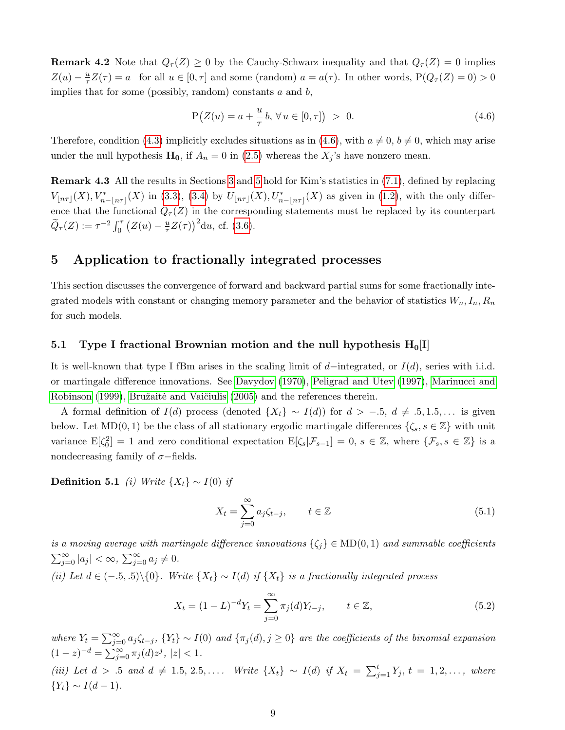**Remark 4.2** Note that  $Q_{\tau}(Z) \ge 0$  by the Cauchy-Schwarz inequality and that  $Q_{\tau}(Z) = 0$  implies  $Z(u) - \frac{u}{\tau}$  $\frac{u}{\tau}Z(\tau) = a$  for all  $u \in [0, \tau]$  and some (random)  $a = a(\tau)$ . In other words,  $P(Q_{\tau}(Z) = 0) > 0$ implies that for some (possibly, random) constants  $a$  and  $b$ ,

<span id="page-8-4"></span>
$$
P(Z(u) = a + \frac{u}{\tau}b, \forall u \in [0, \tau]) > 0.
$$
\n(4.6)

Therefore, condition [\(4.3\)](#page-7-6) implicitly excludes situations as in [\(4.6\)](#page-8-4), with  $a \neq 0, b \neq 0$ , which may arise under the null hypothesis  $\mathbf{H_0}$ , if  $A_n = 0$  in [\(2.5\)](#page-3-3) whereas the  $X_j$ 's have nonzero mean.

<span id="page-8-0"></span>Remark 4.3 All the results in Sections [3](#page-4-1) and [5](#page-8-1) hold for Kim's statistics in [\(7.1\)](#page-17-1), defined by replacing  $V_{\lfloor n\tau \rfloor}(X), V^*_{n-\lfloor n\tau \rfloor}(X)$  in [\(3.3\)](#page-4-4), [\(3.4\)](#page-4-3) by  $U_{\lfloor n\tau \rfloor}(X), U^*_{n-\lfloor n\tau \rfloor}(X)$  as given in [\(1.2\)](#page-1-1), with the only difference that the functional  $Q_{\tau}(Z)$  in the corresponding statements must be replaced by its counterpart  $\widetilde{Q}_{\tau}(Z) := \tau^{-2} \int_0^{\tau} (Z(u) - \frac{u}{\tau})$  $\frac{u}{\tau}Z(\tau)\big)^{2}du$ , cf. [\(3.6\)](#page-5-5).

# <span id="page-8-1"></span>5 Application to fractionally integrated processes

This section discusses the convergence of forward and backward partial sums for some fractionally integrated models with constant or changing memory parameter and the behavior of statistics  $W_n, I_n, R_n$ for such models.

#### <span id="page-8-3"></span>5.1 Type I fractional Brownian motion and the null hypothesis  $H_0[I]$

It is well-known that type I fBm arises in the scaling limit of d–integrated, or  $I(d)$ , series with i.i.d. or martingale difference innovations. See [Davydov \(1970\)](#page-37-7), [Peligrad and Utev \(1997\)](#page-39-8), [Marinucci and](#page-39-9) [Robinson \(1999\)](#page-39-9), Bružaitė and Vaičiulis (2005) and the references therein.

A formal definition of  $I(d)$  process (denoted  $\{X_t\} \sim I(d)$ ) for  $d > -.5, d \neq .5, 1.5, \ldots$  is given below. Let  $MD(0, 1)$  be the class of all stationary ergodic martingale differences  $\{\zeta_s, s \in \mathbb{Z}\}\$  with unit variance  $E[\zeta_0^2]=1$  and zero conditional expectation  $E[\zeta_s|\mathcal{F}_{s-1}]=0, s \in \mathbb{Z}$ , where  $\{\mathcal{F}_s, s \in \mathbb{Z}\}$  is a nondecreasing family of  $\sigma$ −fields.

<span id="page-8-2"></span>**Definition 5.1** *(i)* Write  $\{X_t\} \sim I(0)$  *if* 

<span id="page-8-5"></span>
$$
X_t = \sum_{j=0}^{\infty} a_j \zeta_{t-j}, \qquad t \in \mathbb{Z}
$$
 (5.1)

is a moving average with martingale difference innovations  $\{\zeta_i\} \in \text{MD}(0, 1)$  and summable coefficients  $\sum_{j=0}^{\infty} |a_j| < \infty$ ,  $\sum_{j=0}^{\infty} a_j \neq 0$ . (ii) Let  $d \in (-5, 5) \setminus \{0\}$ . Write  $\{X_t\} \sim I(d)$  if  $\{X_t\}$  is a fractionally integrated process

$$
X_t = (1 - L)^{-d} Y_t = \sum_{j=0}^{\infty} \pi_j(d) Y_{t-j}, \qquad t \in \mathbb{Z},
$$
\n(5.2)

where  $Y_t = \sum_{j=0}^{\infty} a_j \zeta_{t-j}$ ,  $\{Y_t\} \sim I(0)$  and  $\{\pi_j(d), j \ge 0\}$  are the coefficients of the binomial expansion  $(1-z)^{-d} = \sum_{j=0}^{\infty} \pi_j(d) z^j, |z| < 1.$ (iii) Let  $d > .5$  and  $d \neq 1.5, 2.5, \ldots$ . Write  $\{X_t\} \sim I(d)$  if  $X_t = \sum_{j=1}^t Y_j, t = 1, 2, \ldots$ , where  ${Y_t} \sim I(d-1)$ .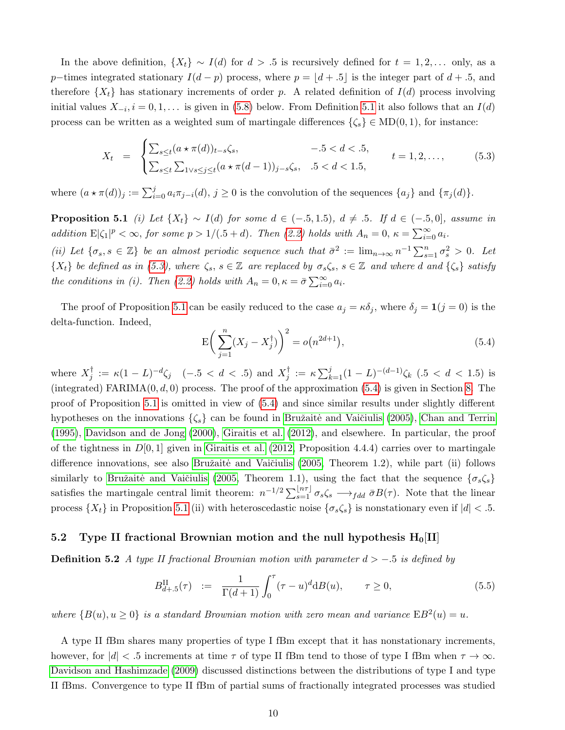In the above definition,  $\{X_t\} \sim I(d)$  for  $d > 0.5$  is recursively defined for  $t = 1, 2, \ldots$  only, as a p–times integrated stationary  $I(d-p)$  process, where  $p = |d + .5|$  is the integer part of  $d+.5$ , and therefore  $\{X_t\}$  has stationary increments of order p. A related definition of  $I(d)$  process involving initial values  $X_{-i}$ ,  $i = 0, 1, \ldots$  is given in [\(5.8\)](#page-10-0) below. From Definition [5.1](#page-8-2) it also follows that an  $I(d)$ process can be written as a weighted sum of martingale differences  $\{\zeta_s\} \in \text{MD}(0, 1)$ , for instance:

<span id="page-9-1"></span>
$$
X_t = \begin{cases} \sum_{s \le t} (a \star \pi(d))_{t-s} \zeta_s, & -0.5 < d < 0.5, \\ \sum_{s \le t} \sum_{1 \vee s \le j \le t} (a \star \pi(d-1))_{j-s} \zeta_s, & 0.5 < d < 1.5, \end{cases} \qquad t = 1, 2, \dots, \tag{5.3}
$$

<span id="page-9-2"></span>where  $(a \star \pi(d))_j := \sum_{i=0}^j a_i \pi_{j-i}(d), j \ge 0$  is the convolution of the sequences  $\{a_j\}$  and  $\{\pi_j(d)\}.$ 

**Proposition 5.1** (i) Let  $\{X_t\} \sim I(d)$  for some  $d \in (-.5, 1.5), d \neq .5$ . If  $d \in (-.5, 0]$ , assume in addition  $E|\zeta_1|^p < \infty$ , for some  $p > 1/(0.5 + d)$ . Then [\(2.2\)](#page-3-4) holds with  $A_n = 0$ ,  $\kappa = \sum_{i=0}^{\infty} a_i$ .

(ii) Let  $\{\sigma_s, s \in \mathbb{Z}\}\$ be an almost periodic sequence such that  $\bar{\sigma}^2 := \lim_{n \to \infty} n^{-1} \sum_{s=1}^n \sigma_s^2 > 0$ . Let  $\{X_t\}$  be defined as in [\(5.3\)](#page-9-1), where  $\zeta_s$ ,  $s \in \mathbb{Z}$  are replaced by  $\sigma_s \zeta_s$ ,  $s \in \mathbb{Z}$  and where d and  $\{\zeta_s\}$  satisfy the conditions in (i). Then [\(2.2\)](#page-3-4) holds with  $A_n = 0$ ,  $\kappa = \bar{\sigma} \sum_{i=0}^{\infty} a_i$ .

The proof of Proposition [5.1](#page-9-2) can be easily reduced to the case  $a_j = \kappa \delta_j$ , where  $\delta_j = \mathbf{1}(j = 0)$  is the delta-function. Indeed,

<span id="page-9-3"></span>
$$
E\left(\sum_{j=1}^{n} (X_j - X_j^{\dagger})\right)^2 = o(n^{2d+1}),\tag{5.4}
$$

where  $X_i^{\dagger}$  $j^{\dagger} := \kappa (1 - L)^{-d} \zeta_j \quad (-.5 < d < .5)$  and  $X_j^{\dagger}$  $j^{\dagger} := \kappa \sum_{k=1}^{j} (1-L)^{-(d-1)} \zeta_k \quad (.5 < d < 1.5)$  is (integrated) FARIMA $(0, d, 0)$  process. The proof of the approximation  $(5.4)$  is given in Section [8.](#page-31-0) The proof of Proposition [5.1](#page-9-2) is omitted in view of [\(5.4\)](#page-9-3) and since similar results under slightly different hypotheses on the innovations  $\{\zeta_s\}$  can be found in Bružaitė and Vaičiulis (2005), [Chan and Terrin](#page-37-9) [\(1995\)](#page-37-9), [Davidson and de Jong \(2000\)](#page-37-6), [Giraitis et al. \(2012\)](#page-37-10), and elsewhere. In particular, the proof of the tightness in  $D[0, 1]$  given in [Giraitis et al. \(2012,](#page-37-10) Proposition 4.4.4) carries over to martingale difference innovations, see also Bružaitė and Vaičiulis (2005, Theorem 1.2), while part (ii) follows similarly to Bružaitė and Vaičiulis (2005, Theorem 1.1), using the fact that the sequence  $\{\sigma_s\zeta_s\}$ satisfies the martingale central limit theorem:  $n^{-1/2} \sum_{s=1}^{\lfloor n\tau \rfloor} \sigma_s \zeta_s \longrightarrow_{fdd} \bar{\sigma} B(\tau)$ . Note that the linear process  $\{X_t\}$  in Proposition [5.1](#page-9-2) (ii) with heteroscedastic noise  $\{\sigma_s\zeta_s\}$  is nonstationary even if  $|d| < 0.5$ .

#### <span id="page-9-0"></span>5.2 Type II fractional Brownian motion and the null hypothesis  $H_0[II]$

**Definition 5.2** A type II fractional Brownian motion with parameter  $d > -0.5$  is defined by

<span id="page-9-4"></span>
$$
B_{d+.5}^{\text{II}}(\tau) := \frac{1}{\Gamma(d+1)} \int_0^{\tau} (\tau - u)^d \mathrm{d}B(u), \qquad \tau \ge 0,
$$
\n(5.5)

where  $\{B(u), u \ge 0\}$  is a standard Brownian motion with zero mean and variance  $EB^2(u) = u$ .

A type II fBm shares many properties of type I fBm except that it has nonstationary increments, however, for  $|d| < 0.5$  increments at time  $\tau$  of type II fBm tend to those of type I fBm when  $\tau \to \infty$ . [Davidson and Hashimzade \(2009\)](#page-37-11) discussed distinctions between the distributions of type I and type II fBms. Convergence to type II fBm of partial sums of fractionally integrated processes was studied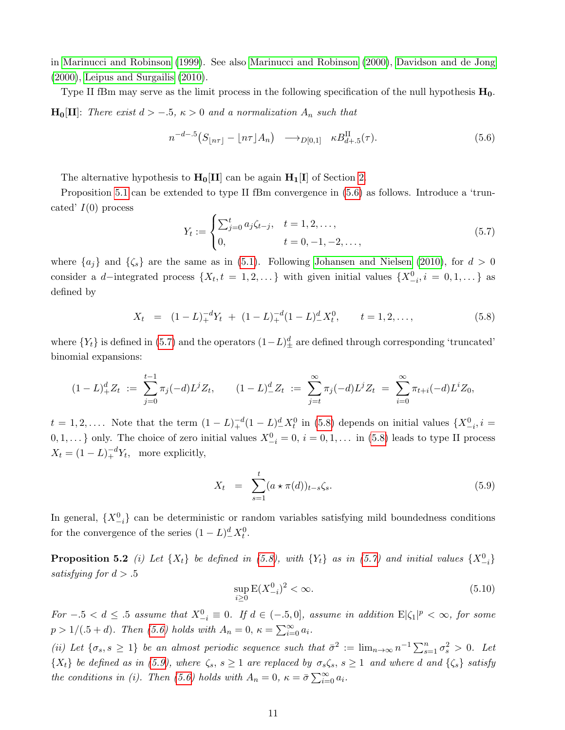in [Marinucci and Robinson \(1999\)](#page-39-9). See also [Marinucci and Robinson \(2000\)](#page-39-10), [Davidson and de Jong](#page-37-6) [\(2000\)](#page-37-6), [Leipus and Surgailis \(2010\)](#page-39-11).

Type II fBm may serve as the limit process in the following specification of the null hypothesis  $H_0$ .  $\mathbf{H}_0[\mathbf{II}]$ : There exist  $d > -.5$ ,  $\kappa > 0$  and a normalization  $A_n$  such that

<span id="page-10-1"></span>
$$
n^{-d-5}\left(S_{\lfloor n\tau \rfloor} - \lfloor n\tau \rfloor A_n\right) \longrightarrow_{D[0,1]} \kappa B_{d+5}^{\text{II}}(\tau). \tag{5.6}
$$

The alternative hypothesis to  $H_0[II]$  can be again  $H_1[I]$  of Section [2.](#page-2-0)

Proposition [5.1](#page-9-2) can be extended to type II fBm convergence in  $(5.6)$  as follows. Introduce a 'truncated'  $I(0)$  process

<span id="page-10-2"></span>
$$
Y_t := \begin{cases} \sum_{j=0}^t a_j \zeta_{t-j}, & t = 1, 2, ..., \\ 0, & t = 0, -1, -2, ..., \end{cases}
$$
\n(5.7)

where  $\{a_j\}$  and  $\{\zeta_s\}$  are the same as in [\(5.1\)](#page-8-5). Following [Johansen and Nielsen \(2010\)](#page-38-14), for  $d > 0$ consider a d–integrated process  $\{X_t, t = 1, 2, ...\}$  with given initial values  $\{X_{-i}^0, i = 0, 1, ...\}$  as defined by

<span id="page-10-0"></span>
$$
X_t = (1 - L)^{-d}_+ Y_t + (1 - L)^{-d}_+ (1 - L)^{d}_- X_t^0, \qquad t = 1, 2, \dots,
$$
\n
$$
(5.8)
$$

where  ${Y_t}$  is defined in [\(5.7\)](#page-10-2) and the operators  $(1-L)_\pm^d$  are defined through corresponding 'truncated' binomial expansions:

$$
(1-L)^d_+ Z_t \; := \; \sum_{j=0}^{t-1} \pi_j(-d) L^j Z_t, \qquad (1-L)^d_- Z_t \; := \; \sum_{j=t}^{\infty} \pi_j(-d) L^j Z_t \; = \; \sum_{i=0}^{\infty} \pi_{t+i}(-d) L^i Z_0,
$$

 $t = 1, 2, \ldots$ . Note that the term  $(1 - L)_{+}^{-d} (1 - L)_{-}^{d} X_t^0$  in [\(5.8\)](#page-10-0) depends on initial values  $\{X_{-i}^0, i =$  $0, 1, \ldots$  only. The choice of zero initial values  $X_{-i}^0 = 0, i = 0, 1, \ldots$  in [\(5.8\)](#page-10-0) leads to type II process  $X_t = (1 - L)_+^{-d} Y_t$ , more explicitly,

<span id="page-10-3"></span>
$$
X_t = \sum_{s=1}^t (a \star \pi(d))_{t-s} \zeta_s.
$$
\n
$$
(5.9)
$$

In general,  $\{X_{-i}^0\}$  can be deterministic or random variables satisfying mild boundedness conditions for the convergence of the series  $(1 - L)_{-}^{d} X_t^0$ .

<span id="page-10-4"></span>**Proposition 5.2** (i) Let  $\{X_t\}$  be defined in [\(5.8\)](#page-10-0), with  $\{Y_t\}$  as in [\(5.7\)](#page-10-2) and initial values  $\{X_{-i}^0\}$ satisfying for  $d > .5$ 

<span id="page-10-5"></span>
$$
\sup_{i\geq 0} \mathcal{E}(X_{-i}^0)^2 < \infty. \tag{5.10}
$$

For  $-0.5 < d \leq 0.5$  assume that  $X_{-i}^0 \equiv 0$ . If  $d \in (-0.5, 0]$ , assume in addition  $E|\zeta_1|^p < \infty$ , for some  $p > 1/(.5 + d)$ . Then [\(5.6\)](#page-10-1) holds with  $A_n = 0$ ,  $\kappa = \sum_{i=0}^{\infty} a_i$ .

(ii) Let  $\{\sigma_s, s \geq 1\}$  be an almost periodic sequence such that  $\bar{\sigma}^2 := \lim_{n \to \infty} n^{-1} \sum_{s=1}^n \sigma_s^2 > 0$ . Let  $\{X_t\}$  be defined as in [\(5.9\)](#page-10-3), where  $\zeta_s$ ,  $s \ge 1$  are replaced by  $\sigma_s \zeta_s$ ,  $s \ge 1$  and where d and  $\{\zeta_s\}$  satisfy the conditions in (i). Then [\(5.6\)](#page-10-1) holds with  $A_n = 0$ ,  $\kappa = \bar{\sigma} \sum_{i=0}^{\infty} a_i$ .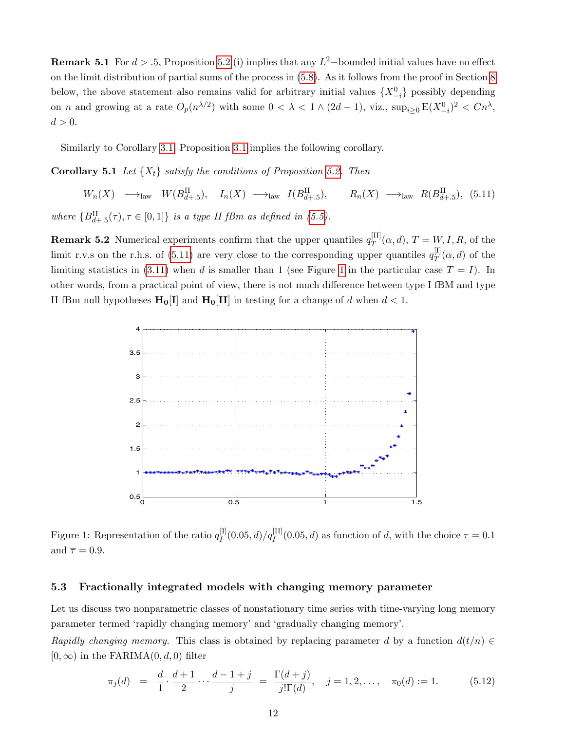**Remark 5.1** For  $d > 0.5$ , Proposition [5.2](#page-10-4) (i) implies that any  $L^2$ -bounded initial values have no effect on the limit distribution of partial sums of the process in [\(5.8\)](#page-10-0). As it follows from the proof in Section [8](#page-31-0) below, the above statement also remains valid for arbitrary initial values  $\{X_{-i}^0\}$  possibly depending on *n* and growing at a rate  $O_p(n^{\lambda/2})$  with some  $0 < \lambda < 1 \wedge (2d - 1)$ , viz.,  $\sup_{i \geq 0} E(X_{-i}^0)^2 < Cn^{\lambda}$ ,  $d > 0$ .

Similarly to Corollary [3.1,](#page-6-1) Proposition [3.1](#page-5-0) implies the following corollary.

**Corollary 5.1** Let  $\{X_t\}$  satisfy the conditions of Proposition [5.2.](#page-10-4) Then

<span id="page-11-2"></span> $W_n(X) \longrightarrow_{\text{law}} W(B_{d+.5}^{\text{II}}), \quad I_n(X) \longrightarrow_{\text{law}} I(B_{d+.5}^{\text{II}}), \quad R_n(X) \longrightarrow_{\text{law}} R(B_{d+.5}^{\text{II}}), \quad (5.11)$ where  ${B_{d+.5}^{\text{II}}(\tau), \tau \in [0,1]}$  is a type II fBm as defined in [\(5.5\)](#page-9-4).

**Remark 5.2** Numerical experiments confirm that the upper quantiles  $q_T^{\text{[II]}}$  $T^{[II]}_T(\alpha, d), T = W, I, R$ , of the limit r.v.s on the r.h.s. of [\(5.11\)](#page-11-2) are very close to the corresponding upper quantiles  $q_T^{[1]}$  $T^{[1]}(\alpha, d)$  of the limiting statistics in [\(3.11\)](#page-6-2) when d is smaller than [1](#page-11-3) (see Figure 1 in the particular case  $T = I$ ). In other words, from a practical point of view, there is not much difference between type I fBM and type II fBm null hypotheses  $\mathbf{H}_0[I]$  and  $\mathbf{H}_0[II]$  in testing for a change of d when  $d < 1$ .



<span id="page-11-3"></span>Figure 1: Representation of the ratio  $q_I^{[1]}$  $I_I^{[I]}(0.05, d)/q_I^{[II]}(0.05, d)$  as function of d, with the choice  $\underline{\tau} = 0.1$ and  $\overline{\tau} = 0.9$ .

#### <span id="page-11-0"></span>5.3 Fractionally integrated models with changing memory parameter

Let us discuss two nonparametric classes of nonstationary time series with time-varying long memory parameter termed 'rapidly changing memory' and 'gradually changing memory'.

Rapidly changing memory. This class is obtained by replacing parameter d by a function  $d(t/n) \in$  $[0, \infty)$  in the FARIMA $(0, d, 0)$  filter

<span id="page-11-1"></span>
$$
\pi_j(d) = \frac{d}{1} \cdot \frac{d+1}{2} \cdots \frac{d-1+j}{j} = \frac{\Gamma(d+j)}{j!\Gamma(d)}, \quad j = 1, 2, \ldots, \quad \pi_0(d) := 1. \tag{5.12}
$$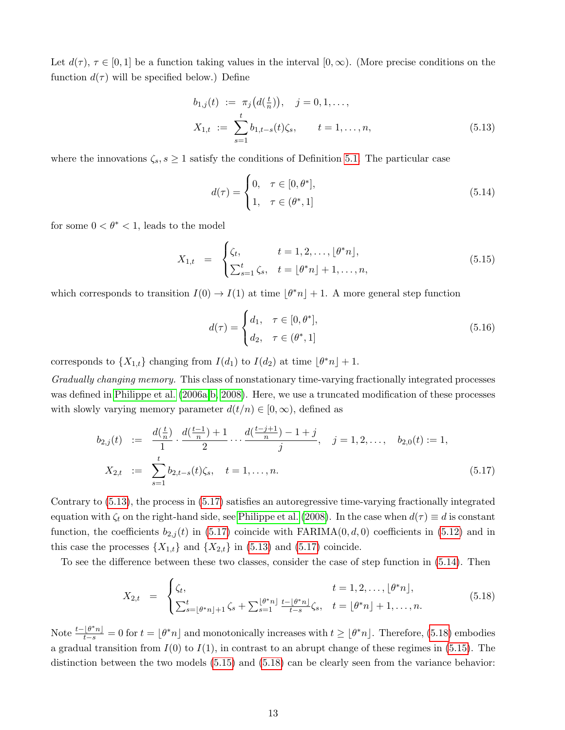Let  $d(\tau)$ ,  $\tau \in [0,1]$  be a function taking values in the interval  $[0,\infty)$ . (More precise conditions on the function  $d(\tau)$  will be specified below.) Define

<span id="page-12-0"></span>
$$
b_{1,j}(t) := \pi_j\big(d(\frac{t}{n})\big), \quad j = 0, 1, \dots,
$$
  

$$
X_{1,t} := \sum_{s=1}^t b_{1,t-s}(t)\zeta_s, \qquad t = 1, \dots, n,
$$
 (5.13)

where the innovations  $\zeta_s$ ,  $s \geq 1$  satisfy the conditions of Definition [5.1.](#page-8-2) The particular case

<span id="page-12-2"></span>
$$
d(\tau) = \begin{cases} 0, & \tau \in [0, \theta^*], \\ 1, & \tau \in (\theta^*, 1] \end{cases}
$$
\n
$$
(5.14)
$$

for some  $0 < \theta^* < 1$ , leads to the model

<span id="page-12-4"></span>
$$
X_{1,t} = \begin{cases} \zeta_t, & t = 1, 2, \dots, \lfloor \theta^* n \rfloor, \\ \sum_{s=1}^t \zeta_s, & t = \lfloor \theta^* n \rfloor + 1, \dots, n, \end{cases}
$$
(5.15)

which corresponds to transition  $I(0) \to I(1)$  at time  $|\theta^* n| + 1$ . A more general step function

<span id="page-12-5"></span>
$$
d(\tau) = \begin{cases} d_1, & \tau \in [0, \theta^*], \\ d_2, & \tau \in (\theta^*, 1] \end{cases}
$$
\n
$$
(5.16)
$$

corresponds to  $\{X_{1,t}\}\$ changing from  $I(d_1)$  to  $I(d_2)$  at time  $\lfloor \theta^* n \rfloor + 1$ .

Gradually changing memory. This class of nonstationary time-varying fractionally integrated processes was defined in [Philippe et al. \(2006a,](#page-39-12)[b,](#page-39-13) [2008\)](#page-39-14). Here, we use a truncated modification of these processes with slowly varying memory parameter  $d(t/n) \in [0, \infty)$ , defined as

<span id="page-12-1"></span>
$$
b_{2,j}(t) := \frac{d(\frac{t}{n})}{1} \cdot \frac{d(\frac{t-1}{n}) + 1}{2} \cdots \frac{d(\frac{t-j+1}{n}) - 1 + j}{j}, \quad j = 1, 2, \dots, b_{2,0}(t) := 1,
$$
  

$$
X_{2,t} := \sum_{s=1}^{t} b_{2,t-s}(t)\zeta_s, \quad t = 1, \dots, n.
$$
 (5.17)

Contrary to [\(5.13\)](#page-12-0), the process in [\(5.17\)](#page-12-1) satisfies an autoregressive time-varying fractionally integrated equation with  $\zeta_t$  on the right-hand side, see [Philippe et al. \(2008\)](#page-39-14). In the case when  $d(\tau) \equiv d$  is constant function, the coefficients  $b_{2,j}(t)$  in [\(5.17\)](#page-12-1) coincide with FARIMA $(0, d, 0)$  coefficients in [\(5.12\)](#page-11-1) and in this case the processes  $\{X_{1,t}\}\$ and  $\{X_{2,t}\}\$ in [\(5.13\)](#page-12-0) and [\(5.17\)](#page-12-1) coincide.

To see the difference between these two classes, consider the case of step function in [\(5.14\)](#page-12-2). Then

<span id="page-12-3"></span>
$$
X_{2,t} = \begin{cases} \zeta_t, & t = 1, 2, \dots, \lfloor \theta^* n \rfloor, \\ \sum_{s=\lfloor \theta^* n \rfloor+1}^t \zeta_s + \sum_{s=1}^{\lfloor \theta^* n \rfloor} \frac{t-\lfloor \theta^* n \rfloor}{t-s} \zeta_s, & t = \lfloor \theta^* n \rfloor + 1, \dots, n. \end{cases}
$$
(5.18)

Note  $\frac{t-\lfloor \theta^*n\rfloor}{t-s}=0$  for  $t=\lfloor \theta^*n\rfloor$  and monotonically increases with  $t\geq \lfloor \theta^*n\rfloor$ . Therefore, [\(5.18\)](#page-12-3) embodies a gradual transition from  $I(0)$  to  $I(1)$ , in contrast to an abrupt change of these regimes in [\(5.15\)](#page-12-4). The distinction between the two models [\(5.15\)](#page-12-4) and [\(5.18\)](#page-12-3) can be clearly seen from the variance behavior: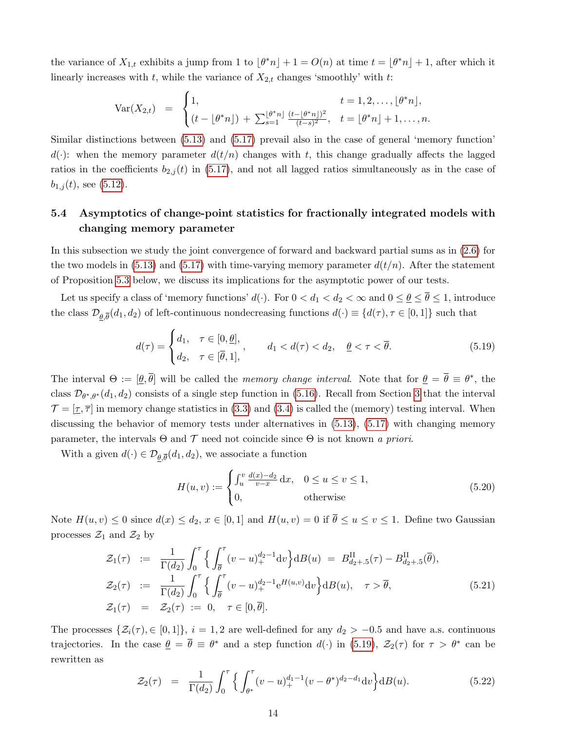the variance of  $X_{1,t}$  exhibits a jump from 1 to  $\lfloor \theta^* n \rfloor + 1 = O(n)$  at time  $t = \lfloor \theta^* n \rfloor + 1$ , after which it linearly increases with  $t$ , while the variance of  $X_{2,t}$  changes 'smoothly' with  $t$ :

$$
\text{Var}(X_{2,t}) = \begin{cases} 1, & t = 1, 2, \dots, \lfloor \theta^* n \rfloor, \\ (t - \lfloor \theta^* n \rfloor) + \sum_{s=1}^{\lfloor \theta^* n \rfloor} \frac{(t - \lfloor \theta^* n \rfloor)^2}{(t - s)^2}, & t = \lfloor \theta^* n \rfloor + 1, \dots, n. \end{cases}
$$

Similar distinctions between [\(5.13\)](#page-12-0) and [\(5.17\)](#page-12-1) prevail also in the case of general 'memory function'  $d(\cdot)$ : when the memory parameter  $d(t/n)$  changes with t, this change gradually affects the lagged ratios in the coefficients  $b_{2,j}(t)$  in [\(5.17\)](#page-12-1), and not all lagged ratios simultaneously as in the case of  $b_{1,j}(t)$ , see [\(5.12\)](#page-11-1).

# 5.4 Asymptotics of change-point statistics for fractionally integrated models with changing memory parameter

In this subsection we study the joint convergence of forward and backward partial sums as in [\(2.6\)](#page-4-5) for the two models in [\(5.13\)](#page-12-0) and [\(5.17\)](#page-12-1) with time-varying memory parameter  $d(t/n)$ . After the statement of Proposition [5.3](#page-14-0) below, we discuss its implications for the asymptotic power of our tests.

Let us specify a class of 'memory functions'  $d(\cdot)$ . For  $0 < d_1 < d_2 < \infty$  and  $0 \le \underline{\theta} \le \overline{\theta} \le 1$ , introduce the class  $\mathcal{D}_{\underline{\theta},\overline{\theta}}(d_1,d_2)$  of left-continuous nondecreasing functions  $d(\cdot) \equiv \{d(\tau), \tau \in [0,1]\}$  such that

<span id="page-13-0"></span>
$$
d(\tau) = \begin{cases} d_1, & \tau \in [0, \underline{\theta}], \\ d_2, & \tau \in [\overline{\theta}, 1], \end{cases}, \qquad d_1 < d(\tau) < d_2, \quad \underline{\theta} < \tau < \overline{\theta}. \tag{5.19}
$$

The interval  $\Theta := [\underline{\theta}, \overline{\theta}]$  will be called the *memory change interval*. Note that for  $\underline{\theta} = \overline{\theta} \equiv \theta^*$ , the class  $\mathcal{D}_{\theta^*,\theta^*}(d_1,d_2)$  consists of a single step function in [\(5.16\)](#page-12-5). Recall from Section [3](#page-4-1) that the interval  $\mathcal{T} = [\underline{\tau}, \overline{\tau}]$  in memory change statistics in [\(3.3\)](#page-4-4) and [\(3.4\)](#page-4-3) is called the (memory) testing interval. When discussing the behavior of memory tests under alternatives in  $(5.13)$ ,  $(5.17)$  with changing memory parameter, the intervals  $\Theta$  and  $\mathcal T$  need not coincide since  $\Theta$  is not known a priori.

With a given  $d(\cdot) \in \mathcal{D}_{\underline{\theta}, \overline{\theta}}(d_1, d_2)$ , we associate a function

<span id="page-13-2"></span>
$$
H(u, v) := \begin{cases} \int_u^v \frac{d(x) - d_2}{v - x} dx, & 0 \le u \le v \le 1, \\ 0, & \text{otherwise} \end{cases}
$$
(5.20)

Note  $H(u, v) \leq 0$  since  $d(x) \leq d_2, x \in [0, 1]$  and  $H(u, v) = 0$  if  $\overline{\theta} \leq u \leq v \leq 1$ . Define two Gaussian processes  $\mathcal{Z}_1$  and  $\mathcal{Z}_2$  by

<span id="page-13-1"></span>
$$
\mathcal{Z}_1(\tau) := \frac{1}{\Gamma(d_2)} \int_0^{\tau} \left\{ \int_{\overline{\theta}}^{\tau} (v - u)_+^{d_2 - 1} \mathrm{d}v \right\} \mathrm{d}B(u) = B_{d_2 + .5}^{\mathrm{II}}(\tau) - B_{d_2 + .5}^{\mathrm{II}}(\overline{\theta}),
$$
  
\n
$$
\mathcal{Z}_2(\tau) := \frac{1}{\Gamma(d_2)} \int_0^{\tau} \left\{ \int_{\overline{\theta}}^{\tau} (v - u)_+^{d_2 - 1} e^{H(u, v)} \mathrm{d}v \right\} \mathrm{d}B(u), \quad \tau > \overline{\theta},
$$
  
\n
$$
\mathcal{Z}_1(\tau) = \mathcal{Z}_2(\tau) := 0, \quad \tau \in [0, \overline{\theta}].
$$
\n(5.21)

The processes  $\{\mathcal{Z}_i(\tau), \in [0, 1]\}, i = 1, 2$  are well-defined for any  $d_2 > -0.5$  and have a.s. continuous trajectories. In the case  $\theta = \bar{\theta} \equiv \theta^*$  and a step function  $d(\cdot)$  in [\(5.19\)](#page-13-0),  $\mathcal{Z}_2(\tau)$  for  $\tau > \theta^*$  can be rewritten as

$$
\mathcal{Z}_2(\tau) = \frac{1}{\Gamma(d_2)} \int_0^{\tau} \left\{ \int_{\theta^*}^{\tau} (v - u)_+^{d_1 - 1} (v - \theta^*)^{d_2 - d_1} \mathrm{d}v \right\} \mathrm{d}B(u). \tag{5.22}
$$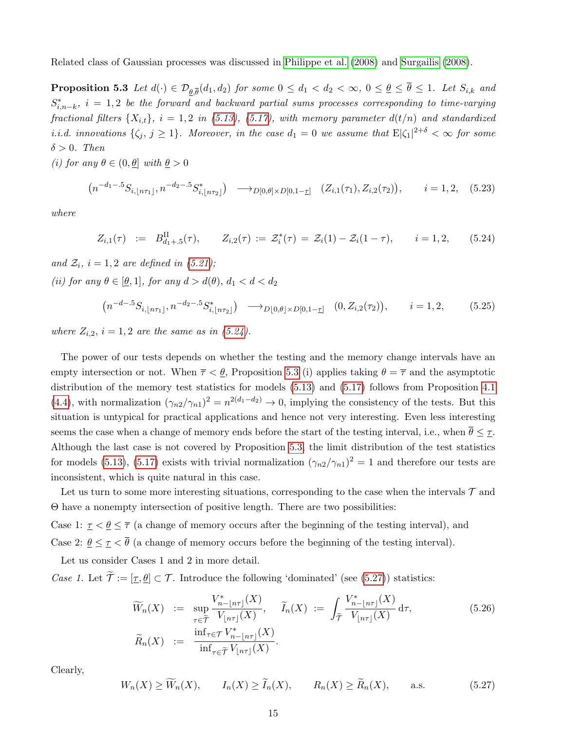<span id="page-14-0"></span>Related class of Gaussian processes was discussed in [Philippe et al. \(2008\)](#page-39-14) and [Surgailis \(2008\)](#page-40-2).

**Proposition 5.3** Let  $d(\cdot) \in \mathcal{D}_{\underline{\theta},\overline{\theta}}(d_1,d_2)$  for some  $0 \leq d_1 < d_2 < \infty$ ,  $0 \leq \underline{\theta} \leq \theta \leq 1$ . Let  $S_{i,k}$  and  $S_{i,n-k}^*$ ,  $i = 1,2$  be the forward and backward partial sums processes corresponding to time-varying fractional filters  $\{X_{i,t}\}\$ ,  $i = 1, 2$  in [\(5.13\)](#page-12-0), [\(5.17\)](#page-12-1), with memory parameter  $d(t/n)$  and standardized *i.i.d.* innovations  $\{\zeta_j, j \geq 1\}$ . Moreover, in the case  $d_1 = 0$  we assume that  $E|\zeta_1|^{2+\delta} < \infty$  for some  $\delta > 0$ . Then

(i) for any  $\theta \in (0, \theta]$  with  $\theta > 0$ 

<span id="page-14-4"></span>
$$
(n^{-d_1-5}S_{i, \lfloor n\tau_1 \rfloor}, n^{-d_2-5}S_{i, \lfloor n\tau_2 \rfloor}^*) \longrightarrow_{D[0, \theta] \times D[0, 1-\underline{\tau}]} (Z_{i, 1}(\tau_1), Z_{i, 2}(\tau_2)), \qquad i = 1, 2, (5.23)
$$

where

<span id="page-14-1"></span>
$$
Z_{i,1}(\tau) := B_{d_1+.5}^{\text{II}}(\tau), \qquad Z_{i,2}(\tau) := \mathcal{Z}_i^*(\tau) = \mathcal{Z}_i(1) - \mathcal{Z}_i(1-\tau), \qquad i = 1,2, \qquad (5.24)
$$

and  $\mathcal{Z}_i$ ,  $i = 1, 2$  are defined in [\(5.21\)](#page-13-1); (ii) for any  $\theta \in [\underline{\theta}, 1]$ , for any  $d > d(\theta)$ ,  $d_1 < d < d_2$ 

$$
(n^{-d-5}S_{i, \lfloor n\tau_1 \rfloor}, n^{-d_2-5}S_{i, \lfloor n\tau_2 \rfloor}^*) \longrightarrow_{D[0, \theta] \times D[0, 1-\underline{\tau}]} (0, Z_{i, 2}(\tau_2)), \qquad i = 1, 2, \tag{5.25}
$$

where  $Z_{i,2}$ ,  $i = 1,2$  are the same as in [\(5.24\)](#page-14-1).

The power of our tests depends on whether the testing and the memory change intervals have an empty intersection or not. When  $\bar{\tau} < \theta$ , Proposition [5.3](#page-14-0) (i) applies taking  $\theta = \bar{\tau}$  and the asymptotic distribution of the memory test statistics for models [\(5.13\)](#page-12-0) and [\(5.17\)](#page-12-1) follows from Proposition [4.1](#page-7-0) [\(4.4\)](#page-7-5), with normalization  $(\gamma_{n2}/\gamma_{n1})^2 = n^{2(d_1-d_2)} \to 0$ , implying the consistency of the tests. But this situation is untypical for practical applications and hence not very interesting. Even less interesting seems the case when a change of memory ends before the start of the testing interval, i.e., when  $\bar{\theta} \leq \tau$ . Although the last case is not covered by Proposition [5.3,](#page-14-0) the limit distribution of the test statistics for models [\(5.13\)](#page-12-0), [\(5.17\)](#page-12-1) exists with trivial normalization  $(\gamma_{n2}/\gamma_{n1})^2 = 1$  and therefore our tests are inconsistent, which is quite natural in this case.

Let us turn to some more interesting situations, corresponding to the case when the intervals  $\mathcal{T}$  and Θ have a nonempty intersection of positive length. There are two possibilities:

Case 1:  $\tau < \theta \leq \overline{\tau}$  (a change of memory occurs after the beginning of the testing interval), and Case 2:  $\theta \leq \tau \leq \bar{\theta}$  (a change of memory occurs before the beginning of the testing interval).

Let us consider Cases 1 and 2 in more detail.

*Case 1.* Let  $\widetilde{\mathcal{T}} := [\underline{\tau}, \underline{\theta}] \subset \mathcal{T}$ . Introduce the following 'dominated' (see [\(5.27\)](#page-14-2)) statistics:

<span id="page-14-3"></span>
$$
\widetilde{W}_n(X) := \sup_{\tau \in \widetilde{\mathcal{T}}} \frac{V_{n-\lfloor n\tau \rfloor}^*(X)}{V_{\lfloor n\tau \rfloor}(X)}, \quad \widetilde{I}_n(X) := \int_{\widetilde{\mathcal{T}}} \frac{V_{n-\lfloor n\tau \rfloor}^*(X)}{V_{\lfloor n\tau \rfloor}(X)} d\tau,
$$
\n
$$
\widetilde{R}_n(X) := \frac{\inf_{\tau \in \widetilde{\mathcal{T}}} V_{n-\lfloor n\tau \rfloor}^*(X)}{\inf_{\tau \in \widetilde{\mathcal{T}}} V_{\lfloor n\tau \rfloor}(X)}.
$$
\n(5.26)

Clearly,

<span id="page-14-2"></span>
$$
W_n(X) \ge \widetilde{W}_n(X), \qquad I_n(X) \ge \widetilde{I}_n(X), \qquad R_n(X) \ge \widetilde{R}_n(X), \qquad \text{a.s.} \tag{5.27}
$$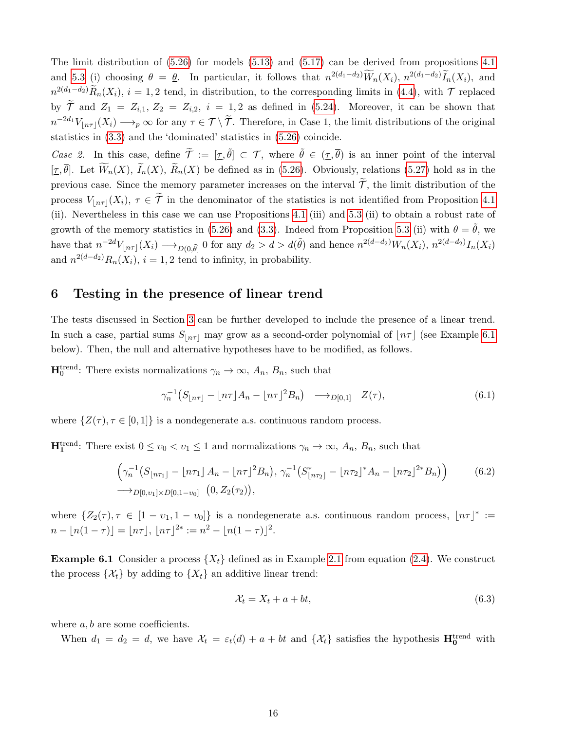The limit distribution of  $(5.26)$  for models  $(5.13)$  and  $(5.17)$  can be derived from propositions [4.1](#page-7-0) and [5.3](#page-14-0) (i) choosing  $\theta = \underline{\theta}$ . In particular, it follows that  $n^{2(d_1-d_2)}\widetilde{W}_n(X_i)$ ,  $n^{2(d_1-d_2)}\widetilde{I}_n(X_i)$ , and  $n^{2(d_1-d_2)}\widetilde{R}_n(X_i), i=1,2$  tend, in distribution, to the corresponding limits in [\(4.4\)](#page-7-5), with  $\mathcal T$  replaced by  $\tilde{\mathcal{T}}$  and  $Z_1 = Z_{i,1}$ ,  $Z_2 = Z_{i,2}$ ,  $i = 1,2$  as defined in [\(5.24\)](#page-14-1). Moreover, it can be shown that  $n^{-2d_1}V_{\lfloor n\tau \rfloor}(X_i) \longrightarrow_p \infty$  for any  $\tau \in \mathcal{T} \setminus \widetilde{\mathcal{T}}$ . Therefore, in Case 1, the limit distributions of the original statistics in [\(3.3\)](#page-4-4) and the 'dominated' statistics in [\(5.26\)](#page-14-3) coincide.

Case 2. In this case, define  $\tilde{\mathcal{T}} := [\underline{\tau}, \tilde{\theta}] \subset \mathcal{T}$ , where  $\tilde{\theta} \in (\underline{\tau}, \overline{\theta})$  is an inner point of the interval  $[\tau, \overline{\theta}]$ . Let  $\widetilde{W}_n(X)$ ,  $\widetilde{I}_n(X)$ ,  $\widetilde{R}_n(X)$  be defined as in [\(5.26\)](#page-14-3). Obviously, relations [\(5.27\)](#page-14-2) hold as in the previous case. Since the memory parameter increases on the interval  $\widetilde{\mathcal{T}}$ , the limit distribution of the process  $V_{\lfloor n\tau \rfloor}(X_i)$ ,  $\tau \in \mathcal{T}$  in the denominator of the statistics is not identified from Proposition [4.1](#page-7-0) (ii). Nevertheless in this case we can use Propositions [4.1](#page-7-0) (iii) and [5.3](#page-14-0) (ii) to obtain a robust rate of growth of the memory statistics in [\(5.26\)](#page-14-3) and [\(3.3\)](#page-4-4). Indeed from Proposition [5.3](#page-14-0) (ii) with  $\theta = \theta$ , we have that  $n^{-2d}V_{\lfloor n\tau \rfloor}(X_i) \longrightarrow_{D(0,\tilde{\theta})} 0$  for any  $d_2 > d > d(\tilde{\theta})$  and hence  $n^{2(d-d_2)}W_n(X_i)$ ,  $n^{2(d-d_2)}I_n(X_i)$ and  $n^{2(d-d_2)}R_n(X_i)$ ,  $i = 1, 2$  tend to infinity, in probability.

# <span id="page-15-0"></span>6 Testing in the presence of linear trend

The tests discussed in Section [3](#page-4-1) can be further developed to include the presence of a linear trend. In such a case, partial sums  $S_{n\tau}$  may grow as a second-order polynomial of  $\lfloor n\tau \rfloor$  (see Example [6.1](#page-15-1)) below). Then, the null and alternative hypotheses have to be modified, as follows.

 $\mathbf{H}_0^{\text{trend}}$ : There exists normalizations  $\gamma_n \to \infty$ ,  $A_n$ ,  $B_n$ , such that

$$
\gamma_n^{-1}\big(S_{\lfloor n\tau \rfloor} - \lfloor n\tau \rfloor A_n - \lfloor n\tau \rfloor^2 B_n\big) \longrightarrow_{D[0,1]} Z(\tau),\tag{6.1}
$$

where  $\{Z(\tau), \tau \in [0,1]\}$  is a nondegenerate a.s. continuous random process.

H<sup>trend</sup>: There exist  $0 \le v_0 < v_1 \le 1$  and normalizations  $\gamma_n \to \infty$ ,  $A_n$ ,  $B_n$ , such that

$$
\left(\gamma_n^{-1}(S_{\lfloor n\tau_1 \rfloor} - \lfloor n\tau_1 \rfloor A_n - \lfloor n\tau \rfloor^2 B_n), \gamma_n^{-1}(S_{\lfloor n\tau_2 \rfloor}^* - \lfloor n\tau_2 \rfloor^* A_n - \lfloor n\tau_2 \rfloor^{2*} B_n)\right) \tag{6.2}
$$
  
\n
$$
\longrightarrow_{D[0,v_1] \times D[0,1-v_0]} (0, Z_2(\tau_2)),
$$

where  $\{Z_2(\tau), \tau \in [1 - \nu_1, 1 - \nu_0]\}$  is a nondegenerate a.s. continuous random process,  $\lfloor n\tau \rfloor^* :=$  $n - |n(1 - \tau)| = |n\tau|, |n\tau|^{2*} := n^2 - |n(1 - \tau)|^2.$ 

<span id="page-15-1"></span>**Example 6.1** Consider a process  $\{X_t\}$  defined as in Example [2.1](#page-3-5) from equation [\(2.4\)](#page-3-0). We construct the process  $\{\mathcal{X}_t\}$  by adding to  $\{X_t\}$  an additive linear trend:

<span id="page-15-2"></span>
$$
\mathcal{X}_t = X_t + a + bt,\tag{6.3}
$$

where  $a, b$  are some coefficients.

When  $d_1 = d_2 = d$ , we have  $\mathcal{X}_t = \varepsilon_t(d) + a + bt$  and  $\{\mathcal{X}_t\}$  satisfies the hypothesis  $\mathbf{H_0^{trend}}$  with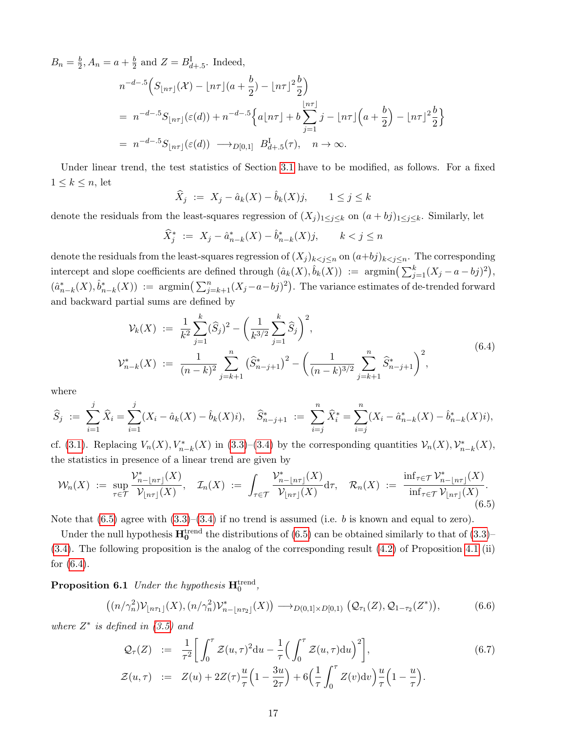$B_n = \frac{b}{2}$  $\frac{b}{2}, A_n = a + \frac{b}{2}$  $\frac{b}{2}$  and  $Z = B_{d+1,5}^{\text{I}}$ . Indeed,

$$
n^{-d-5} \Big( S_{\lfloor n\tau \rfloor}(\mathcal{X}) - \lfloor n\tau \rfloor (a + \frac{b}{2}) - \lfloor n\tau \rfloor^2 \frac{b}{2} \Big)
$$
  
=  $n^{-d-5} S_{\lfloor n\tau \rfloor}(\varepsilon(d)) + n^{-d-5} \Big\{ a \lfloor n\tau \rfloor + b \sum_{j=1}^{\lfloor n\tau \rfloor} j - \lfloor n\tau \rfloor \Big( a + \frac{b}{2} \Big) - \lfloor n\tau \rfloor^2 \frac{b}{2} \Big\}$   
=  $n^{-d-5} S_{\lfloor n\tau \rfloor}(\varepsilon(d)) \longrightarrow_{D[0,1]} B_{d+5}^{\text{I}}(\tau), \quad n \to \infty.$ 

Under linear trend, the test statistics of Section [3.1](#page-4-6) have to be modified, as follows. For a fixed  $1 \leq k \leq n$ , let

$$
\widehat{X}_j := X_j - \widehat{a}_k(X) - \widehat{b}_k(X)j, \qquad 1 \le j \le k
$$

denote the residuals from the least-squares regression of  $(X_j)_{1\leq j\leq k}$  on  $(a+bj)_{1\leq j\leq k}$ . Similarly, let

$$
\widehat{X}_j^* := X_j - \widehat{a}_{n-k}^*(X) - \widehat{b}_{n-k}^*(X)j, \qquad k < j \le n
$$

denote the residuals from the least-squares regression of  $(X_j)_{k \leq j \leq n}$  on  $(a+bj)_{k \leq j \leq n}$ . The corresponding intercept and slope coefficients are defined through  $(\hat{a}_k(X), \hat{b}_k(X)) := \text{argmin}\left(\sum_{j=1}^k (X_j - a - bj)^2\right),$  $(\hat{a}_{n-k}^*(X), \hat{b}_{n-k}^*(X)) := \text{argmin}\left(\sum_{j=k+1}^n (X_j - a - b_j)^2\right).$  The variance estimates of de-trended forward and backward partial sums are defined by

$$
\mathcal{V}_k(X) := \frac{1}{k^2} \sum_{j=1}^k (\widehat{S}_j)^2 - \left(\frac{1}{k^{3/2}} \sum_{j=1}^k \widehat{S}_j\right)^2,
$$
  

$$
\mathcal{V}_{n-k}^*(X) := \frac{1}{(n-k)^2} \sum_{j=k+1}^n (\widehat{S}_{n-j+1}^*)^2 - \left(\frac{1}{(n-k)^{3/2}} \sum_{j=k+1}^n \widehat{S}_{n-j+1}^*\right)^2,
$$
 (6.4)

<span id="page-16-1"></span>where

$$
\widehat{S}_j := \sum_{i=1}^j \widehat{X}_i = \sum_{i=1}^j (X_i - \widehat{a}_k(X) - \widehat{b}_k(X)i), \quad \widehat{S}_{n-j+1}^* := \sum_{i=j}^n \widehat{X}_i^* = \sum_{i=j}^n (X_i - \widehat{a}_{n-k}^*(X) - \widehat{b}_{n-k}^*(X)i),
$$

cf. [\(3.1\)](#page-4-0). Replacing  $V_n(X), V_{n-k}^*(X)$  in [\(3.3\)](#page-4-4)–[\(3.4\)](#page-4-3) by the corresponding quantities  $V_n(X), V_{n-k}^*(X)$ , the statistics in presence of a linear trend are given by

<span id="page-16-0"></span>
$$
\mathcal{W}_n(X) := \sup_{\tau \in \mathcal{T}} \frac{\mathcal{V}_{n-\lfloor n\tau \rfloor}^*(X)}{\mathcal{V}_{\lfloor n\tau \rfloor}(X)}, \quad \mathcal{I}_n(X) := \int_{\tau \in \mathcal{T}} \frac{\mathcal{V}_{n-\lfloor n\tau \rfloor}^*(X)}{\mathcal{V}_{\lfloor n\tau \rfloor}(X)} d\tau, \quad \mathcal{R}_n(X) := \frac{\inf_{\tau \in \mathcal{T}} \mathcal{V}_{n-\lfloor n\tau \rfloor}^*(X)}{\inf_{\tau \in \mathcal{T}} \mathcal{V}_{\lfloor n\tau \rfloor}(X)}.
$$
\n
$$
(6.5)
$$

Note that  $(6.5)$  agree with  $(3.3)$ – $(3.4)$  if no trend is assumed (i.e. b is known and equal to zero).

Under the null hypothesis  $\mathbf{H}^{\text{trend}}_{0}$  the distributions of [\(6.5\)](#page-16-0) can be obtained similarly to that of [\(3.3\)](#page-4-4)– [\(3.4\)](#page-4-3). The following proposition is the analog of the corresponding result [\(4.2\)](#page-7-3) of Proposition [4.1](#page-7-0) (ii) for [\(6.4\)](#page-16-1).

<span id="page-16-3"></span>**Proposition 6.1** Under the hypothesis  $\mathbf{H}_{0}^{\text{trend}}$ ,

$$
((n/\gamma_n^2) \mathcal{V}_{\lfloor n\tau_1 \rfloor}(X), (n/\gamma_n^2) \mathcal{V}_{n-\lfloor n\tau_2 \rfloor}^*(X)) \longrightarrow_{D(0,1] \times D[0,1)} (\mathcal{Q}_{\tau_1}(Z), \mathcal{Q}_{1-\tau_2}(Z^*)),
$$
 (6.6)

where  $Z^*$  is defined in  $(3.5)$  and

<span id="page-16-2"></span>
$$
\mathcal{Q}_{\tau}(Z) := \frac{1}{\tau^2} \bigg[ \int_0^{\tau} \mathcal{Z}(u, \tau)^2 du - \frac{1}{\tau} \Big( \int_0^{\tau} \mathcal{Z}(u, \tau) du \Big)^2 \bigg],
$$
\n
$$
\mathcal{Z}(u, \tau) := Z(u) + 2Z(\tau) \frac{u}{\tau} \Big( 1 - \frac{3u}{2\tau} \Big) + 6 \Big( \frac{1}{\tau} \int_0^{\tau} Z(v) dv \Big) \frac{u}{\tau} \Big( 1 - \frac{u}{\tau} \Big).
$$
\n(6.7)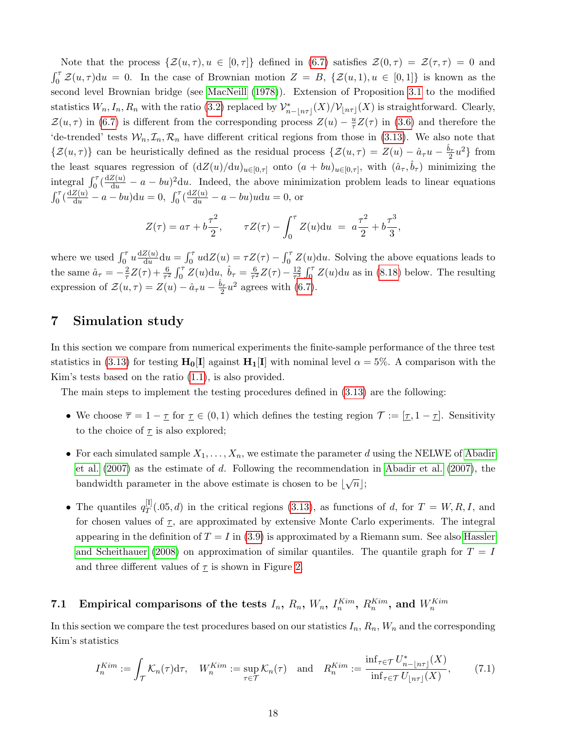Note that the process  $\{\mathcal{Z}(u,\tau), u \in [0,\tau]\}\$  defined in [\(6.7\)](#page-16-2) satisfies  $\mathcal{Z}(0,\tau) = \mathcal{Z}(\tau,\tau) = 0$  and  $\int_0^{\tau} Z(u,\tau) du = 0$ . In the case of Brownian motion  $Z = B$ ,  $\{Z(u,1), u \in [0,1]\}$  is known as the second level Brownian bridge (see [MacNeill \(1978\)](#page-39-15)). Extension of Proposition [3.1](#page-5-0) to the modified statistics  $W_n, I_n, R_n$  with the ratio [\(3.2\)](#page-4-2) replaced by  $\mathcal{V}_{n-[n\tau]}^*(X)/\mathcal{V}_{\lfloor n\tau \rfloor}(X)$  is straightforward. Clearly,  $\mathcal{Z}(u, \tau)$  in [\(6.7\)](#page-16-2) is different from the corresponding process  $Z(u) - \frac{u}{\tau}$  $\frac{u}{\tau}Z(\tau)$  in [\(3.6\)](#page-5-5) and therefore the 'de-trended' tests  $W_n, \mathcal{I}_n, \mathcal{R}_n$  have different critical regions from those in [\(3.13\)](#page-6-4). We also note that  $\{\mathcal{Z}(u,\tau)\}\)$  can be heuristically defined as the residual process  $\{\mathcal{Z}(u,\tau) = Z(u) - \hat{a}_{\tau}u - \frac{\hat{b}_{\tau}}{2}u^2\}$  from the least squares regression of  $(dZ(u)/du)_{u\in[0,\tau]}$  onto  $(a+bu)_{u\in[0,\tau]}$ , with  $(\hat{a}_{\tau},\hat{b}_{\tau})$  minimizing the integral  $\int_0^\tau \left(\frac{dZ(u)}{du} - a - bu\right)^2 du$ . Indeed, the above minimization problem leads to linear equations  $\int_0^\tau \left(\frac{dZ(u)}{du} - a - bu\right) du = 0, \int_0^\tau \left(\frac{dZ(u)}{du} - a - bu\right) u du = 0$ , or

$$
Z(\tau) = a\tau + b\frac{\tau^2}{2}, \qquad \tau Z(\tau) - \int_0^{\tau} Z(u) \mathrm{d}u = a\frac{\tau^2}{2} + b\frac{\tau^3}{3},
$$

where we used  $\int_0^{\tau} u \frac{dZ(u)}{du}$  $\frac{Z(u)}{du}du = \int_0^{\tau} u dZ(u) = \tau Z(\tau) - \int_0^{\tau} Z(u) du$ . Solving the above equations leads to the same  $\hat{a}_{\tau} = -\frac{2}{\tau}$  $\frac{2}{\tau}Z(\tau) + \frac{6}{\tau^2} \int_0^{\tau} Z(u) \mathrm{d}u, \ \hat{b}_{\tau} = \frac{6}{\tau^2}$  $\frac{6}{\tau^2}Z(\tau)-\frac{12}{\tau^3}$  $\frac{12}{\tau^3} \int_0^{\tau} Z(u) \mathrm{d}u$  as in [\(8.18\)](#page-36-0) below. The resulting expression of  $\mathcal{Z}(u,\tau) = Z(u) - \hat{a}_{\tau}u - \frac{\hat{b}_{\tau}}{2}u^2$  agrees with [\(6.7\)](#page-16-2).

# <span id="page-17-0"></span>7 Simulation study

In this section we compare from numerical experiments the finite-sample performance of the three test statistics in [\(3.13\)](#page-6-4) for testing  $H_0[I]$  against  $H_1[I]$  with nominal level  $\alpha = 5\%$ . A comparison with the Kim's tests based on the ratio [\(1.1\)](#page-1-0), is also provided.

The main steps to implement the testing procedures defined in  $(3.13)$  are the following:

- We choose  $\overline{\tau} = 1 \underline{\tau}$  for  $\underline{\tau} \in (0,1)$  which defines the testing region  $\mathcal{T} := [\underline{\tau}, 1 \underline{\tau}]$ . Sensitivity to the choice of  $\underline{\tau}$  is also explored;
- For each simulated sample  $X_1, \ldots, X_n$ , we estimate the parameter d using the NELWE of [Abadir](#page-37-5) et al.  $(2007)$  as the estimate of d. Following the recommendation in Abadir et al.  $(2007)$ , the bandwidth parameter in the above estimate is chosen to be  $|\sqrt{n}|$ ;
- The quantiles  $q_T^{\text{[I]}}$  $T^{[1]}(0,0, d)$  in the critical regions [\(3.13\)](#page-6-4), as functions of d, for  $T = W, R, I$ , and for chosen values of  $\tau$ , are approximated by extensive Monte Carlo experiments. The integral appearing in the definition of  $T = I$  in [\(3.9\)](#page-5-3) is approximated by a Riemann sum. See also [Hassler](#page-38-15) [and Scheithauer \(2008\)](#page-38-15) on approximation of similar quantiles. The quantile graph for  $T = I$ and three different values of  $\underline{\tau}$  is shown in Figure [2.](#page-18-0)

# 7.1 Empirical comparisons of the tests  $I_n$ ,  $R_n$ ,  $W_n$ ,  $I_n^{Kim}$ ,  $R_n^{Kim}$ , and  $W_n^{Kim}$

In this section we compare the test procedures based on our statistics  $I_n$ ,  $R_n$ ,  $W_n$  and the corresponding Kim's statistics

<span id="page-17-1"></span>
$$
I_n^{Kim} := \int_{\mathcal{T}} \mathcal{K}_n(\tau) d\tau, \quad W_n^{Kim} := \sup_{\tau \in \mathcal{T}} \mathcal{K}_n(\tau) \quad \text{and} \quad R_n^{Kim} := \frac{\inf_{\tau \in \mathcal{T}} U_{n-\lfloor n\tau \rfloor}^*(X)}{\inf_{\tau \in \mathcal{T}} U_{\lfloor n\tau \rfloor}(X)},\tag{7.1}
$$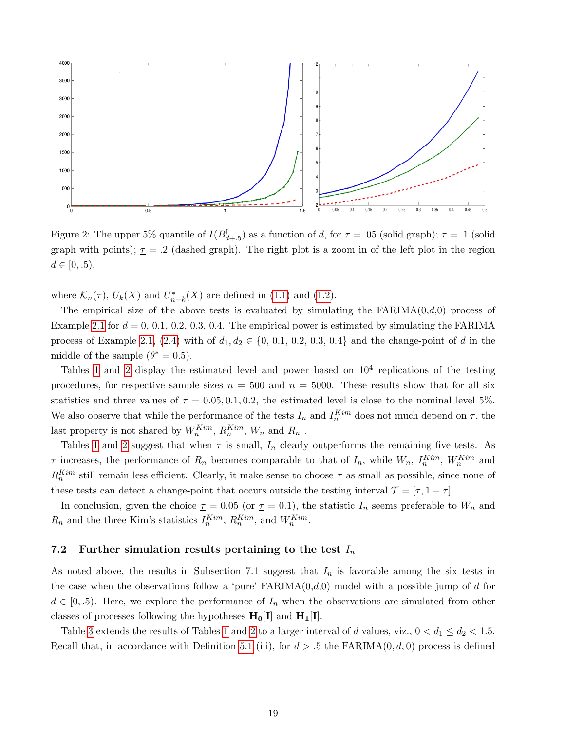

<span id="page-18-0"></span>Figure 2: The upper 5% quantile of  $I(B_{d+.5}^{\text{I}})$  as a function of d, for  $\underline{\tau} = .05$  (solid graph);  $\underline{\tau} = .1$  (solid graph with points);  $\underline{\tau} = .2$  (dashed graph). The right plot is a zoom in of the left plot in the region  $d \in [0, .5)$ .

where  $\mathcal{K}_n(\tau)$ ,  $U_k(X)$  and  $U_{n-k}^*(X)$  are defined in [\(1.1\)](#page-1-0) and [\(1.2\)](#page-1-1).

The empirical size of the above tests is evaluated by simulating the  $FARIMA(0,d,0)$  process of Example [2.1](#page-3-5) for  $d = 0, 0.1, 0.2, 0.3, 0.4$ . The empirical power is estimated by simulating the FARIMA process of Example [2.1,](#page-3-5) [\(2.4\)](#page-3-0) with of  $d_1, d_2 \in \{0, 0.1, 0.2, 0.3, 0.4\}$  and the change-point of d in the middle of the sample  $(\theta^* = 0.5)$ .

Tables [1](#page-23-0) and [2](#page-24-0) display the estimated level and power based on  $10<sup>4</sup>$  replications of the testing procedures, for respective sample sizes  $n = 500$  and  $n = 5000$ . These results show that for all six statistics and three values of  $\tau = 0.05, 0.1, 0.2$ , the estimated level is close to the nominal level 5%. We also observe that while the performance of the tests  $I_n$  and  $I_n^{Kim}$  does not much depend on  $\underline{\tau}$ , the last property is not shared by  $W_n^{Kim}$ ,  $R_n^{Kim}$ ,  $W_n$  and  $R_n$ .

Tables [1](#page-23-0) and [2](#page-24-0) suggest that when  $\underline{\tau}$  is small,  $I_n$  clearly outperforms the remaining five tests. As  $\underline{\tau}$  increases, the performance of  $R_n$  becomes comparable to that of  $I_n$ , while  $W_n$ ,  $I_n^{Kim}$ ,  $W_n^{Kim}$  and  $R_n^{Kim}$  still remain less efficient. Clearly, it make sense to choose  $\tau$  as small as possible, since none of these tests can detect a change-point that occurs outside the testing interval  $\mathcal{T} = [\underline{\tau}, 1 - \underline{\tau}]$ .

In conclusion, given the choice  $\underline{\tau} = 0.05$  (or  $\underline{\tau} = 0.1$ ), the statistic  $I_n$  seems preferable to  $W_n$  and  $R_n$  and the three Kim's statistics  $I_n^{Kim}$ ,  $R_n^{Kim}$ , and  $W_n^{Kim}$ .

#### 7.2 Further simulation results pertaining to the test  $I_n$

As noted above, the results in Subsection 7.1 suggest that  $I_n$  is favorable among the six tests in the case when the observations follow a 'pure'  $FARIMA(0,d,0)$  model with a possible jump of d for  $d \in [0, 0.5)$ . Here, we explore the performance of  $I_n$  when the observations are simulated from other classes of processes following the hypotheses  $H_0[I]$  and  $H_1[I]$ .

Table [3](#page-25-0) extends the results of Tables [1](#page-23-0) and [2](#page-24-0) to a larger interval of d values, viz.,  $0 < d_1 \leq d_2 < 1.5$ . Recall that, in accordance with Definition [5.1](#page-8-2) (iii), for  $d > 0.5$  the FARIMA $(0, d, 0)$  process is defined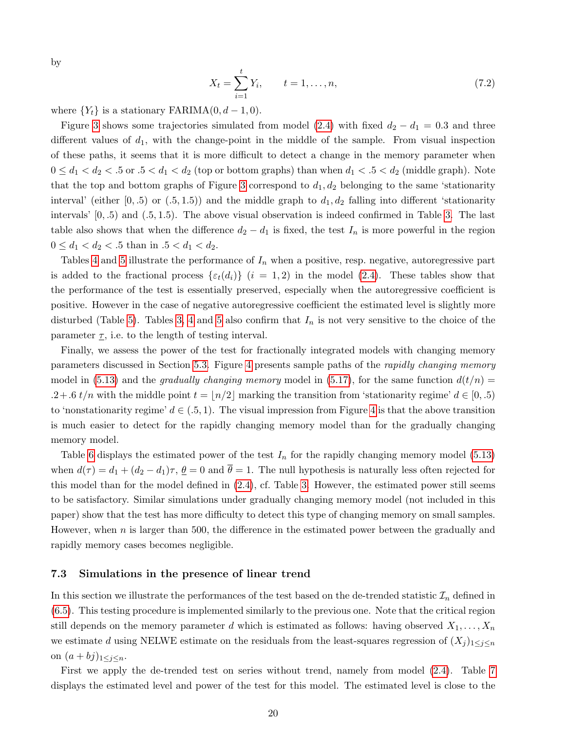by

$$
X_t = \sum_{i=1}^t Y_i, \qquad t = 1, \dots, n,
$$
\n(7.2)

where  ${Y_t}$  is a stationary FARIMA $(0, d - 1, 0)$ .

Figure [3](#page-20-0) shows some trajectories simulated from model [\(2.4\)](#page-3-0) with fixed  $d_2 - d_1 = 0.3$  and three different values of  $d_1$ , with the change-point in the middle of the sample. From visual inspection of these paths, it seems that it is more difficult to detect a change in the memory parameter when  $0 \leq d_1 < d_2 < 0.5$  or  $0.5 < d_1 < d_2$  (top or bottom graphs) than when  $d_1 < 0.5 < d_2$  (middle graph). Note that the top and bottom graphs of Figure [3](#page-20-0) correspond to  $d_1, d_2$  belonging to the same 'stationarity interval' (either  $[0, .5)$  or  $(.5, 1.5)$ ) and the middle graph to  $d_1, d_2$  falling into different 'stationarity intervals'  $[0, 0.5)$  and  $(0.5, 1.5)$ . The above visual observation is indeed confirmed in Table [3.](#page-25-0) The last table also shows that when the difference  $d_2 - d_1$  is fixed, the test  $I_n$  is more powerful in the region  $0 \leq d_1 < d_2 < 0.5$  than in  $0.5 < d_1 < d_2$ .

Tables [4](#page-26-0) and [5](#page-27-0) illustrate the performance of  $I_n$  when a positive, resp. negative, autoregressive part is added to the fractional process  $\{\varepsilon_t(d_i)\}\ (i=1,2)$  in the model [\(2.4\)](#page-3-0). These tables show that the performance of the test is essentially preserved, especially when the autoregressive coefficient is positive. However in the case of negative autoregressive coefficient the estimated level is slightly more disturbed (Table [5\)](#page-27-0). Tables [3,](#page-25-0) [4](#page-26-0) and [5](#page-27-0) also confirm that  $I_n$  is not very sensitive to the choice of the parameter  $\underline{\tau}$ , i.e. to the length of testing interval.

Finally, we assess the power of the test for fractionally integrated models with changing memory parameters discussed in Section [5.3.](#page-11-0) Figure [4](#page-21-0) presents sample paths of the rapidly changing memory model in [\(5.13\)](#page-12-0) and the *gradually changing memory* model in [\(5.17\)](#page-12-1), for the same function  $d(t/n)$  =  $.2+0.6$  t/n with the middle point  $t = \lfloor n/2 \rfloor$  marking the transition from 'stationarity regime'  $d \in [0, 0.5)$ to 'nonstationarity regime'  $d \in (0.5, 1)$ . The visual impression from Figure [4](#page-21-0) is that the above transition is much easier to detect for the rapidly changing memory model than for the gradually changing memory model.

Table [6](#page-28-0) displays the estimated power of the test  $I_n$  for the rapidly changing memory model [\(5.13\)](#page-12-0) when  $d(\tau) = d_1 + (d_2 - d_1)\tau$ ,  $\underline{\theta} = 0$  and  $\theta = 1$ . The null hypothesis is naturally less often rejected for this model than for the model defined in [\(2.4\)](#page-3-0), cf. Table [3.](#page-25-0) However, the estimated power still seems to be satisfactory. Similar simulations under gradually changing memory model (not included in this paper) show that the test has more difficulty to detect this type of changing memory on small samples. However, when  $n$  is larger than 500, the difference in the estimated power between the gradually and rapidly memory cases becomes negligible.

#### 7.3 Simulations in the presence of linear trend

In this section we illustrate the performances of the test based on the de-trended statistic  $\mathcal{I}_n$  defined in [\(6.5\)](#page-16-0). This testing procedure is implemented similarly to the previous one. Note that the critical region still depends on the memory parameter d which is estimated as follows: having observed  $X_1, \ldots, X_n$ we estimate d using NELWE estimate on the residuals from the least-squares regression of  $(X_j)_{1\leq j\leq n}$ on  $(a + bj)_{1 \leq j \leq n}$ .

First we apply the de-trended test on series without trend, namely from model [\(2.4\)](#page-3-0). Table [7](#page-29-0) displays the estimated level and power of the test for this model. The estimated level is close to the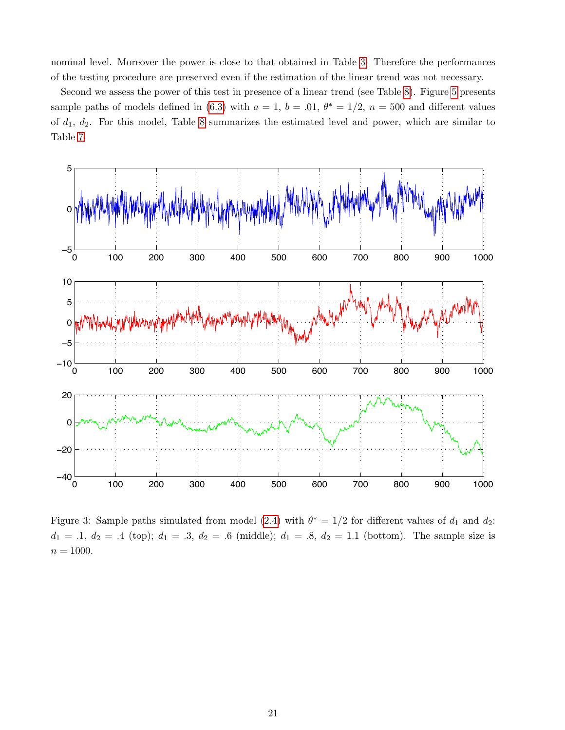nominal level. Moreover the power is close to that obtained in Table [3.](#page-25-0) Therefore the performances of the testing procedure are preserved even if the estimation of the linear trend was not necessary.

Second we assess the power of this test in presence of a linear trend (see Table [8\)](#page-30-0). Figure [5](#page-22-0) presents sample paths of models defined in [\(6.3\)](#page-15-2) with  $a = 1$ ,  $b = .01$ ,  $\theta^* = 1/2$ ,  $n = 500$  and different values of  $d_1$ ,  $d_2$ . For this model, Table [8](#page-30-0) summarizes the estimated level and power, which are similar to Table [7.](#page-29-0)



<span id="page-20-0"></span>Figure 3: Sample paths simulated from model [\(2.4\)](#page-3-0) with  $\theta^* = 1/2$  for different values of  $d_1$  and  $d_2$ :  $d_1 = .1, d_2 = .4$  (top);  $d_1 = .3, d_2 = .6$  (middle);  $d_1 = .8, d_2 = 1.1$  (bottom). The sample size is  $n = 1000.$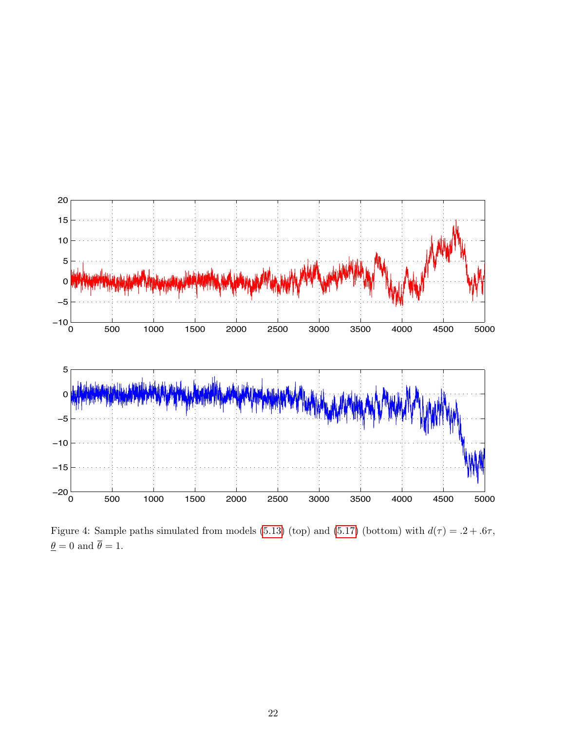

<span id="page-21-0"></span>Figure 4: Sample paths simulated from models [\(5.13\)](#page-12-0) (top) and [\(5.17\)](#page-12-1) (bottom) with  $d(\tau) = .2 + .6\tau$ ,  $\underline{\theta} = 0$  and  $\overline{\theta} = 1.$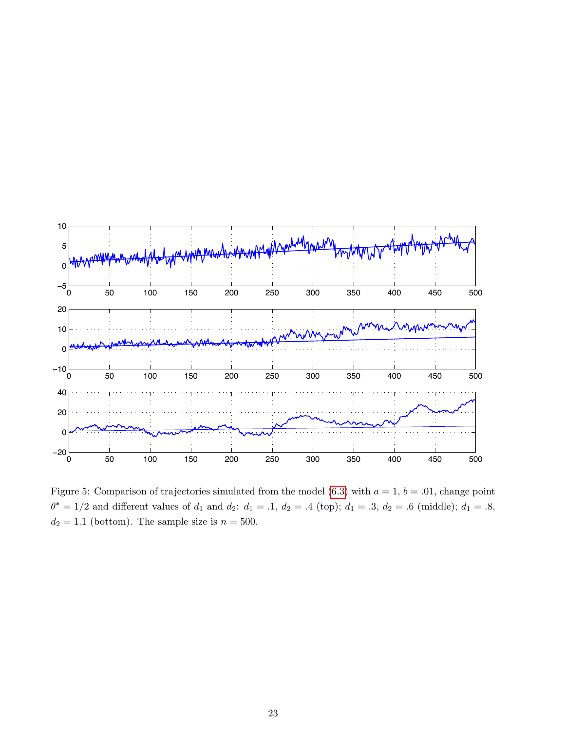

<span id="page-22-0"></span>Figure 5: Comparison of trajectories simulated from the model [\(6.3\)](#page-15-2) with  $a = 1$ ,  $b = .01$ , change point  $\theta^* = 1/2$  and different values of  $d_1$  and  $d_2$ :  $d_1 = .1$ ,  $d_2 = .4$  (top);  $d_1 = .3$ ,  $d_2 = .6$  (middle);  $d_1 = .8$ ,  $d_2 = 1.1$  (bottom). The sample size is  $n = 500$ .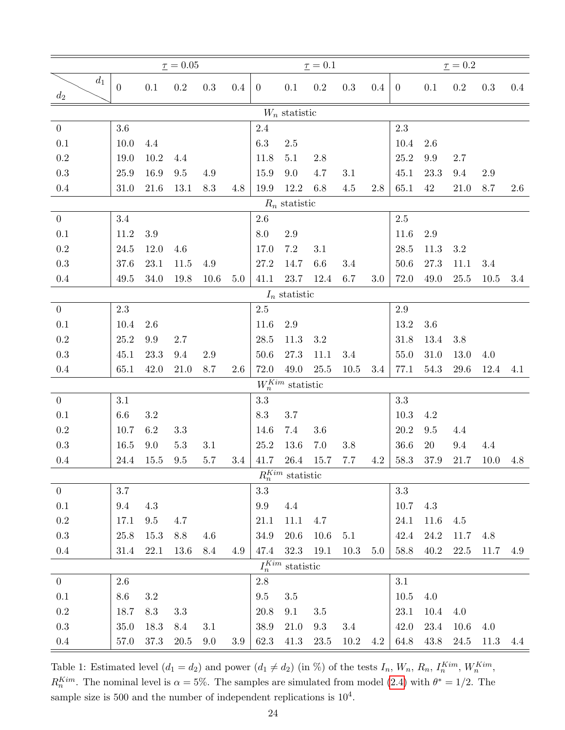|                  |                  |                 | $\underline{\tau} = 0.05$ |           |     |                 |                              | $\underline{\tau}=0.1$ |           |         |                |           | $\underline{\tau}=0.2$ |         |     |
|------------------|------------------|-----------------|---------------------------|-----------|-----|-----------------|------------------------------|------------------------|-----------|---------|----------------|-----------|------------------------|---------|-----|
| $d_1$<br>$d_2$   | $\boldsymbol{0}$ | $0.1\,$         | $0.2\,$                   | $\rm 0.3$ | 0.4 | $\overline{0}$  | $0.1\,$                      | $\rm 0.2$              | $\rm 0.3$ | $0.4\,$ | $\overline{0}$ | 0.1       | $\rm 0.2$              | 0.3     | 0.4 |
|                  |                  |                 |                           |           |     |                 | $W_n$ statistic              |                        |           |         |                |           |                        |         |     |
| $\overline{0}$   | 3.6              |                 |                           |           |     | 2.4             |                              |                        |           |         | 2.3            |           |                        |         |     |
| 0.1              | 10.0             | $4.4\,$         |                           |           |     | $6.3\,$         | $2.5\,$                      |                        |           |         | 10.4           | $2.6\,$   |                        |         |     |
| $\rm 0.2$        | 19.0             | $10.2\,$        | 4.4                       |           |     | 11.8            | $5.1\,$                      | 2.8                    |           |         | $25.2\,$       | $\rm 9.9$ | 2.7                    |         |     |
| $\rm 0.3$        | 25.9             | 16.9            | $\,9.5$                   | 4.9       |     | 15.9            | 9.0                          | 4.7                    | $3.1\,$   |         | 45.1           | 23.3      | 9.4                    | 2.9     |     |
| $0.4\,$          | 31.0             | 21.6            | 13.1                      | 8.3       | 4.8 | 19.9            | 12.2                         | 6.8                    | $4.5\,$   | 2.8     | 65.1           | $42\,$    | 21.0                   | 8.7     | 2.6 |
|                  |                  |                 |                           |           |     |                 | $R_n$ statistic              |                        |           |         |                |           |                        |         |     |
| $\boldsymbol{0}$ | 3.4              |                 |                           |           |     | $2.6\,$         |                              |                        |           |         | $2.5\,$        |           |                        |         |     |
| 0.1              | $11.2\,$         | $3.9\,$         |                           |           |     | $\!\!\!\!\!8.0$ | 2.9                          |                        |           |         | 11.6           | 2.9       |                        |         |     |
| $\rm 0.2$        | $24.5\,$         | $12.0\,$        | 4.6                       |           |     | 17.0            | $7.2\,$                      | 3.1                    |           |         | $28.5\,$       | 11.3      | 3.2                    |         |     |
| $\rm 0.3$        | 37.6             | $23.1\,$        | $11.5$                    | 4.9       |     | 27.2            | 14.7                         | $6.6\,$                | 3.4       |         | $50.6\,$       | $27.3\,$  | 11.1                   | $3.4\,$ |     |
| 0.4              | 49.5             | 34.0            | 19.8                      | 10.6      | 5.0 | 41.1            | 23.7                         | 12.4                   | 6.7       | 3.0     | 72.0           | 49.0      | $25.5\,$               | 10.5    | 3.4 |
|                  |                  |                 |                           |           |     |                 | $I_n$ statistic              |                        |           |         |                |           |                        |         |     |
| $\overline{0}$   | 2.3              |                 |                           |           |     | $2.5\,$         |                              |                        |           |         | $2.9\,$        |           |                        |         |     |
| 0.1              | 10.4             | 2.6             |                           |           |     | 11.6            | 2.9                          |                        |           |         | 13.2           | 3.6       |                        |         |     |
| $\rm 0.2$        | $25.2\,$         | 9.9             | 2.7                       |           |     | 28.5            | 11.3                         | $3.2\,$                |           |         | 31.8           | 13.4      | 3.8                    |         |     |
| $\rm 0.3$        | 45.1             | 23.3            | 9.4                       | 2.9       |     | $50.6$          | 27.3                         | 11.1                   | 3.4       |         | $55.0\,$       | $31.0\,$  | 13.0                   | 4.0     |     |
| 0.4              | 65.1             | 42.0            | 21.0                      | 8.7       | 2.6 | 72.0            | 49.0                         | 25.5                   | 10.5      | 3.4     | 77.1           | 54.3      | 29.6                   | 12.4    | 4.1 |
|                  |                  |                 |                           |           |     |                 | $W_n^{Kim}$ statistic        |                        |           |         |                |           |                        |         |     |
| $\overline{0}$   | $3.1\,$          |                 |                           |           |     | $3.3\,$         |                              |                        |           |         | $\!.3$         |           |                        |         |     |
| 0.1              | 6.6              | $3.2\,$         |                           |           |     | $\!\!\!\!\!8.3$ | $3.7\,$                      |                        |           |         | $10.3\,$       | 4.2       |                        |         |     |
| $\rm 0.2$        | 10.7             | 6.2             | $3.3\,$                   |           |     | 14.6            | $7.4\,$                      | $3.6\,$                |           |         | $20.2\,$       | $\,9.5$   | 4.4                    |         |     |
| $\rm 0.3$        | 16.5             | 9.0             | $5.3\,$                   | 3.1       |     | 25.2            | 13.6                         | 7.0                    | 3.8       |         | 36.6           | $20\,$    | $9.4\,$                | 4.4     |     |
| 0.4              | 24.4             | 15.5            | 9.5                       | 5.7       | 3.4 | 41.7            | $26.4\,$                     | 15.7                   | 7.7       | 4.2     | 58.3           | 37.9      | 21.7                   | 10.0    | 4.8 |
|                  |                  |                 |                           |           |     |                 | $R_n^{Kim}$ statistic        |                        |           |         |                |           |                        |         |     |
| $\overline{0}$   | 3.7              |                 |                           |           |     | $\!3.3$         |                              |                        |           |         | $3.3\,$        |           |                        |         |     |
| 0.1              | 9.4              | 4.3             |                           |           |     | 9.9             | 4.4                          |                        |           |         | 10.7           | 4.3       |                        |         |     |
| $\rm 0.2$        | 17.1             | $\,9.5$         | 4.7                       |           |     | 21.1            | 11.1                         | 4.7                    |           |         | $24.1\,$       | 11.6      | 4.5                    |         |     |
| 0.3              | $25.8\,$         | $15.3\,$        | $8.8\,$                   | 4.6       |     | $34.9\,$        | 20.6                         | $10.6\,$               | 5.1       |         | 42.4           | 24.2      | $11.7\,$               | 4.8     |     |
| 0.4              | 31.4             | 22.1            | 13.6                      | 8.4       | 4.9 | 47.4            | 32.3                         | 19.1                   | 10.3      | 5.0     | 58.8           | 40.2      | $22.5\,$               | 11.7    | 4.9 |
|                  |                  |                 |                           |           |     |                 | ${\cal I}_n^{Kim}$ statistic |                        |           |         |                |           |                        |         |     |
| $\overline{0}$   | 2.6              |                 |                           |           |     | $2.8\,$         |                              |                        |           |         | 3.1            |           |                        |         |     |
| $0.1\,$          | 8.6              | $3.2\,$         |                           |           |     | $9.5\,$         | $3.5\,$                      |                        |           |         | 10.5           | 4.0       |                        |         |     |
| $\rm 0.2$        | 18.7             | $\!\!\!\!\!8.3$ | $3.3\,$                   |           |     | 20.8            | 9.1                          | $3.5\,$                |           |         | 23.1           | $10.4\,$  | 4.0                    |         |     |
| $\rm 0.3$        | $35.0\,$         | 18.3            | 8.4                       | 3.1       |     | $38.9\,$        | 21.0                         | $9.3\,$                | 3.4       |         | 42.0           | $23.4\,$  | $10.6\,$               | 4.0     |     |
| $0.4\,$          | 57.0             | $37.3\,$        | 20.5                      | 9.0       | 3.9 | 62.3            | 41.3                         | 23.5                   | 10.2      | 4.2     | 64.8           | 43.8      | 24.5                   | 11.3    | 4.4 |

<span id="page-23-0"></span>Table 1: Estimated level  $(d_1 = d_2)$  and power  $(d_1 \neq d_2)$  (in %) of the tests  $I_n$ ,  $W_n$ ,  $R_n$ ,  $I_n^{Kim}$ ,  $W_n^{Kim}$ ,  $R_n^{Kim}$ . The nominal level is  $\alpha = 5\%$ . The samples are simulated from model [\(2.4\)](#page-3-0) with  $\theta^* = 1/2$ . The sample size is 500 and the number of independent replications is  $10^4$ .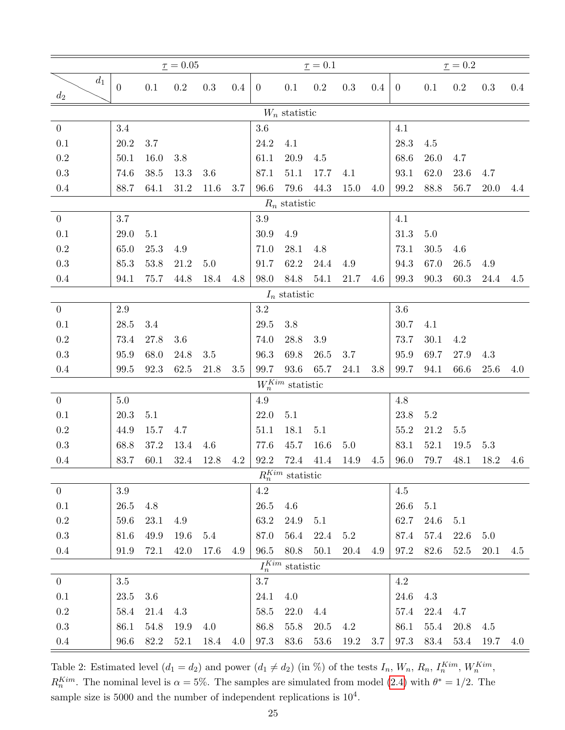|                  |                  |         | $\underline{\tau} = 0.05$ |           |     |                |                              | $\underline{\tau}=0.1$ |         |         |                |          | $\underline{\tau}=0.2$ |      |         |
|------------------|------------------|---------|---------------------------|-----------|-----|----------------|------------------------------|------------------------|---------|---------|----------------|----------|------------------------|------|---------|
| $d_1$<br>$d_2$   | $\boldsymbol{0}$ | $0.1\,$ | $0.2\,$                   | $\rm 0.3$ | 0.4 | $\overline{0}$ | $0.1\,$                      | $\rm 0.2$              | 0.3     | $0.4\,$ | $\overline{0}$ | 0.1      | $\rm 0.2$              | 0.3  | $0.4\,$ |
|                  |                  |         |                           |           |     |                | $W_n$ statistic              |                        |         |         |                |          |                        |      |         |
| $\overline{0}$   | 3.4              |         |                           |           |     | 3.6            |                              |                        |         |         | 4.1            |          |                        |      |         |
| 0.1              | $20.2\,$         | 3.7     |                           |           |     | $24.2\,$       | 4.1                          |                        |         |         | $28.3\,$       | 4.5      |                        |      |         |
| $\rm 0.2$        | 50.1             | 16.0    | 3.8                       |           |     | 61.1           | 20.9                         | 4.5                    |         |         | 68.6           | 26.0     | 4.7                    |      |         |
| $\rm 0.3$        | 74.6             | 38.5    | 13.3                      | $3.6\,$   |     | 87.1           | 51.1                         | 17.7                   | 4.1     |         | 93.1           | 62.0     | $23.6\,$               | 4.7  |         |
| 0.4              | 88.7             | 64.1    | 31.2                      | 11.6      | 3.7 | $96.6\,$       | 79.6                         | 44.3                   | 15.0    | 4.0     | 99.2           | 88.8     | 56.7                   | 20.0 | 4.4     |
|                  |                  |         |                           |           |     |                | $R_n$ statistic              |                        |         |         |                |          |                        |      |         |
| $\boldsymbol{0}$ | 3.7              |         |                           |           |     | $3.9\,$        |                              |                        |         |         | 4.1            |          |                        |      |         |
| 0.1              | 29.0             | 5.1     |                           |           |     | 30.9           | 4.9                          |                        |         |         | $31.3\,$       | 5.0      |                        |      |         |
| $\rm 0.2$        | 65.0             | 25.3    | 4.9                       |           |     | 71.0           | 28.1                         | 4.8                    |         |         | 73.1           | 30.5     | 4.6                    |      |         |
| $\rm 0.3$        | 85.3             | 53.8    | 21.2                      | $5.0\,$   |     | 91.7           | 62.2                         | 24.4                   | 4.9     |         | 94.3           | 67.0     | 26.5                   | 4.9  |         |
| 0.4              | 94.1             | 75.7    | 44.8                      | 18.4      | 4.8 | 98.0           | 84.8                         | 54.1                   | 21.7    | 4.6     | 99.3           | 90.3     | 60.3                   | 24.4 | 4.5     |
|                  |                  |         |                           |           |     |                | $I_n$ statistic              |                        |         |         |                |          |                        |      |         |
| $\overline{0}$   | 2.9              |         |                           |           |     | $\!3.2\!$      |                              |                        |         |         | $3.6\,$        |          |                        |      |         |
| 0.1              | $28.5\,$         | 3.4     |                           |           |     | 29.5           | 3.8                          |                        |         |         | 30.7           | 4.1      |                        |      |         |
| $\rm 0.2$        | 73.4             | 27.8    | 3.6                       |           |     | 74.0           | 28.8                         | $3.9\,$                |         |         | 73.7           | 30.1     | 4.2                    |      |         |
| $\rm 0.3$        | 95.9             | 68.0    | 24.8                      | $3.5\,$   |     | 96.3           | 69.8                         | $26.5\,$               | 3.7     |         | 95.9           | 69.7     | 27.9                   | 4.3  |         |
| 0.4              | 99.5             | 92.3    | 62.5                      | 21.8      | 3.5 | 99.7           | $93.6\,$                     | 65.7                   | 24.1    | 3.8     | 99.7           | 94.1     | 66.6                   | 25.6 | 4.0     |
|                  |                  |         |                           |           |     |                | $W_n^{Kim}$ statistic        |                        |         |         |                |          |                        |      |         |
| $\overline{0}$   | 5.0              |         |                           |           |     | 4.9            |                              |                        |         |         | 4.8            |          |                        |      |         |
| 0.1              | 20.3             | 5.1     |                           |           |     | $22.0\,$       | 5.1                          |                        |         |         | $23.8\,$       | $5.2\,$  |                        |      |         |
| 0.2              | 44.9             | 15.7    | 4.7                       |           |     | 51.1           | 18.1                         | $5.1\,$                |         |         | 55.2           | 21.2     | 5.5                    |      |         |
| $\rm 0.3$        | 68.8             | 37.2    | 13.4                      | 4.6       |     | 77.6           | 45.7                         | $16.6\,$               | $5.0\,$ |         | 83.1           | 52.1     | 19.5                   | 5.3  |         |
| 0.4              | 83.7             | 60.1    | 32.4                      | 12.8      | 4.2 | 92.2           | 72.4                         | 41.4                   | 14.9    | 4.5     | 96.0           | 79.7     | 48.1                   | 18.2 | 4.6     |
|                  |                  |         |                           |           |     |                | $R_n^{Kim}$ statistic        |                        |         |         |                |          |                        |      |         |
| $\overline{0}$   | 3.9              |         |                           |           |     | $4.2\,$        |                              |                        |         |         | $4.5\,$        |          |                        |      |         |
| 0.1              | $26.5\,$         | 4.8     |                           |           |     | 26.5           | 4.6                          |                        |         |         | 26.6           | 5.1      |                        |      |         |
| $\rm 0.2$        | 59.6             | 23.1    | 4.9                       |           |     | 63.2           | 24.9                         | 5.1                    |         |         | 62.7           | 24.6     | $5.1\,$                |      |         |
| 0.3              | 81.6             | 49.9    | 19.6                      | 5.4       |     | 87.0           | 56.4                         | 22.4                   | $5.2\,$ |         | 87.4           | 57.4     | $22.6\,$               | 5.0  |         |
| 0.4              | 91.9             | 72.1    | 42.0                      | 17.6      | 4.9 | 96.5           | 80.8                         | $50.1\,$               | 20.4    | 4.9     | 97.2           | 82.6     | 52.5                   | 20.1 | 4.5     |
|                  |                  |         |                           |           |     |                | ${\cal I}_n^{Kim}$ statistic |                        |         |         |                |          |                        |      |         |
| $\overline{0}$   | 3.5              |         |                           |           |     | 3.7            |                              |                        |         |         | $4.2\,$        |          |                        |      |         |
| $0.1\,$          | 23.5             | $3.6\,$ |                           |           |     | 24.1           | 4.0                          |                        |         |         | $24.6\,$       | $4.3\,$  |                        |      |         |
| $\rm 0.2$        | 58.4             | 21.4    | 4.3                       |           |     | $58.5\,$       | 22.0                         | 4.4                    |         |         | 57.4           | 22.4     | 4.7                    |      |         |
| $\rm 0.3$        | 86.1             | 54.8    | 19.9                      | 4.0       |     | 86.8           | $55.8\,$                     | 20.5                   | 4.2     |         | 86.1           | $55.4\,$ | 20.8                   | 4.5  |         |
| $0.4\,$          | 96.6             | 82.2    | 52.1                      | 18.4      | 4.0 | 97.3           | 83.6                         | 53.6                   | 19.2    | 3.7     | 97.3           | 83.4     | 53.4                   | 19.7 | 4.0     |

<span id="page-24-0"></span>Table 2: Estimated level  $(d_1 = d_2)$  and power  $(d_1 \neq d_2)$  (in %) of the tests  $I_n$ ,  $W_n$ ,  $R_n$ ,  $I_n^{Kim}$ ,  $W_n^{Kim}$ ,  $R_n^{Kim}$ . The nominal level is  $\alpha = 5\%$ . The samples are simulated from model [\(2.4\)](#page-3-0) with  $\theta^* = 1/2$ . The sample size is 5000 and the number of independent replications is  $10^4$ .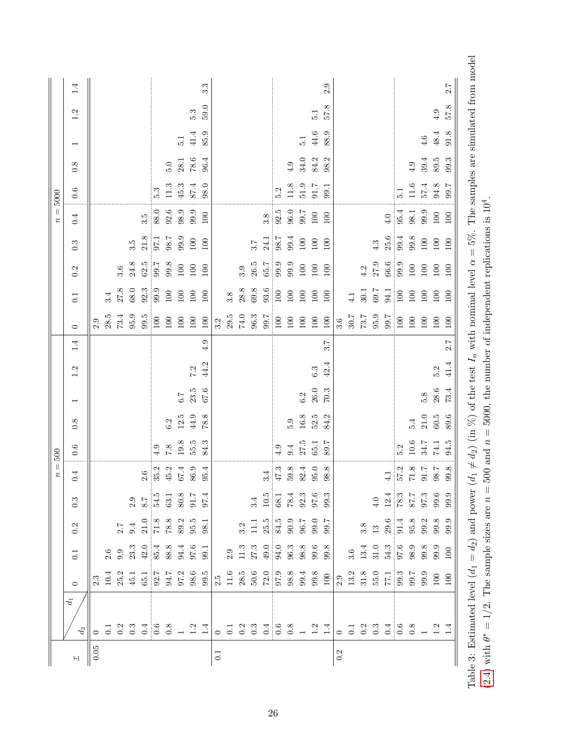|          |                  |                                                                                                                                                                                                                                                                                                   |                                                                                                               |                                                                                                      |                                                                       | $n=500$                                     |          |                  |                          |      |     |                                                        |                 |                     |                     | $n =$    | 5000                                        |          |                          |      |                  |
|----------|------------------|---------------------------------------------------------------------------------------------------------------------------------------------------------------------------------------------------------------------------------------------------------------------------------------------------|---------------------------------------------------------------------------------------------------------------|------------------------------------------------------------------------------------------------------|-----------------------------------------------------------------------|---------------------------------------------|----------|------------------|--------------------------|------|-----|--------------------------------------------------------|-----------------|---------------------|---------------------|----------|---------------------------------------------|----------|--------------------------|------|------------------|
| $\vdash$ | $d_1$<br>$d_2\,$ | $\circ$                                                                                                                                                                                                                                                                                           | 0.1                                                                                                           | 0.2                                                                                                  | $0.\overline{3}$                                                      | 0.4                                         | 0.6      | $\overline{0.8}$ | $\overline{\phantom{0}}$ | 1.2  | 1.4 | $\circ$                                                | 0.1             | 0.2                 | $0.\overline{3}$    | 0.4      | 0.6                                         | 0.8      | $\overline{\phantom{a}}$ | 1.2  | 1.4              |
| $0.05\,$ |                  |                                                                                                                                                                                                                                                                                                   |                                                                                                               |                                                                                                      |                                                                       |                                             |          |                  |                          |      |     | 2.9                                                    |                 |                     |                     |          |                                             |          |                          |      |                  |
|          |                  |                                                                                                                                                                                                                                                                                                   |                                                                                                               |                                                                                                      |                                                                       |                                             |          |                  |                          |      |     | $28.5\,$                                               | 3.4             |                     |                     |          |                                             |          |                          |      |                  |
|          |                  |                                                                                                                                                                                                                                                                                                   |                                                                                                               |                                                                                                      |                                                                       |                                             |          |                  |                          |      |     | 73.4                                                   | 27.8            | 3.6                 |                     |          |                                             |          |                          |      |                  |
|          |                  |                                                                                                                                                                                                                                                                                                   |                                                                                                               | $2.7$<br>9.4                                                                                         | 2.9                                                                   |                                             |          |                  |                          |      |     | 95.9                                                   | 68.0            | 24.8                | 3.5                 |          |                                             |          |                          |      |                  |
|          |                  |                                                                                                                                                                                                                                                                                                   |                                                                                                               |                                                                                                      |                                                                       | $2.6\,$                                     |          |                  |                          |      |     | 99.5                                                   | 92.3            |                     | $21.8\,$            | 3.5      |                                             |          |                          |      |                  |
|          |                  |                                                                                                                                                                                                                                                                                                   |                                                                                                               | $\frac{10}{71}$<br>$\frac{8}{7}$<br>$\frac{8}{8}$<br>$\frac{3}{5}$<br>$\frac{5}{5}$<br>$\frac{1}{1}$ | $\begin{array}{l} 8.7 \\ 54.5 \\ 63.1 \\ 80.8 \\ 91.7 \\ \end{array}$ | 35.2                                        | 4.9      |                  |                          |      |     | 100                                                    | 99.9            | $\frac{62.5}{99.7}$ | 97.1                | 88.0     | 5.3                                         |          |                          |      |                  |
|          |                  |                                                                                                                                                                                                                                                                                                   |                                                                                                               |                                                                                                      |                                                                       | $45.2\,$                                    | 8.7      | $6.2\,$          |                          |      |     | $100\,$                                                | $100\,$         | 99.8                | 98.7                | 92.6     |                                             | $5.0\,$  |                          |      |                  |
|          |                  |                                                                                                                                                                                                                                                                                                   |                                                                                                               |                                                                                                      |                                                                       |                                             | 19.8     | 12.5             | $7.9\,$                  |      |     | $100\,$                                                | 100             | $100\,$             | 99.9                | 98.9     | $\begin{array}{c} 11.3 \\ 45.3 \end{array}$ | 28.1     | $\frac{1}{5}$            |      |                  |
|          |                  |                                                                                                                                                                                                                                                                                                   |                                                                                                               |                                                                                                      |                                                                       | $67.4 \newline 86.9$                        | $55.5$   | 44.9             | $23.5$                   | 7.2  |     | $100\,$                                                | $100\,$         | $100\,$             | $100\,$             | 99.9     | $87.4\,$                                    | $78.6\,$ | 41.4                     | 5.3  |                  |
|          |                  | $2.3$<br>$10.4$<br>$45.1$<br>$45.7$<br>$55.7$<br>$55.8$<br>$55.8$<br>$55.8$                                                                                                                                                                                                                       |                                                                                                               |                                                                                                      |                                                                       | 95.4                                        | 84.3     | 78.8             | 67.6                     | 44.2 | 4.9 | 100                                                    | 100             | 100                 | 100                 | 100      | 98.0                                        | 96.4     | 85.9                     | 59.0 | $3.\overline{3}$ |
| 0.1      |                  |                                                                                                                                                                                                                                                                                                   |                                                                                                               |                                                                                                      |                                                                       |                                             |          |                  |                          |      |     | 3.2                                                    |                 |                     |                     |          |                                             |          |                          |      |                  |
|          |                  |                                                                                                                                                                                                                                                                                                   |                                                                                                               |                                                                                                      |                                                                       |                                             |          |                  |                          |      |     | $29.5\,$                                               | $3.8\,$         |                     |                     |          |                                             |          |                          |      |                  |
|          |                  |                                                                                                                                                                                                                                                                                                   |                                                                                                               |                                                                                                      |                                                                       |                                             |          |                  |                          |      |     | $74.0\,$                                               | 28.8            | 3.9                 |                     |          |                                             |          |                          |      |                  |
|          |                  |                                                                                                                                                                                                                                                                                                   |                                                                                                               |                                                                                                      | 3.4                                                                   |                                             |          |                  |                          |      |     | 96.3                                                   | 69.8            | 26.5                | 3.7                 |          |                                             |          |                          |      |                  |
|          |                  | $\begin{array}{ l } \hline 1.6 & 0.6 & 0.6 \\ 1.1 & 0.8 & 0.6 \\ 2.8 & 0.6 & 0.6 \\ 3.2 & 0.6 & 0.6 \\ 4.2 & 5.6 & 0.6 \\ 5.2 & 5.6 & 0.6 \\ 6.2 & 6.6 & 0.6 \\ 7.2 & 8.6 & 0.6 \\ 8.2 & 1.6 & 0.6 \\ 9.2 & 1.6 & 0.6 \\ 1.7 & 1.6 & 0.6 \\ 1.8 & 1.6 & 0.6 \\ 1.9 & 1.6 & 0.6 \\ 1.9 & 1.6 & 0.$ |                                                                                                               | $\begin{array}{c} 3.2 \\ 11.1 \\ 25.5 \\ 84.5 \\ 96.7 \\ 99.7 \\ 99.7 \\ \end{array}$                |                                                                       | $\frac{3.4}{47.3}$                          |          |                  |                          |      |     | 99.7                                                   | 93.6            | $65.7$<br>99.9      | $\frac{24.1}{98.7}$ | 3.8      |                                             |          |                          |      |                  |
|          |                  |                                                                                                                                                                                                                                                                                                   |                                                                                                               |                                                                                                      |                                                                       |                                             | 4.9      |                  |                          |      |     | $\frac{100}{2}$                                        | $\frac{100}{2}$ |                     |                     | 92.5     | $\frac{5}{2}$                               |          |                          |      |                  |
|          |                  |                                                                                                                                                                                                                                                                                                   |                                                                                                               |                                                                                                      |                                                                       | $\begin{array}{c} 59.8 \\ 82.4 \end{array}$ | 9.4      | 5.9              |                          |      |     | $100\,$                                                | $100\,$         | 99.9                | 99.4                | $96.0\,$ |                                             | 4.9      |                          |      |                  |
|          |                  |                                                                                                                                                                                                                                                                                                   |                                                                                                               |                                                                                                      |                                                                       |                                             | 27.5     | $16.8\,$         | $6.2$ $26.0$             |      |     | $100\,$                                                | $100\,$         | $100\,$             | $100\,$             | 7.66     | $\begin{array}{c} 11.8 \\ 51.9 \end{array}$ | $34.0\,$ | $\overline{5}$ .         |      |                  |
|          |                  |                                                                                                                                                                                                                                                                                                   |                                                                                                               |                                                                                                      | $\begin{array}{c} 10.5 \\ 68.1 \\ 78.3 \\ 92.3 \\ 99.3 \end{array}$   | $95.0\,$                                    | $65.1\,$ | $52.5\,$         |                          | 6.3  |     | $100\,$                                                | 100             | 100                 | $100\,$             | $100\,$  | 91.7                                        | 84.2     | $44.6\,$                 | 5.1  |                  |
|          |                  |                                                                                                                                                                                                                                                                                                   |                                                                                                               |                                                                                                      |                                                                       | 98.8                                        | 89.7     | 84.2             | 70.3                     | 42.4 | 5.7 | 100                                                    | 100             | 100                 | 100                 | 100      | 99.1                                        | 98.2     | 88.9                     | 8.75 | 2.9              |
| 0.2      |                  |                                                                                                                                                                                                                                                                                                   |                                                                                                               |                                                                                                      |                                                                       |                                             |          |                  |                          |      |     | 3.6                                                    |                 |                     |                     |          |                                             |          |                          |      |                  |
|          |                  |                                                                                                                                                                                                                                                                                                   |                                                                                                               |                                                                                                      |                                                                       |                                             |          |                  |                          |      |     |                                                        | $\frac{1}{4}$   |                     |                     |          |                                             |          |                          |      |                  |
|          |                  |                                                                                                                                                                                                                                                                                                   |                                                                                                               | 3.8                                                                                                  |                                                                       |                                             |          |                  |                          |      |     | $\begin{array}{l} 6.96 \\ 2.64 \\ 2.06 \\ \end{array}$ | $30.1\,$        | 4.2                 |                     |          |                                             |          |                          |      |                  |
|          |                  |                                                                                                                                                                                                                                                                                                   |                                                                                                               |                                                                                                      | $4.0\,$                                                               |                                             |          |                  |                          |      |     |                                                        | 69.7            | 27.9                | 4.3                 |          |                                             |          |                          |      |                  |
|          |                  | $\begin{array}{c} 2.9 \\ 13.2 \\ 31.8 \\ 55.0 \\ 17.1 \\ 99.7 \\ 99.9 \\ 100 \\ 100 \\ \end{array}$                                                                                                                                                                                               | $\begin{array}{cccc} 3.6 \\ 1.3.4 \\ 1.3.5 \\ 5.6 \\ 9.7.6 \\ 9.8 \\ 9.9 \\ 9.9 \\ 100 \\ 100 \\ \end{array}$ |                                                                                                      |                                                                       | 4.1                                         |          |                  |                          |      |     | $\frac{100}{100}$                                      | 94.1            | $66.6$<br>99.9      | $\frac{25.6}{99.4}$ | $4.0\,$  |                                             |          |                          |      |                  |
|          |                  |                                                                                                                                                                                                                                                                                                   |                                                                                                               |                                                                                                      | $\frac{12.4}{78.3}$                                                   | 57.2<br>71.8<br>90.7<br>98.7                | 5.2      |                  |                          |      |     |                                                        | $\frac{100}{2}$ |                     |                     | 95.4     | $\overline{5}$ .1                           |          |                          |      |                  |
|          |                  |                                                                                                                                                                                                                                                                                                   |                                                                                                               |                                                                                                      | $2.18\,$                                                              |                                             | $10.6\,$ | 5.4              |                          |      |     | $100\,$                                                | 100             | $100\,$             | 99.8                | 98.1     | $11.6\,$                                    | 4.9      |                          |      |                  |
|          |                  |                                                                                                                                                                                                                                                                                                   |                                                                                                               |                                                                                                      | 97.3                                                                  |                                             | 34.7     | $21.0\,$         | $5.8\,$                  |      |     | 100                                                    | 100             | 100                 | $100\,$             | 99.9     | 57.4                                        | $39.4\,$ | 4.6                      |      |                  |
|          |                  |                                                                                                                                                                                                                                                                                                   |                                                                                                               |                                                                                                      | $99.6$<br>$9.9$                                                       |                                             | $74.1\,$ | $60.5\,$         | 28.6                     | 5.2  |     | $100\,$                                                | 100             | 100                 | $100\,$             | $100\,$  | $94.8\,$                                    | 89.5     | 48.4                     | 4.9  |                  |
|          |                  |                                                                                                                                                                                                                                                                                                   |                                                                                                               |                                                                                                      |                                                                       | $99.8\,$                                    | 94.5     | 89.6             | 73.4                     | 41.4 | 7.2 | 100                                                    | 100             | 100                 | 100                 | 100      | 7.66                                        | 99.3     | $91.8\,$                 | 57.8 | 2.7              |
|          |                  |                                                                                                                                                                                                                                                                                                   |                                                                                                               |                                                                                                      |                                                                       |                                             |          |                  |                          |      |     |                                                        |                 |                     |                     |          |                                             |          |                          |      |                  |

<span id="page-25-0"></span>Table 3: Estimated level  $(d_1 = d_2)$  and power  $(d_1 \neq d_2)$  (in %) of the test  $I_n$  with nominal level  $\alpha = 5\%$ . The samples are simulated from model Table 3: Estimated level  $(d_1 = d_2)$  and power  $(d_1 \neq d_2)$  (in  $\%$ ) of the test  $I_n$  with nominal level  $\alpha = 5\%$ . The samples are simulated from model (2.4) with  $\theta^* = 1/2$ . The sample sizes are  $n = 500$  and  $n = 5000$ , the number of independent replications is 10<sup>4</sup>. [\(2.4\)](#page-3-0) with  $\theta^* = 1/2$ . The sample sizes are  $n = 500$  and  $n = 5000$ , the number of independent replications is 10<sup>4</sup>.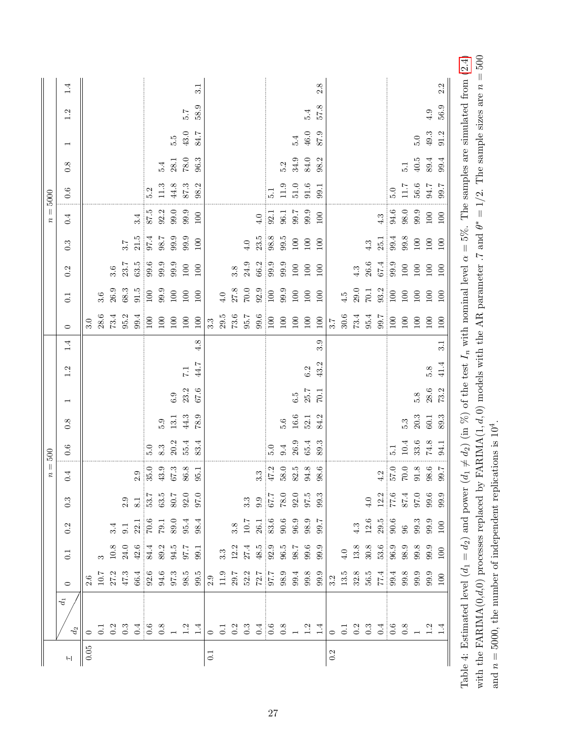|                  | 1.4                      |          |          |          |                                             |          |                                                                                                                                                                                                                                    |      |                                             |                  | 3.1     |                  |          |     |                       |                                                                                       |                    |               |          |                                  | 2.8                                                                                            |     |          |                                            |            |                                                                                             |                                                            |          |                                                                                  |                          | 2.2  |
|------------------|--------------------------|----------|----------|----------|---------------------------------------------|----------|------------------------------------------------------------------------------------------------------------------------------------------------------------------------------------------------------------------------------------|------|---------------------------------------------|------------------|---------|------------------|----------|-----|-----------------------|---------------------------------------------------------------------------------------|--------------------|---------------|----------|----------------------------------|------------------------------------------------------------------------------------------------|-----|----------|--------------------------------------------|------------|---------------------------------------------------------------------------------------------|------------------------------------------------------------|----------|----------------------------------------------------------------------------------|--------------------------|------|
|                  | 1.2                      |          |          |          |                                             |          |                                                                                                                                                                                                                                    |      |                                             | 5.7              | 58.9    |                  |          |     |                       |                                                                                       |                    |               |          | 5.4                              | 8.19                                                                                           |     |          |                                            |            |                                                                                             |                                                            |          |                                                                                  | 4.9                      | 56.9 |
|                  | $\overline{\phantom{0}}$ |          |          |          |                                             |          |                                                                                                                                                                                                                                    |      | 5.5                                         | 43.0             | 84.7    |                  |          |     |                       |                                                                                       |                    |               | 5.4      | $46.0\,$                         | 87.9                                                                                           |     |          |                                            |            |                                                                                             |                                                            |          | $5.0\,$                                                                          | $49.3\,$                 | 91.2 |
|                  | 0.8                      |          |          |          |                                             |          |                                                                                                                                                                                                                                    | 5.4  | $28.1\,$                                    | $78.0\,$         | 96.3    |                  |          |     |                       |                                                                                       |                    | $5.2$<br>34.9 |          | 84.0                             | 98.2                                                                                           |     |          |                                            |            |                                                                                             |                                                            | 5.1      | $40.5\,$                                                                         | 89.4                     | 99.4 |
|                  | 0.6                      |          |          |          |                                             |          | 5.2                                                                                                                                                                                                                                | 11.3 | $44.8\,$                                    | $87.3\,$         | 98.2    |                  |          |     |                       |                                                                                       | $\overline{51}$    | $11.9\,$      | $51.0\,$ | $91.6\,$                         | 99.1                                                                                           |     |          |                                            |            |                                                                                             | 5.0                                                        |          | $\begin{array}{c} 11.7 \\ 56.6 \end{array}$                                      | $7.66$ $% \leqslant 100$ |      |
| $n=5000$         | 0.4                      |          |          |          |                                             | 3.4      | 87.5                                                                                                                                                                                                                               |      | $\begin{array}{c} 92.2 \\ 99.0 \end{array}$ | 99.9             | $100\,$ |                  |          |     |                       |                                                                                       | $\frac{4.0}{92.1}$ | 96.1          | 99.7     | 99.9                             | 100                                                                                            |     |          |                                            |            | $4.3\,$                                                                                     | 94.6                                                       | $98.0\,$ | 9.9                                                                              | $100\,$                  | 100  |
|                  | 0.3                      |          |          |          | 3.7                                         | $21.5\,$ | 97.4                                                                                                                                                                                                                               |      | $98.7$<br>$99.9$<br>$99.9$                  |                  | 100     |                  |          |     | $4.0\,$               | $\frac{23.5}{98.8}$                                                                   |                    | 99.5          | $100\,$  | $100\,$                          | 100                                                                                            |     |          |                                            | 4.3        |                                                                                             | $\begin{array}{c} 25.1 \\ 99.4 \\ 99.8 \\ 100 \end{array}$ |          |                                                                                  | $100\,$                  | 100  |
|                  | 0.2                      |          |          | 3.6      | 23.7                                        | 63.5     | 99.6                                                                                                                                                                                                                               | 99.9 | 9.9                                         | $100\,$          | 100     |                  |          | 3.8 | $24.9\,$              | $\frac{66.2}{99.9}$                                                                   |                    | 99.9          | $100\,$  | $100\,$                          | 100                                                                                            |     |          | 4.3                                        | $26.6\,$   | $67.4\,$                                                                                    | 99.9                                                       | $100\,$  | $100\,$                                                                          | $100\,$                  | 100  |
|                  | $\overline{0.1}$         |          | $3.6\,$  | $26.9\,$ | 68.3                                        | 91.5     | $\frac{100}{2}$                                                                                                                                                                                                                    | 99.9 | $100\,$                                     | 100              | 100     |                  | 4.0      |     | $27.8\phantom{}$ 70.0 | $\begin{array}{c} 92.9 \\ 100 \end{array}$                                            |                    | 99.9          | $100\,$  | 100                              | 100                                                                                            |     | 4.5      | $29.0\,$                                   | 70.1       | 93.2                                                                                        | $\frac{100}{2}$                                            | $100\,$  | $100\,$                                                                          | $100\,$                  | 100  |
|                  | $\circ$                  | 3.0      | $28.6\,$ | 73.4     | 95.2                                        | 99.4     | 100                                                                                                                                                                                                                                | 100  | 100                                         | $100\,$          | 100     | 3.3              | $29.5\,$ |     | $73.6\phantom{}05.7$  | $99.6\,$                                                                              | $\frac{100}{2}$    | $100\,$       | $100\,$  | 100                              | 100                                                                                            | 3.7 | $30.6\,$ | $73.4$<br>95.4                             |            | $\frac{001}{1.66}$                                                                          |                                                            | $100\,$  | 100                                                                              | 100                      | 100  |
|                  | 1.4                      |          |          |          |                                             |          |                                                                                                                                                                                                                                    |      |                                             |                  | 4.8     |                  |          |     |                       |                                                                                       |                    |               |          |                                  | 3.9                                                                                            |     |          |                                            |            |                                                                                             |                                                            |          |                                                                                  |                          | 3.1  |
|                  | 1.2                      |          |          |          |                                             |          |                                                                                                                                                                                                                                    |      |                                             | $\overline{1.1}$ | 44.7    |                  |          |     |                       |                                                                                       |                    |               |          | $6.2\,$                          | 43.2                                                                                           |     |          |                                            |            |                                                                                             |                                                            |          |                                                                                  | 5.8                      | 41.4 |
|                  | $\overline{\phantom{0}}$ |          |          |          |                                             |          |                                                                                                                                                                                                                                    |      | $6.9\,$                                     | $23.2\,$         | 67.6    |                  |          |     |                       |                                                                                       |                    |               | $6.5\,$  | 25.7                             | 70.1                                                                                           |     |          |                                            |            |                                                                                             |                                                            |          | $5.8\,$                                                                          | $28.6\,$                 | 73.2 |
|                  | 0.8                      |          |          |          |                                             |          |                                                                                                                                                                                                                                    | 5.9  | 13.1                                        | 44.3             | 78.9    |                  |          |     |                       |                                                                                       |                    | 5.6           | $16.6\,$ | 52.1                             | 84.2                                                                                           |     |          |                                            |            |                                                                                             |                                                            | 5.3      | $20.3\,$                                                                         | 60.1                     | 89.3 |
| 500              | 0.6                      |          |          |          |                                             |          | 5.0                                                                                                                                                                                                                                | 8.3  | $20.2$<br>$55.4$                            |                  | 83.4    |                  |          |     |                       |                                                                                       | $\ddot{5}$ .0      | 9.4           | $26.9\,$ | 65.4                             | 89.3                                                                                           |     |          |                                            |            |                                                                                             | $\overline{5}$ .                                           |          | $\begin{array}{c} 10.4 \\ 33.6 \\ 74.8 \end{array}$                              |                          | 94.1 |
| $\overline{n} =$ | 0.4                      |          |          |          |                                             |          | $\begin{array}{c} 2.9 \\ 35.0 \\ 43.3 \\ 67.3 \\ 86.8 \\ \end{array}$                                                                                                                                                              |      |                                             |                  |         |                  |          |     |                       |                                                                                       |                    |               |          |                                  |                                                                                                |     |          |                                            |            |                                                                                             |                                                            |          | $\begin{array}{c} 4.2 \\ 57.0 \\ 70.0 \\ 9.8 \\ 6 \\ \hline \end{array}$         |                          |      |
|                  | $0.\overline{3}$         |          |          |          |                                             |          | $\begin{array}{c} 2.9 \\ 8.1 \\ 53.7 \\ 63.5 \\ 62.0 \\ 9.7 \\ 9.7 \\ \end{array}$                                                                                                                                                 |      |                                             |                  |         |                  |          |     |                       | $\frac{2.29}{6.6}$                                                                    |                    | $78.0\,$      |          | $0.5$<br>$0.5$<br>$0.5$<br>$0.3$ |                                                                                                |     |          |                                            | $\ddot{=}$ |                                                                                             |                                                            |          | $\begin{array}{c} 12.2 \\ 77.6 \\ 87.4 \\ 99.6 \\ 99.9 \\ \end{array}$           |                          |      |
|                  | 0.2                      |          |          |          |                                             |          | $\frac{3}{3}$ .1<br>$\frac{22.1}{70.6}$<br>$\frac{6}{7}$<br>$\frac{3}{7}$<br>$\frac{1}{2}$<br>$\frac{3}{7}$<br>$\frac{1}{3}$<br>$\frac{3}{7}$<br>$\frac{4}{3}$<br>$\frac{4}{3}$<br>$\frac{4}{3}$<br>$\frac{4}{3}$<br>$\frac{4}{3}$ |      |                                             |                  |         |                  |          |     |                       | $\begin{array}{c} 3.8 \\ 10.7 \\ 26.1 \\ 83.6 \\ 96.9 \\ 98.9 \\ 99.7 \\ \end{array}$ |                    |               |          |                                  |                                                                                                |     |          |                                            |            | $\begin{array}{c} 4.3 \\ 12.6 \\ 29.5 \\ 90.6 \\ 99.3 \\ 99.9 \\ 100 \\ 100 \\ \end{array}$ |                                                            |          |                                                                                  |                          |      |
|                  | 0.1                      |          |          |          | $\begin{array}{c} 10.8 \\ 24.0 \end{array}$ |          | $42.6$<br>84.4<br>89.2<br>95.7<br>95.1                                                                                                                                                                                             |      |                                             |                  |         |                  | $3.3\,$  |     |                       | $\frac{12.2}{27.4}$<br>$\frac{48.5}{92.9}$                                            |                    | 96.5          |          |                                  | $98.6$<br>$9.9.6$<br>$9.9.6$                                                                   |     |          | $\begin{array}{c} 4.0 \\ 13.8 \end{array}$ | $30.8\,$   |                                                                                             |                                                            |          | $\begin{array}{c} 6.6 \\ 36.9 \\ 96.9 \\ 98.9 \\ 99.9 \\ 100 \\ 100 \end{array}$ |                          |      |
|                  | $\circ$                  |          |          |          |                                             |          |                                                                                                                                                                                                                                    |      |                                             |                  |         |                  |          |     |                       |                                                                                       |                    |               |          |                                  | $\begin{array}{l} 29.7 \\ 52.2 \\ 72.7 \\ 97.7 \\ 98.9 \\ 99.4 \\ 99.8 \\ 99.9 \\ \end{array}$ |     |          |                                            |            |                                                                                             |                                                            |          |                                                                                  |                          |      |
|                  | $d_1$<br>$d_2\,$         |          |          |          |                                             |          |                                                                                                                                                                                                                                    |      |                                             |                  |         |                  |          |     |                       |                                                                                       |                    |               |          |                                  | ᆼᇹᆼ<br>ᆼᇢᆼᆼᆼ <sub>ᆼ</sub> ᆼᆼᆼᆷᅌᆟᇰᇢᆼᆼᆼᆼᆼᆼᆼᆼᆼᇰᇰᇰᇰᇰᇰᇰᇰᇰᇰᇰᇰ                                        |     |          |                                            |            |                                                                                             |                                                            |          |                                                                                  |                          |      |
|                  | $\overline{a}$           | $0.05\,$ |          |          |                                             |          |                                                                                                                                                                                                                                    |      |                                             |                  |         | $\overline{0.1}$ |          |     |                       |                                                                                       |                    |               |          |                                  |                                                                                                | 0.2 |          |                                            |            |                                                                                             |                                                            |          |                                                                                  |                          |      |

<span id="page-26-0"></span>with the FARIMA(0,d,0) processes replaced by FARIMA(1,d,0) models with the AR parameter .7 and  $\theta^* = 1/2$ . The sample sizes are  $n = 500$ Table 4: Estimated level  $(d_1 = d_2)$  and power  $(d_1 \neq d_2)$  (in %) of the test  $I_n$  with nominal level  $\alpha = 5\%$ . The samples are simulated from (2.4) with the FARIMA(0,d,0) processes replaced by FARIMA(1,d,0) models with the AR parameter .7 and  $\theta^* = 1/2$ . The sample sizes are  $n = 500$ Table 4: Estimated level ( $d_1 = d_2$ ) and power ( $d_1 \neq d_2$ ) (in %) of the test  $I_n$  with nominal level  $\alpha = 5$ %. The samples are simulated from [\(2.4\)](#page-3-0) and  $n = 5000$ , the number of independent replications is  $10^4$ . and  $n = 5000$ , the number of independent replications is  $10<sup>4</sup>$ .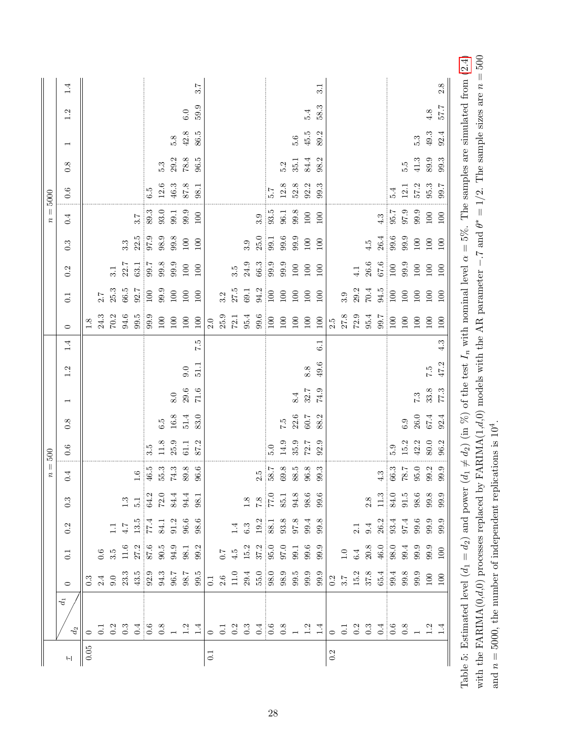| 25.3<br>66.5<br>$\frac{92.7}{100}$<br>99.9<br>$27.5\phantom{1}$ $69.1\phantom{1}$<br>$\frac{94.2}{100}$<br>$29.2$<br>$70.4$<br>94.5<br>$100\,$<br>$100\,$<br>$100\,$<br>$\frac{100}{2}$<br>100<br>$100\,$<br>100<br>100<br>3.2<br>3.9<br>2.7<br>$\overline{0.1}$<br>$94.6\,$<br>$99.5$<br>$99.9$<br>25.9<br>$27.8$<br>$72.9$<br>$95.4$<br>24.3<br>70.2<br>$72.1$ $95.4$<br>99.6<br>$\frac{001}{1.00}$<br>$100\,$<br>$100\,$<br>100<br>$100\,$<br>$100\,$<br>$\frac{100}{2}$<br>$100\,$<br>$100\,$<br>100<br>$2.0\,$<br>2.5<br>$\frac{8}{1}$<br>$\circ$<br>1.4<br>7.5<br>6.1<br>49.6<br>51.1<br>8.8<br>9.0<br>1.2<br>$\begin{array}{c} 8.0 \\ 2.96 \end{array}$<br>74.9<br>$71.6\,$<br>32.7 | $8.4\,$<br>$\overline{\phantom{0}}$<br>22.6<br>$16.8\,$<br>51.4<br>83.0<br>6.5<br>7.5<br>0.8<br>$\begin{array}{c} 11.8 \\ 25.9 \end{array}$<br>35.9<br>87.2<br>14.9<br>$61.1\,$<br>0.6<br>3.5<br>$5.0\,$ | 96.6<br>$\begin{array}{c} 1.6 \\ 46.5 \\ 55.3 \\ 74.3 \\ \end{array}$<br>0.4 | $\begin{array}{c} 1.3 \\ 5.1 \\ 64.2 \\ 72.0 \\ 84.4 \\ 98.1 \end{array}$<br>$\frac{0.22}{8.1}$<br>85.1<br>$0.\overline{3}$ | $\frac{13.5}{77.4}$<br>$1.1$ $\pm$<br>0.2                             | $\frac{27.2}{87.6}$<br>50.5<br>94.9<br>98.2<br>99.9<br>$\begin{array}{c} 0.7 \\ 4.5 \\ 15.2 \\ 37.2 \\ \hline \end{array}$<br>$11.6\,$<br>97.0 |
|--------------------------------------------------------------------------------------------------------------------------------------------------------------------------------------------------------------------------------------------------------------------------------------------------------------------------------------------------------------------------------------------------------------------------------------------------------------------------------------------------------------------------------------------------------------------------------------------------------------------------------------------------------------------------------------------|----------------------------------------------------------------------------------------------------------------------------------------------------------------------------------------------------------|------------------------------------------------------------------------------|-----------------------------------------------------------------------------------------------------------------------------|-----------------------------------------------------------------------|------------------------------------------------------------------------------------------------------------------------------------------------|
|                                                                                                                                                                                                                                                                                                                                                                                                                                                                                                                                                                                                                                                                                            |                                                                                                                                                                                                          |                                                                              |                                                                                                                             |                                                                       | $84.1$<br>91.2<br>96.6<br>98.6                                                                                                                 |
|                                                                                                                                                                                                                                                                                                                                                                                                                                                                                                                                                                                                                                                                                            |                                                                                                                                                                                                          |                                                                              |                                                                                                                             |                                                                       |                                                                                                                                                |
|                                                                                                                                                                                                                                                                                                                                                                                                                                                                                                                                                                                                                                                                                            |                                                                                                                                                                                                          |                                                                              |                                                                                                                             |                                                                       |                                                                                                                                                |
|                                                                                                                                                                                                                                                                                                                                                                                                                                                                                                                                                                                                                                                                                            |                                                                                                                                                                                                          |                                                                              |                                                                                                                             |                                                                       |                                                                                                                                                |
|                                                                                                                                                                                                                                                                                                                                                                                                                                                                                                                                                                                                                                                                                            |                                                                                                                                                                                                          |                                                                              |                                                                                                                             |                                                                       |                                                                                                                                                |
|                                                                                                                                                                                                                                                                                                                                                                                                                                                                                                                                                                                                                                                                                            |                                                                                                                                                                                                          |                                                                              |                                                                                                                             |                                                                       |                                                                                                                                                |
|                                                                                                                                                                                                                                                                                                                                                                                                                                                                                                                                                                                                                                                                                            |                                                                                                                                                                                                          |                                                                              |                                                                                                                             |                                                                       |                                                                                                                                                |
|                                                                                                                                                                                                                                                                                                                                                                                                                                                                                                                                                                                                                                                                                            |                                                                                                                                                                                                          |                                                                              |                                                                                                                             |                                                                       |                                                                                                                                                |
|                                                                                                                                                                                                                                                                                                                                                                                                                                                                                                                                                                                                                                                                                            |                                                                                                                                                                                                          |                                                                              |                                                                                                                             |                                                                       |                                                                                                                                                |
|                                                                                                                                                                                                                                                                                                                                                                                                                                                                                                                                                                                                                                                                                            |                                                                                                                                                                                                          |                                                                              |                                                                                                                             |                                                                       |                                                                                                                                                |
|                                                                                                                                                                                                                                                                                                                                                                                                                                                                                                                                                                                                                                                                                            |                                                                                                                                                                                                          |                                                                              |                                                                                                                             |                                                                       |                                                                                                                                                |
|                                                                                                                                                                                                                                                                                                                                                                                                                                                                                                                                                                                                                                                                                            |                                                                                                                                                                                                          |                                                                              |                                                                                                                             |                                                                       |                                                                                                                                                |
|                                                                                                                                                                                                                                                                                                                                                                                                                                                                                                                                                                                                                                                                                            |                                                                                                                                                                                                          |                                                                              |                                                                                                                             |                                                                       |                                                                                                                                                |
|                                                                                                                                                                                                                                                                                                                                                                                                                                                                                                                                                                                                                                                                                            |                                                                                                                                                                                                          |                                                                              |                                                                                                                             |                                                                       |                                                                                                                                                |
|                                                                                                                                                                                                                                                                                                                                                                                                                                                                                                                                                                                                                                                                                            |                                                                                                                                                                                                          |                                                                              |                                                                                                                             |                                                                       |                                                                                                                                                |
|                                                                                                                                                                                                                                                                                                                                                                                                                                                                                                                                                                                                                                                                                            |                                                                                                                                                                                                          |                                                                              |                                                                                                                             |                                                                       |                                                                                                                                                |
|                                                                                                                                                                                                                                                                                                                                                                                                                                                                                                                                                                                                                                                                                            |                                                                                                                                                                                                          |                                                                              |                                                                                                                             |                                                                       |                                                                                                                                                |
|                                                                                                                                                                                                                                                                                                                                                                                                                                                                                                                                                                                                                                                                                            |                                                                                                                                                                                                          |                                                                              |                                                                                                                             |                                                                       |                                                                                                                                                |
|                                                                                                                                                                                                                                                                                                                                                                                                                                                                                                                                                                                                                                                                                            |                                                                                                                                                                                                          |                                                                              |                                                                                                                             |                                                                       | $94.8\,$                                                                                                                                       |
|                                                                                                                                                                                                                                                                                                                                                                                                                                                                                                                                                                                                                                                                                            | 60.7<br>$72.7$                                                                                                                                                                                           |                                                                              |                                                                                                                             | $98.6$<br>$99.6$                                                      | $99.4$<br>$99.8$<br>$99.6$<br>$99.9$                                                                                                           |
|                                                                                                                                                                                                                                                                                                                                                                                                                                                                                                                                                                                                                                                                                            | 88.2<br>92.9                                                                                                                                                                                             |                                                                              |                                                                                                                             |                                                                       |                                                                                                                                                |
|                                                                                                                                                                                                                                                                                                                                                                                                                                                                                                                                                                                                                                                                                            |                                                                                                                                                                                                          |                                                                              |                                                                                                                             |                                                                       |                                                                                                                                                |
|                                                                                                                                                                                                                                                                                                                                                                                                                                                                                                                                                                                                                                                                                            |                                                                                                                                                                                                          |                                                                              |                                                                                                                             |                                                                       |                                                                                                                                                |
|                                                                                                                                                                                                                                                                                                                                                                                                                                                                                                                                                                                                                                                                                            |                                                                                                                                                                                                          |                                                                              |                                                                                                                             |                                                                       | 2.1                                                                                                                                            |
|                                                                                                                                                                                                                                                                                                                                                                                                                                                                                                                                                                                                                                                                                            |                                                                                                                                                                                                          |                                                                              |                                                                                                                             | 2.8                                                                   | 9.4<br>$20.8\,$                                                                                                                                |
|                                                                                                                                                                                                                                                                                                                                                                                                                                                                                                                                                                                                                                                                                            |                                                                                                                                                                                                          |                                                                              |                                                                                                                             |                                                                       |                                                                                                                                                |
|                                                                                                                                                                                                                                                                                                                                                                                                                                                                                                                                                                                                                                                                                            | 6.5                                                                                                                                                                                                      |                                                                              |                                                                                                                             |                                                                       |                                                                                                                                                |
| $100\,$<br>$100\,$                                                                                                                                                                                                                                                                                                                                                                                                                                                                                                                                                                                                                                                                         | $6.9\,$<br>$15.2\,$                                                                                                                                                                                      |                                                                              |                                                                                                                             |                                                                       |                                                                                                                                                |
| $100\,$<br>$100\,$                                                                                                                                                                                                                                                                                                                                                                                                                                                                                                                                                                                                                                                                         | $5-2$<br>$26.0\,$<br>$42.2\,$                                                                                                                                                                            |                                                                              |                                                                                                                             |                                                                       |                                                                                                                                                |
| 100<br>$100\,$<br>$7.5$<br>47.2<br>$33.8\,$                                                                                                                                                                                                                                                                                                                                                                                                                                                                                                                                                                                                                                                | $67.4\,$<br>80.0                                                                                                                                                                                         |                                                                              | $\begin{array}{c} 4.3 \\ 4.3 \\ 66.3 \\ 78.0 \\ 99.9 \\ \end{array}$                                                        | $\begin{array}{c} 1.3 \\ 34.0 \\ 51.5 \\ 98.6 \\ 99.9 \\ \end{array}$ | $26.3$<br>$33.4$<br>$55.9$<br>$59.9$<br>$59.9$<br>$46.0$<br>$98.0$<br>$99.3$<br>$99.3$<br>$99.0$<br>$100$                                      |
| 100<br>100<br>4.3<br>$77.3\,$                                                                                                                                                                                                                                                                                                                                                                                                                                                                                                                                                                                                                                                              | 92.4<br>96.2                                                                                                                                                                                             |                                                                              |                                                                                                                             |                                                                       |                                                                                                                                                |

<span id="page-27-0"></span>with the FARIMA(0,d,0) processes replaced by FARIMA(1,d,0) models with the AR parameter -.7 and  $\theta^* = 1/2$ . The sample sizes are  $n = 500$ Table 5: Estimated level  $(d_1 = d_2)$  and power  $(d_1 \neq d_2)$  (in %) of the test  $I_n$  with nominal level  $\alpha = 5\%$ . The samples are simulated from (2.4) with the FARIMA(0,d,0) processes replaced by FARIMA(1,d,0) models with the AR parameter −.7 and  $\theta^* = 1/2$ . The sample sizes are  $n = 500$ Table 5: Estimated level  $(d_1 = d_2)$  and power  $(d_1 \neq d_2)$  (in %) of the test  $I_n$  with nominal level  $\alpha = 5\%$ . The samples are simulated from [\(2.4\)](#page-3-0) and  $n = 5000$ , the number of independent replications is  $10^4$ . and  $n = 5000$ , the number of independent replications is  $10<sup>4</sup>$ .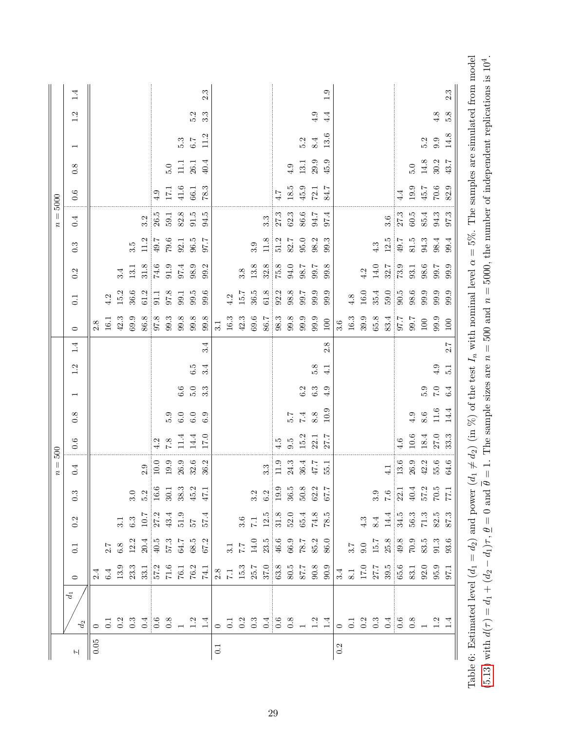<span id="page-28-0"></span>

|          |                |                                                                                                                                                                                                                                                                                                                                                                                                                   |                                                                                                       |                                                                                   |                                                                                                                                                                                                                                                                                                               | $n =$    | 500           |            |                          |                  |                |              |          |          |                  | $\mid \mid$<br>$\boldsymbol{\mathcal{Z}}$ | 5000            |          |                          |     |     |
|----------|----------------|-------------------------------------------------------------------------------------------------------------------------------------------------------------------------------------------------------------------------------------------------------------------------------------------------------------------------------------------------------------------------------------------------------------------|-------------------------------------------------------------------------------------------------------|-----------------------------------------------------------------------------------|---------------------------------------------------------------------------------------------------------------------------------------------------------------------------------------------------------------------------------------------------------------------------------------------------------------|----------|---------------|------------|--------------------------|------------------|----------------|--------------|----------|----------|------------------|-------------------------------------------|-----------------|----------|--------------------------|-----|-----|
|          | $d_1$<br>$d_2$ | $\circ$                                                                                                                                                                                                                                                                                                                                                                                                           | $\overline{0}$ :                                                                                      | 0.2                                                                               | $0.\overline{3}$                                                                                                                                                                                                                                                                                              | 0.4      | 0.6           | 0.8        | $\overline{\phantom{0}}$ | 1.2              | $\circ$<br>1.4 |              | 0.1      | 0.2      | $0.\overline{3}$ | 0.4                                       | 0.6             | 0.8      | $\overline{\phantom{0}}$ | 1.2 | 1.4 |
| $0.05\,$ |                |                                                                                                                                                                                                                                                                                                                                                                                                                   |                                                                                                       |                                                                                   |                                                                                                                                                                                                                                                                                                               |          |               |            |                          |                  |                | 2.8          |          |          |                  |                                           |                 |          |                          |     |     |
|          |                |                                                                                                                                                                                                                                                                                                                                                                                                                   |                                                                                                       |                                                                                   |                                                                                                                                                                                                                                                                                                               |          |               |            |                          |                  |                | 16.1         | 4.2      |          |                  |                                           |                 |          |                          |     |     |
|          |                |                                                                                                                                                                                                                                                                                                                                                                                                                   |                                                                                                       |                                                                                   |                                                                                                                                                                                                                                                                                                               |          |               |            |                          |                  |                | 42.3         | 15.2     | 3.4      |                  |                                           |                 |          |                          |     |     |
|          |                |                                                                                                                                                                                                                                                                                                                                                                                                                   |                                                                                                       |                                                                                   |                                                                                                                                                                                                                                                                                                               |          |               |            |                          |                  |                | 69.9         | 36.6     | 13.1     | 3.5              |                                           |                 |          |                          |     |     |
|          |                |                                                                                                                                                                                                                                                                                                                                                                                                                   |                                                                                                       |                                                                                   |                                                                                                                                                                                                                                                                                                               | 2.9      |               |            |                          |                  |                | 86.8         | 61.2     | $31.8\,$ | 11.2             | 3.2                                       |                 |          |                          |     |     |
|          |                |                                                                                                                                                                                                                                                                                                                                                                                                                   |                                                                                                       | 3.1<br>6.3<br>10.7<br>27.3<br>43.4<br>57.4<br>57.4                                |                                                                                                                                                                                                                                                                                                               | $10.0$   | 4.2           |            |                          |                  |                | 97.8         | 91.1     | 74.6     | 7.67             | 26.5                                      | 4.9             |          |                          |     |     |
|          |                |                                                                                                                                                                                                                                                                                                                                                                                                                   |                                                                                                       |                                                                                   |                                                                                                                                                                                                                                                                                                               | $19.9\,$ | $7.8\,$       | 5.9        |                          |                  |                | 99.3         | 97.8     | 91.9     | $79.6\,$         | 59.1                                      | $17.1\,$        | $5.0\,$  |                          |     |     |
|          |                |                                                                                                                                                                                                                                                                                                                                                                                                                   |                                                                                                       |                                                                                   |                                                                                                                                                                                                                                                                                                               | $26.9\,$ | 11.4          | 6.0        | $6.6\,$                  |                  |                | 99.8         | 99.1     | 97.4     | 92.1             | 82.8                                      | $41.6\,$        | $\Xi$    | 5.3                      |     |     |
|          |                |                                                                                                                                                                                                                                                                                                                                                                                                                   |                                                                                                       |                                                                                   |                                                                                                                                                                                                                                                                                                               | 32.6     | 14.4          | 6.0        | 5.0                      | 6.5              |                | $99.8\,$     | 9.5      | 98.9     | $96.5$           | 91.5                                      | 66.1            | 26.1     | $6.7\,$                  | 5.2 |     |
|          |                | $\begin{array}{c} 6.4 \\ 13.9 \\ 23.3 \\ 33.1 \\ 57.2 \\ 76.1 \\ 76.2 \\ 74.1 \\ \end{array}$                                                                                                                                                                                                                                                                                                                     |                                                                                                       |                                                                                   | $\begin{array}{c cc}\n3.0 & 5.2 \\ 5.2 & 16.6 \\ 16.5 & 38.3 \\ 8.3 & 4.7.1\n\end{array}$                                                                                                                                                                                                                     | 36.2     | 17.0          | 6.9        | 3.3                      | 3.4              | 3.4            | 9.8          | 9.6      | 99.2     | 7.76             | 94.5                                      | 78.3            | 40.4     | 11.2                     | 3.3 | 2.3 |
| 0.1      |                |                                                                                                                                                                                                                                                                                                                                                                                                                   |                                                                                                       |                                                                                   |                                                                                                                                                                                                                                                                                                               |          |               |            |                          |                  |                | 3.1          |          |          |                  |                                           |                 |          |                          |     |     |
|          |                |                                                                                                                                                                                                                                                                                                                                                                                                                   |                                                                                                       |                                                                                   |                                                                                                                                                                                                                                                                                                               |          |               |            |                          |                  |                | $16.3\,$     | 4.2      |          |                  |                                           |                 |          |                          |     |     |
|          |                |                                                                                                                                                                                                                                                                                                                                                                                                                   |                                                                                                       |                                                                                   |                                                                                                                                                                                                                                                                                                               |          |               |            |                          |                  |                | $42.3\,$     | $15.7\,$ | 3.8      |                  |                                           |                 |          |                          |     |     |
|          |                |                                                                                                                                                                                                                                                                                                                                                                                                                   |                                                                                                       |                                                                                   |                                                                                                                                                                                                                                                                                                               |          |               |            |                          |                  |                | $69.6\,$     | 36.5     | $13.8\,$ | 3.9              |                                           |                 |          |                          |     |     |
|          |                |                                                                                                                                                                                                                                                                                                                                                                                                                   |                                                                                                       |                                                                                   |                                                                                                                                                                                                                                                                                                               | 3.3      |               |            |                          |                  |                | 86.7         | 61.8     | 32.8     | 11.8             | $3.\overline{3}$                          |                 |          |                          |     |     |
|          |                |                                                                                                                                                                                                                                                                                                                                                                                                                   |                                                                                                       |                                                                                   |                                                                                                                                                                                                                                                                                                               | 11.9     | $\frac{5}{4}$ |            |                          |                  |                | 98.3         | 92.2     | 75.8     | 51.2             | 27.3                                      | $\frac{4.7}{4}$ |          |                          |     |     |
|          |                |                                                                                                                                                                                                                                                                                                                                                                                                                   |                                                                                                       |                                                                                   |                                                                                                                                                                                                                                                                                                               | 24.3     | 9.5           | 2.9        |                          |                  |                | $99.8\,$     | 98.8     | $94.0\,$ | 82.7             | 62.3                                      | 18.5            | 4.9      |                          |     |     |
|          |                |                                                                                                                                                                                                                                                                                                                                                                                                                   |                                                                                                       |                                                                                   |                                                                                                                                                                                                                                                                                                               | 36.4     | $15.2\,$      | $\ddot{z}$ | $6.2\,$                  |                  |                | 99.9         | 7.66     | 98.7     | $95.0\,$         | 86.6                                      | $45.9\,$        | 13.1     | 5.2                      |     |     |
|          |                | $\begin{array}{ l l } \hline 2.8 & . & . & . \\ \hline 7.1 & . & . & . & . \\ 1.5 & .3 & . & . & . \\ 2.5 & . & . & . & . \\ 3.7 & . & . & . & . \\ 63 & . & . & . & . \\ 80 & . & . & . & . \\ 90 & . & . & . & . \\ 90 & . & . & . & . \\ 90 & . & . & . & . \\ 90 & . & . & . & . \\ 90 & . & . & . & . \\ 90 & . & . & . & . \\ 90 & . & . & . & . \\ 90 & . & . & . & . \\ 90 & . & . & . & . \\ 90 & . & .$ |                                                                                                       | $\begin{array}{c} 3.6 \\ 7.1 \\ 12.5 \\ 31.8 \\ 52.0 \\ 65.4 \\ 78.5 \end{array}$ |                                                                                                                                                                                                                                                                                                               | $47.7$   | 22.1          | 8.8        | 6.3                      | 5.8              |                | 99.9         | 9.9      | 99.7     | 98.2             | 94.7                                      | 72.1            | 29.9     | 8.4                      | 4.9 |     |
|          |                |                                                                                                                                                                                                                                                                                                                                                                                                                   | $\begin{array}{c} 3.1 \\ 7.7 \\ 1.4.0 \\ 14.0 \\ 46.6 \\ 66.9 \\ 78.7 \\ 85.0 \\ 86.0 \\ \end{array}$ |                                                                                   |                                                                                                                                                                                                                                                                                                               | 55.1     | 27.7          | 10.9       | 4.9                      | $\frac{1}{4}$    | 2.8            | 100          | 9.9      | 9.8      | 99.3             | 97.4                                      | 84.7            | 45.9     | 13.6                     | 4.4 | 1.9 |
| 0.2      |                |                                                                                                                                                                                                                                                                                                                                                                                                                   |                                                                                                       |                                                                                   |                                                                                                                                                                                                                                                                                                               |          |               |            |                          |                  |                | 3.6          |          |          |                  |                                           |                 |          |                          |     |     |
|          |                |                                                                                                                                                                                                                                                                                                                                                                                                                   |                                                                                                       |                                                                                   |                                                                                                                                                                                                                                                                                                               |          |               |            |                          |                  |                | $16.3\,$     | 4.8      |          |                  |                                           |                 |          |                          |     |     |
|          |                |                                                                                                                                                                                                                                                                                                                                                                                                                   |                                                                                                       |                                                                                   |                                                                                                                                                                                                                                                                                                               |          |               |            |                          |                  |                | 39.9         | $16.0\,$ | 4.2      |                  |                                           |                 |          |                          |     |     |
|          |                |                                                                                                                                                                                                                                                                                                                                                                                                                   |                                                                                                       |                                                                                   |                                                                                                                                                                                                                                                                                                               |          |               |            |                          |                  |                | $65.8\,$     | 35.4     | $14.0\,$ | 4.3              |                                           |                 |          |                          |     |     |
|          |                | $3.4$<br>$3.1$<br>$5.7$<br>$27.7$<br>$3.9.5$<br>$6.5$<br>$3.1$<br>$3.1$<br>$3.1$<br>$3.1$<br>$3.1$<br>$3.1$<br>$3.1$<br>$3.1$<br>$3.1$<br>$3.1$                                                                                                                                                                                                                                                                   |                                                                                                       | $4.3$<br>$8.4$<br>$14.4$<br>$34.5$<br>$56.3$<br>$7.3$<br>$87.3$                   | $\begin{array}{c} 3.9 \\ 7.6 \\ 22.1 \\ 40.4 \\ 57.2 \\ 71.1 \\ 72.3 \\ 73.5 \\ 74.1 \\ 75.1 \\ 77.1 \\ 77.1 \\ 77.1 \\ 77.1 \\ 77.1 \\ 77.1 \\ 77.1 \\ 77.1 \\ 77.1 \\ 77.1 \\ 77.1 \\ 77.1 \\ 77.1 \\ 77.1 \\ 77.1 \\ 77.1 \\ 77.1 \\ 77.1 \\ 77.1 \\ 77.1 \\ 77.1 \\ 77.1 \\ 77.1 \\ 77.1 \\ 77.1 \\ 77.1$ | $4.1\,$  |               |            |                          |                  |                | 83.4<br>97.7 | 59.0     | 32.7     | 12.5             | $3.6\,$                                   |                 |          |                          |     |     |
|          |                |                                                                                                                                                                                                                                                                                                                                                                                                                   |                                                                                                       |                                                                                   |                                                                                                                                                                                                                                                                                                               | $13.6\,$ | 4.6           |            |                          |                  |                |              | 90.5     | 73.9     | 49.7             | 27.3                                      | 4.4             |          |                          |     |     |
|          |                |                                                                                                                                                                                                                                                                                                                                                                                                                   |                                                                                                       |                                                                                   |                                                                                                                                                                                                                                                                                                               | 26.9     | $10.6\,$      | 4.9        |                          |                  |                | 99.7         | 98.6     | 93.1     | 81.5             | $60.5$                                    | 19.9            | 5.0      |                          |     |     |
|          |                |                                                                                                                                                                                                                                                                                                                                                                                                                   |                                                                                                       |                                                                                   |                                                                                                                                                                                                                                                                                                               | $42.2\,$ | $18.4\,$      | 8.6        |                          |                  |                | $100\,$      | 99.9     | 98.6     | 94.3             | 85.4                                      | $45.7$          | $14.8\,$ | 5.2                      |     |     |
|          |                |                                                                                                                                                                                                                                                                                                                                                                                                                   |                                                                                                       |                                                                                   |                                                                                                                                                                                                                                                                                                               | $55.6$   | $27.0\,$      | $11.6\,$   | $0.7$<br>0.7             | 4.9              |                | 99.9         | 9.9      | $99.7\,$ | 98.4             | $94.3\,$                                  | $70.6\,$        | 30.2     | 9.9                      | 4.8 |     |
|          |                |                                                                                                                                                                                                                                                                                                                                                                                                                   |                                                                                                       |                                                                                   |                                                                                                                                                                                                                                                                                                               | 64.6     | 33.3          | 14.4       | 6.4                      | $\overline{5}$ . | 2.7            | $100\,$      | 9.9      | 99.9     | 99.4             | 97.3                                      | 82.9            | 43.7     | 14.8                     | 5.8 | 2.3 |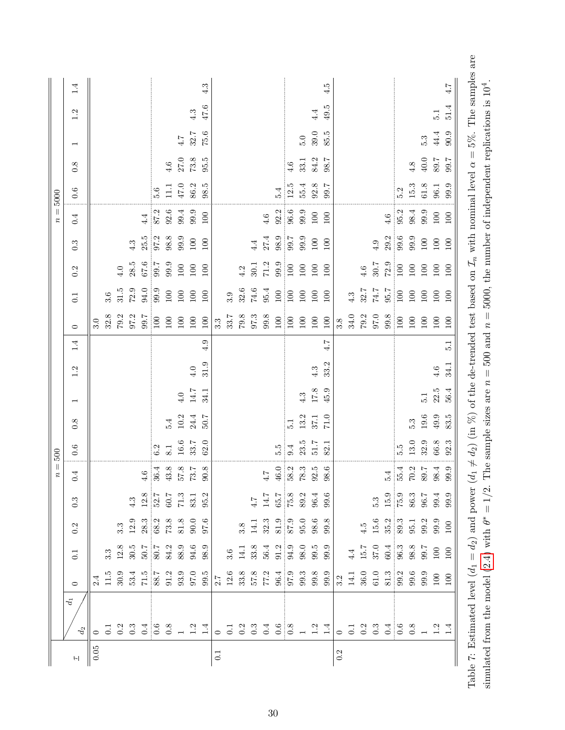<span id="page-29-0"></span>

|                  |                                      |                                                                                      |                  |                                                                                                                                                                                                                                                                                                                                                      |                                                                                | $n = 0$                                     | 500      |                |                                            |      |                  |                                             |                                                         |                                            |                     | $n =$               | 5000     |                 |                          |      |     |
|------------------|--------------------------------------|--------------------------------------------------------------------------------------|------------------|------------------------------------------------------------------------------------------------------------------------------------------------------------------------------------------------------------------------------------------------------------------------------------------------------------------------------------------------------|--------------------------------------------------------------------------------|---------------------------------------------|----------|----------------|--------------------------------------------|------|------------------|---------------------------------------------|---------------------------------------------------------|--------------------------------------------|---------------------|---------------------|----------|-----------------|--------------------------|------|-----|
| $\leftarrow$     | $d_1$<br>$d_2\,$                     | $\circ$                                                                              | $\overline{0}$ : | $0.2\,$                                                                                                                                                                                                                                                                                                                                              | $0.\overline{3}$                                                               | 0.4                                         | 0.6      | 0.8            | $\overline{\phantom{0}}$                   | 1.2  | 1.4              | $\circ$                                     | $\overline{0}$ :                                        | 0.2                                        | $0.\overline{3}$    | 0.4                 | 0.6      | 0.8             | $\overline{\phantom{0}}$ | 1.2  | 1.4 |
| $0.05\,$         |                                      |                                                                                      |                  |                                                                                                                                                                                                                                                                                                                                                      |                                                                                |                                             |          |                |                                            |      |                  | 3.0                                         |                                                         |                                            |                     |                     |          |                 |                          |      |     |
|                  |                                      |                                                                                      |                  |                                                                                                                                                                                                                                                                                                                                                      |                                                                                |                                             |          |                |                                            |      |                  | 32.8                                        | 3.6                                                     |                                            |                     |                     |          |                 |                          |      |     |
|                  |                                      |                                                                                      |                  |                                                                                                                                                                                                                                                                                                                                                      |                                                                                |                                             |          |                |                                            |      |                  | $79.2$<br>97.2                              | 31.5                                                    | 4.0                                        |                     |                     |          |                 |                          |      |     |
|                  |                                      |                                                                                      |                  |                                                                                                                                                                                                                                                                                                                                                      | $4.3\,$                                                                        |                                             |          |                |                                            |      |                  |                                             | $72.9\,$                                                | 28.5                                       | 4.3                 |                     |          |                 |                          |      |     |
|                  |                                      |                                                                                      |                  |                                                                                                                                                                                                                                                                                                                                                      |                                                                                |                                             |          |                |                                            |      |                  | $\begin{array}{c} 29.7 \\ 100 \end{array}$  | 94.0                                                    | $\frac{67.6}{0.7}$                         |                     | 4.4                 |          |                 |                          |      |     |
|                  |                                      |                                                                                      |                  | $\frac{3}{2}$<br>$\frac{3}{2}$<br>$\frac{3}{2}$<br>$\frac{3}{2}$<br>$\frac{3}{2}$<br>$\frac{3}{2}$<br>$\frac{3}{2}$<br>$\frac{3}{2}$<br>$\frac{3}{2}$<br>$\frac{3}{2}$<br>$\frac{3}{2}$<br>$\frac{3}{2}$<br>$\frac{3}{2}$<br>$\frac{3}{2}$<br>$\frac{3}{2}$<br>$\frac{3}{2}$<br>$\frac{3}{2}$<br>$\frac{3}{2}$<br>$\frac{3}{2}$<br>$\frac{3}{2}$<br> |                                                                                | $\frac{4.6}{36.4}$                          | 6.2      |                |                                            |      |                  |                                             | 99.9                                                    |                                            | $\frac{25.5}{97.2}$ | 87.2                | 5.6      |                 |                          |      |     |
|                  |                                      |                                                                                      |                  |                                                                                                                                                                                                                                                                                                                                                      |                                                                                | $43.8\,$                                    | $8.1\,$  | 5.4            |                                            |      |                  | $100\,$                                     | $100\,$                                                 | 99.9                                       |                     | 92.6                | $\Xi$    | 4.6             |                          |      |     |
|                  |                                      |                                                                                      |                  |                                                                                                                                                                                                                                                                                                                                                      |                                                                                | $\frac{57.8}{73.7}$                         | $16.6\,$ | $10.2\,$       | $4.0\,$                                    |      |                  | $100\,$                                     | $100\,$                                                 | $100\,$                                    | 99.9                | 99.4                | $47.0\,$ | $27.0\,$        | 4.7                      |      |     |
|                  |                                      |                                                                                      |                  |                                                                                                                                                                                                                                                                                                                                                      |                                                                                |                                             | 33.7     | 24.4           | $14.7\,$                                   | 4.0  |                  | $100\,$                                     | 100                                                     | $100\,$                                    | $100\,$             | 99.9                | 86.2     | $73.8\,$        | 32.7                     | 4.3  |     |
|                  |                                      |                                                                                      |                  |                                                                                                                                                                                                                                                                                                                                                      | $\begin{array}{c} 12.8 \\ 52.7 \\ 60.7 \\ 71.3 \\ 83.1 \\ 95.2 \\ \end{array}$ | 90.8                                        | 62.0     | 7.05           | 34.1                                       | 31.9 | 4.9              | 100                                         | 100                                                     | 100                                        | 100                 | 100                 | 98.5     | 95.5            | 75.6                     | 47.6 | 4.3 |
| $\overline{0.1}$ |                                      |                                                                                      |                  |                                                                                                                                                                                                                                                                                                                                                      |                                                                                |                                             |          |                |                                            |      |                  | $3.\overline{3}$                            |                                                         |                                            |                     |                     |          |                 |                          |      |     |
|                  |                                      |                                                                                      |                  |                                                                                                                                                                                                                                                                                                                                                      |                                                                                |                                             |          |                |                                            |      |                  | 33.7                                        | 3.9                                                     |                                            |                     |                     |          |                 |                          |      |     |
|                  |                                      |                                                                                      |                  |                                                                                                                                                                                                                                                                                                                                                      |                                                                                |                                             |          |                |                                            |      |                  |                                             | 32.6                                                    | 4.2                                        |                     |                     |          |                 |                          |      |     |
|                  |                                      |                                                                                      |                  |                                                                                                                                                                                                                                                                                                                                                      | $7.4\,$                                                                        |                                             |          |                |                                            |      |                  | $\begin{array}{c} 79.8 \\ 97.3 \end{array}$ | $74.6\,$                                                | 30.1                                       | 4.4                 |                     |          |                 |                          |      |     |
|                  |                                      |                                                                                      |                  |                                                                                                                                                                                                                                                                                                                                                      | $14.7\,$                                                                       | $4.7$ 46.0                                  |          |                |                                            |      |                  | 99.8                                        | 95.4                                                    | 71.2                                       | 27.4                | 4.6                 |          |                 |                          |      |     |
|                  |                                      |                                                                                      |                  |                                                                                                                                                                                                                                                                                                                                                      |                                                                                |                                             | 5.9      |                |                                            |      |                  | $100\,$                                     | $\begin{array}{c}\n 100 \\  \hline\n 100\n \end{array}$ | $\begin{array}{c} 9.9 \\ 100 \end{array}$  | $98.9$<br>$99.7$    | $\frac{92.2}{96.6}$ | 5.4      |                 |                          |      |     |
|                  |                                      |                                                                                      |                  |                                                                                                                                                                                                                                                                                                                                                      |                                                                                | 58.2                                        | 9.4      | $\overline{5}$ |                                            |      |                  | $\overline{100}$                            |                                                         |                                            |                     |                     | $12.5\,$ | $\frac{6}{4.6}$ |                          |      |     |
|                  |                                      |                                                                                      |                  |                                                                                                                                                                                                                                                                                                                                                      |                                                                                |                                             | 23.5     | $13.2\,$       | $\begin{array}{c} 4.3 \\ 17.8 \end{array}$ |      |                  | $100\,$                                     | $100\,$                                                 | 100                                        | 9.9                 | 99.9                | 55.4     | $33.1\,$        | 5.0                      |      |     |
|                  |                                      |                                                                                      |                  | $\begin{array}{c} 3.8 \\ 14.1 \\ 32.3 \\ 81.9 \\ 87.9 \\ 96.6 \\ 98.8 \\ \end{array}$                                                                                                                                                                                                                                                                | $65.7$<br>$75.8$<br>$89.3$<br>$99.6$                                           | $\begin{array}{c} 78.3 \\ 92.5 \end{array}$ | 51.7     | 37.1           |                                            | 4.3  |                  | $100\,$                                     | 100                                                     | 100                                        | $100\,$             | $100\,$             | 92.8     | 84.2            | 39.0                     | 4.4  |     |
|                  |                                      |                                                                                      |                  |                                                                                                                                                                                                                                                                                                                                                      |                                                                                | 98.6                                        | 82.1     | 71.0           | 45.9                                       | 33.2 | 4.7              | $100\,$                                     | 100                                                     | 100                                        | 100                 | 100                 | 7.66     | 98.7            | 85.5                     | 49.5 | 4.5 |
| 0.2              |                                      |                                                                                      |                  |                                                                                                                                                                                                                                                                                                                                                      |                                                                                |                                             |          |                |                                            |      |                  | 3.8                                         |                                                         |                                            |                     |                     |          |                 |                          |      |     |
|                  |                                      |                                                                                      |                  |                                                                                                                                                                                                                                                                                                                                                      |                                                                                |                                             |          |                |                                            |      |                  | $34.0\,$                                    | 4.3                                                     |                                            |                     |                     |          |                 |                          |      |     |
|                  |                                      |                                                                                      |                  |                                                                                                                                                                                                                                                                                                                                                      |                                                                                |                                             |          |                |                                            |      |                  | $79.2$<br>97.0                              | 32.7                                                    | $4.6\,$                                    |                     |                     |          |                 |                          |      |     |
|                  |                                      |                                                                                      |                  |                                                                                                                                                                                                                                                                                                                                                      |                                                                                |                                             |          |                |                                            |      |                  |                                             | $74.7$                                                  | 30.7                                       | $4.9$               |                     |          |                 |                          |      |     |
|                  | $0.73$ $0.3$ $0.6$ $0.8$ $0.3$ $1.4$ | $3.2$<br>$14.1$<br>$36.0$<br>$61.3$<br>$61.3$<br>$69.9$<br>$69.9$<br>$69.9$<br>$100$ |                  | $\frac{4.5}{15.6}$<br>$\frac{6}{35.2}$<br>$\frac{3}{39.3}$<br>$\frac{3}{39.2}$<br>$\frac{3}{39.2}$<br>$\frac{3}{39.2}$<br>$\frac{3}{39.2}$                                                                                                                                                                                                           | 5.3<br>15.9<br>75.9<br>86.9<br>99.9<br>99.9                                    | $\frac{5.4}{55.4}$                          |          |                |                                            |      |                  | $\begin{array}{c} 99.8 \\ 100 \end{array}$  | $\frac{95.7}{100}$                                      | $\begin{array}{c} 72.9 \\ 100 \end{array}$ | $\frac{29.2}{99.6}$ | 4.6                 |          |                 |                          |      |     |
|                  |                                      |                                                                                      |                  |                                                                                                                                                                                                                                                                                                                                                      |                                                                                |                                             | 5.5      |                |                                            |      |                  |                                             |                                                         |                                            |                     | 95.2                | 5.2      |                 |                          |      |     |
|                  |                                      |                                                                                      |                  |                                                                                                                                                                                                                                                                                                                                                      |                                                                                | $70.2\,$                                    | 13.0     | 5.3            |                                            |      |                  | 100                                         | 100                                                     | 100                                        | 99.9                | 98.4                | $15.3\,$ | 4.8             |                          |      |     |
|                  |                                      |                                                                                      |                  |                                                                                                                                                                                                                                                                                                                                                      |                                                                                | $89.7\,$                                    | 32.9     | $19.6\,$       | $\frac{1}{5}$                              |      |                  | $100\,$                                     | $100\,$                                                 | 100                                        | $100\,$             | 9.9                 | $61.8\,$ | $40.0\,$        | 5.3                      |      |     |
|                  |                                      |                                                                                      |                  |                                                                                                                                                                                                                                                                                                                                                      |                                                                                | $98.4\,$                                    | 66.8     | $49.9\,$       | 22.5                                       | 4.6  |                  | $100\,$                                     | $100\,$                                                 | $100\,$                                    | $100\,$             | $100\,$             | $96.1\,$ | $89.7\,$        | 44.4                     | 5.1  |     |
|                  |                                      |                                                                                      |                  |                                                                                                                                                                                                                                                                                                                                                      |                                                                                | 99.9                                        | 92.3     | 83.5           | 56.4                                       | 34.1 | $\overline{5}$ . | 100                                         | 100                                                     | 100                                        | 100                 | 100                 | 9.9      | 99.7            | 90.9                     | 51.4 | 4.7 |
|                  |                                      |                                                                                      |                  |                                                                                                                                                                                                                                                                                                                                                      |                                                                                |                                             |          |                |                                            |      |                  |                                             |                                                         |                                            |                     |                     |          |                 |                          |      |     |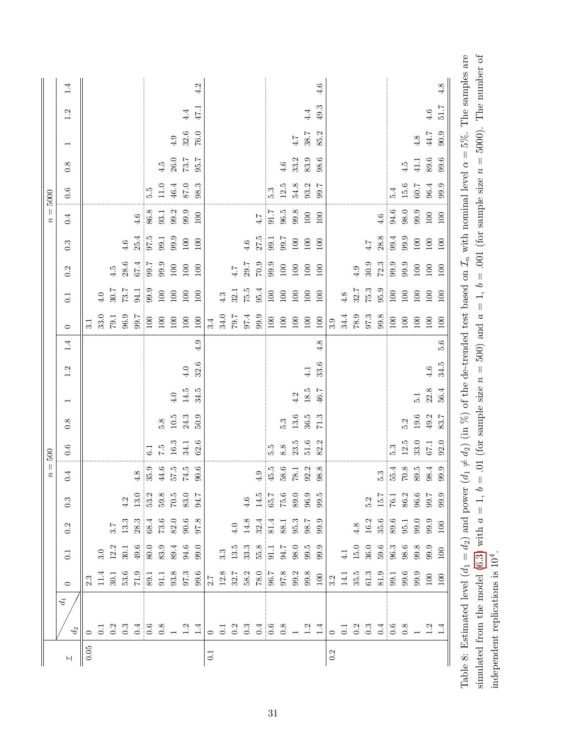| 5000<br>$n =$ | $1.4\,$<br>1.2<br>$\overline{\phantom{0}}$<br>0.8<br>0.6<br>0.4<br>$0.\overline{3}$ |          |              |                    | $4.6\,$                                    | $4.6\,$<br>25.4  | 5.5<br>97.5                                                                                                           | 4.5<br>$11.0$<br>$86.7$<br>$89.3$<br>$89.3$<br>99.1 | $4.9$<br>$26.0\,$<br>46.4<br>99.9 | 4.4<br>$32.6\,$<br>73.7<br>87.0<br>99.9<br>$100\,$ | 4.2<br>47.1<br>$76.0\,$<br>95.7<br>98.3<br>100<br>100 |       |                  |     | $4.6\,$          | 27.5                                                                                                                                                                                                                                                                                                                               | 5.3<br>$\frac{4.7}{1.4}$<br>99.1 | 4.6<br>12.5<br>$96.5\,$<br>99.7 | $4.7\,$<br>33.2<br>$54.8\,$<br>$99.8\,$<br>$100\,$ | 4.4<br>38.7<br>83.9<br>93.2<br>$100\,$<br>100                        | 4.6<br>49.3<br>85.2<br>98.6<br>7.66<br>100<br>100 |     |                                 |             | 4.7                 | $4.6\,$<br>28.8                                                                                | 5.4<br>$94.6$<br>$98.0$<br>99.4                                   | 4.5<br>$15.6\,$<br>99.9 | 4.8<br>$41.1\,$<br>$60.7\,$<br>9.9<br>$100\,$ | $4.6\,$<br>44.7<br>$89.6\,$<br>$96.4\,$<br>$100\,$<br>$100\,$ | 100            |
|---------------|-------------------------------------------------------------------------------------|----------|--------------|--------------------|--------------------------------------------|------------------|-----------------------------------------------------------------------------------------------------------------------|-----------------------------------------------------|-----------------------------------|----------------------------------------------------|-------------------------------------------------------|-------|------------------|-----|------------------|------------------------------------------------------------------------------------------------------------------------------------------------------------------------------------------------------------------------------------------------------------------------------------------------------------------------------------|----------------------------------|---------------------------------|----------------------------------------------------|----------------------------------------------------------------------|---------------------------------------------------|-----|---------------------------------|-------------|---------------------|------------------------------------------------------------------------------------------------|-------------------------------------------------------------------|-------------------------|-----------------------------------------------|---------------------------------------------------------------|----------------|
|               | 0.2<br>0.1                                                                          |          | $\ddot{4.0}$ | 4.5<br>30.7        | 28.6<br>7.87                               | $67.4\,$<br>94.1 | 99.9                                                                                                                  | $39.5$<br>$39.9$<br>$100\,$                         | $100\,$<br>$100\,$                | $100\,$<br>100                                     | 100<br>100                                            |       | 4.3              | 7.4 | $29.7\,$         | $\frac{6.60}{6.02}$<br>$\begin{array}{c} 32.1 \\ 75.5 \\ 95.4 \\ 100 \end{array}$                                                                                                                                                                                                                                                  |                                  | $100\,$<br>$100\,$              | $100\,$<br>100                                     | 100<br>100                                                           | 100<br>100                                        |     | $4.8$                           | 4.9         | 30.9                | $\begin{array}{c} 32.7 \\ 75.3 \\ 95.9 \\ 100 \end{array}$                                     | $\frac{72.3}{99.9}$                                               | 99.9<br>$100\,$         | $100\,$<br>$100\,$                            | $100\,$<br>100                                                | 100<br>$100\,$ |
|               | $\circ$                                                                             | 3.1      | 33.0         | 1.67               | 96.9                                       | 99.7             | 100                                                                                                                   | $100\,$                                             | $100\,$                           | $100\,$                                            | $100\,$                                               | 3.4   | $34.0\,$         |     | $7.67$<br>7.97.4 | 99.9                                                                                                                                                                                                                                                                                                                               | $\frac{100}{2}$                  | $100\,$                         | $100\,$                                            | $100\,$                                                              | $100\,$                                           | 3.9 | 34.4                            | $6.8^\circ$ | 97.3                | 99.8                                                                                           | 100                                                               | 100                     | $100\,$                                       | $100\,$                                                       | $100\,$        |
|               | 1.4                                                                                 |          |              |                    |                                            |                  |                                                                                                                       |                                                     |                                   |                                                    | 4.9                                                   |       |                  |     |                  |                                                                                                                                                                                                                                                                                                                                    |                                  |                                 |                                                    |                                                                      | 4.8                                               |     |                                 |             |                     |                                                                                                |                                                                   |                         |                                               |                                                               | 5.6            |
|               | 1.2                                                                                 |          |              |                    |                                            |                  |                                                                                                                       |                                                     |                                   | 4.0                                                | 32.6                                                  |       |                  |     |                  |                                                                                                                                                                                                                                                                                                                                    |                                  |                                 |                                                    | $4.1\,$                                                              | 33.6                                              |     |                                 |             |                     |                                                                                                |                                                                   |                         |                                               | 4.6                                                           | 34.5           |
|               | $\overline{ }$                                                                      |          |              |                    |                                            |                  |                                                                                                                       |                                                     | $\ddot{ }$                        | 14.5                                               | 34.5                                                  |       |                  |     |                  |                                                                                                                                                                                                                                                                                                                                    |                                  |                                 | 4.2                                                | $18.5\,$                                                             | 46.7                                              |     |                                 |             |                     |                                                                                                |                                                                   |                         | $\frac{1}{2}$                                 | $22.8$                                                        | 56.4           |
|               | 0.8                                                                                 |          |              |                    |                                            |                  |                                                                                                                       | 5.8                                                 | $10.5\,$                          | 24.3                                               | 50.9                                                  |       |                  |     |                  |                                                                                                                                                                                                                                                                                                                                    |                                  | 5.3                             | $13.6\,$                                           | 36.5                                                                 | 71.3                                              |     |                                 |             |                     |                                                                                                |                                                                   | 5.2                     | $19.6\,$                                      | 49.2                                                          | 83.7           |
| $i = 500$     | $0.6\,$                                                                             |          |              |                    |                                            |                  | $6.1\,$                                                                                                               |                                                     | $7.5\phantom{1}5.3$               | 34.1                                               | 62.6                                                  |       |                  |     |                  |                                                                                                                                                                                                                                                                                                                                    | 5.5                              | $8.8\,$                         | 23.5                                               | 51.6                                                                 | 82.2                                              |     |                                 |             |                     |                                                                                                | 5.3                                                               | 12.5                    | 33.0                                          | 67.1                                                          | 92.0           |
|               | 4<br>$\dot{\circ}$                                                                  |          |              |                    |                                            | $\infty$         |                                                                                                                       |                                                     |                                   | 9.9<br>55.5<br>55.7<br>59.6                        |                                                       |       |                  |     |                  |                                                                                                                                                                                                                                                                                                                                    |                                  |                                 |                                                    | $\begin{array}{c} 4.9 \\ 45.5 \\ 8.6 \\ 78.1 \\ 28.8 \\ \end{array}$ |                                                   |     |                                 |             |                     |                                                                                                | $\begin{array}{c} 5.3 \\ 5.4 \\ 7.8 \\ 8.5 \\ 9.9 \\ \end{array}$ |                         |                                               |                                                               |                |
|               | $0.\overline{3}$                                                                    |          |              |                    |                                            |                  | $4.2$<br>$13.0$<br>$53.2$<br>$70.5$<br>$70.5$<br>$94.7$<br>$94.7$                                                     |                                                     |                                   |                                                    |                                                       |       |                  |     |                  | $4.6$<br>$14.5$<br>$15.7$<br>$75.6$<br>$75.0$<br>$99.5$<br>$99.5$                                                                                                                                                                                                                                                                  |                                  |                                 |                                                    |                                                                      |                                                   |     |                                 |             |                     | $\frac{5.2}{15.7}$<br>$\frac{15.7}{76.1}$<br>$\frac{86.2}{99.7}$<br>$\frac{99.9}{99.9}$        |                                                                   |                         |                                               |                                                               |                |
|               | 0.2                                                                                 |          |              |                    | $\begin{array}{c} 3.7 \\ 13.3 \end{array}$ |                  | $\begin{array}{c} 28.3 \\ 68.4 \\ 73.6 \\ 82.9 \\ 96.8 \\ \end{array}$                                                |                                                     |                                   |                                                    |                                                       |       |                  |     |                  |                                                                                                                                                                                                                                                                                                                                    |                                  |                                 |                                                    |                                                                      |                                                   |     |                                 |             | $4.8\phantom{}16.2$ | $\begin{array}{c} 4.6 \\ 8.7 \\ 8.9 \\ 9.9 \\ 9.9 \\ 9.9 \\ 100 \\ \end{array}$                |                                                                   |                         |                                               |                                                               |                |
|               | $\overline{0.1}$                                                                    |          |              | $\frac{3.0}{12.2}$ | 30.1                                       |                  | $\begin{array}{cccccc} 49.6 & 0 & 0 & 4 & 6 & 0 \\ 80.0 & 0 & 3 & 4 & 6 & 0 \\ 80 & 8 & 8 & 3 & 5 & 0 \\ \end{array}$ |                                                     |                                   |                                                    |                                                       |       | $3.\overline{3}$ |     |                  | $\begin{array}{cccccc} 1 & 3 & 3 & 8 \\ 3 & 3 & 3 & 5 \\ 5 & 5 & 5 & 6 \\ 7 & 8 & 3 & 3 \\ 8 & 9 & 3 & 3 \\ 9 & 1 & 1 & 5 \\ 1 & 1 & 1 & 5 \\ 1 & 1 & 1 & 5 \\ 1 & 1 & 1 & 5 \\ 1 & 1 & 1 & 5 \\ 1 & 1 & 1 & 5 \\ 1 & 1 & 1 & 5 \\ 1 & 1 & 1 & 5 \\ 1 & 1 & 1 & 5 \\ 1 & 1 & 1 & 5 \\ 1 & 1 & 1 & 5 \\ 1 & 1 & 1 & 5 \\ 1 & 1 & 1$ |                                  |                                 |                                                    |                                                                      |                                                   |     | $\overline{1.4}$                | $15.0\,$    |                     |                                                                                                |                                                                   |                         |                                               |                                                               |                |
|               | $\circ$                                                                             |          |              |                    |                                            |                  |                                                                                                                       |                                                     |                                   |                                                    |                                                       |       |                  |     |                  | $\begin{array}{l} 2.7 \\ 1.2.8 \\ 12.7 \\ 32.7 \\ 58.2 \\ 78.0 \\ 78.0 \\ 96.7 \\ 96.3 \\ 99.3 \\ 99.8 \\ 100 \\ \end{array}$                                                                                                                                                                                                      |                                  |                                 |                                                    |                                                                      |                                                   |     |                                 |             |                     | $3.2$<br>$14.1$<br>$35.5$<br>$61.3$<br>$51.7$<br>$51.7$<br>$59.9$<br>$59.9$<br>$50.0$<br>$100$ |                                                                   |                         |                                               |                                                               |                |
|               | $d_1$<br>$d_2\,$<br>$\vdash$                                                        | $0.05\,$ |              |                    |                                            |                  | $0 1 2 3 3 4 6 8 1 2 1$                                                                                               |                                                     |                                   |                                                    | $\ddot{1}$                                            | $\Xi$ |                  |     |                  | $0$ $\begin{array}{ccc} 0 & 0 & 0 & 0 & 0 \\ 0 & 0 & 0 & 0 & 0 \\ 0 & 0 & 0 & 0 & 0 \end{array}$                                                                                                                                                                                                                                   |                                  |                                 |                                                    |                                                                      |                                                   | 0.2 | $\overline{0}$ . $\overline{1}$ |             |                     | $3.3$ $\frac{4}{9}$ $\frac{6}{9}$ $\frac{8}{9}$ $\frac{1}{1}$                                  |                                                                   |                         |                                               | $1.3$<br>$1.4$                                                |                |

<span id="page-30-0"></span>simulated from the model (6.3) with  $a = 1$ ,  $b = .01$  (for sample size  $n = 500$ ) and  $a = 1$ ,  $b = .001$  (for sample size  $n = 5000$ ). The number of Table 8: Estimated level  $(d_1 = d_2)$  and power  $(d_1 \neq d_2)$  (in %) of the de-trended test based on  $\mathcal{I}_n$  with nominal level  $\alpha = 5\%$ . The samples are Table 8: Estimated level  $(d_1 = d_2)$  and power  $(d_1 \neq d_2)$  (in %) of the de-trended test based on  $\mathcal{I}_n$  with nominal level  $\alpha = 5\%$ . The samples are simulated from the model  $(6.3)$  with  $a = 1$ ,  $b = .01$  (for sample size  $n = 500$ ) and  $a = 1$ ,  $b = .001$  (for sample size  $n = 5000$ ). The number of independent replications is  $10^4$ . independent replications is 104.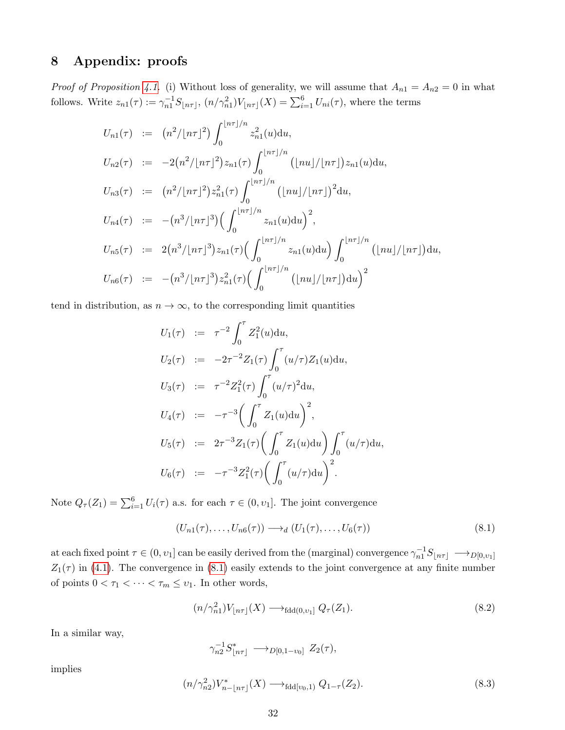# <span id="page-31-0"></span>8 Appendix: proofs

*Proof of Proposition [4.1.](#page-7-0)* (i) Without loss of generality, we will assume that  $A_{n1} = A_{n2} = 0$  in what follows. Write  $z_{n1}(\tau) := \gamma_{n1}^{-1} S_{\lfloor n\tau \rfloor}, (n/\gamma_{n1}^2) V_{\lfloor n\tau \rfloor}(X) = \sum_{i=1}^6 U_{ni}(\tau)$ , where the terms

$$
U_{n1}(\tau) := (n^2/|n\tau|^2) \int_0^{\lfloor n\tau \rfloor/n} z_{n1}^2(u) du,
$$
  
\n
$$
U_{n2}(\tau) := -2(n^2/|n\tau|^2) z_{n1}(\tau) \int_0^{\lfloor n\tau \rfloor/n} (|nu|/|n\tau|) z_{n1}(u) du,
$$
  
\n
$$
U_{n3}(\tau) := (n^2/|n\tau|^2) z_{n1}^2(\tau) \int_0^{\lfloor n\tau \rfloor/n} (|nu|/|n\tau|)^2 du,
$$
  
\n
$$
U_{n4}(\tau) := -(n^3/|n\tau|^3) \Big( \int_0^{\lfloor n\tau \rfloor/n} z_{n1}(u) du \Big)^2,
$$
  
\n
$$
U_{n5}(\tau) := 2(n^3/|n\tau|^3) z_{n1}(\tau) \Big( \int_0^{\lfloor n\tau \rfloor/n} z_{n1}(u) du \Big) \int_0^{\lfloor n\tau \rfloor/n} (|nu|/|n\tau|) du,
$$
  
\n
$$
U_{n6}(\tau) := -(n^3/|n\tau|^3) z_{n1}^2(\tau) \Big( \int_0^{\lfloor n\tau \rfloor/n} (|nu|/|n\tau|) du \Big)^2
$$

tend in distribution, as  $n \to \infty$ , to the corresponding limit quantities

$$
U_1(\tau) := \tau^{-2} \int_0^{\tau} Z_1^2(u) du,
$$
  
\n
$$
U_2(\tau) := -2\tau^{-2} Z_1(\tau) \int_0^{\tau} (u/\tau) Z_1(u) du,
$$
  
\n
$$
U_3(\tau) := \tau^{-2} Z_1^2(\tau) \int_0^{\tau} (u/\tau)^2 du,
$$
  
\n
$$
U_4(\tau) := -\tau^{-3} \Big( \int_0^{\tau} Z_1(u) du \Big)^2,
$$
  
\n
$$
U_5(\tau) := 2\tau^{-3} Z_1(\tau) \Big( \int_0^{\tau} Z_1(u) du \Big) \int_0^{\tau} (u/\tau) du,
$$
  
\n
$$
U_6(\tau) := -\tau^{-3} Z_1^2(\tau) \Big( \int_0^{\tau} (u/\tau) du \Big)^2.
$$

Note  $Q_{\tau}(Z_1) = \sum_{i=1}^{6} U_i(\tau)$  a.s. for each  $\tau \in (0, v_1]$ . The joint convergence

<span id="page-31-1"></span>
$$
(U_{n1}(\tau),\ldots,U_{n6}(\tau))\longrightarrow_d (U_1(\tau),\ldots,U_6(\tau))
$$
\n(8.1)

at each fixed point  $\tau \in (0, v_1]$  can be easily derived from the (marginal) convergence  $\gamma_{n1}^{-1}S_{\lfloor n\tau \rfloor} \longrightarrow_{D[0, v_1]}$  $Z_1(\tau)$  in [\(4.1\)](#page-7-4). The convergence in [\(8.1\)](#page-31-1) easily extends to the joint convergence at any finite number of points  $0 < \tau_1 < \cdots < \tau_m \leq \upsilon_1$  . In other words,

<span id="page-31-2"></span>
$$
(n/\gamma_{n1}^2)V_{\lfloor n\tau \rfloor}(X) \longrightarrow_{\text{fdd}(0,\nu_1]} Q_{\tau}(Z_1). \tag{8.2}
$$

In a similar way,

$$
\gamma_{n2}^{-1} S_{\lfloor n\tau \rfloor}^* \longrightarrow_{D[0,1-v_0]} Z_2(\tau),
$$

implies

<span id="page-31-3"></span>
$$
(n/\gamma_{n2}^2)V_{n-[n\tau]}^*(X) \longrightarrow_{\text{fdd}[v_0,1)} Q_{1-\tau}(Z_2). \tag{8.3}
$$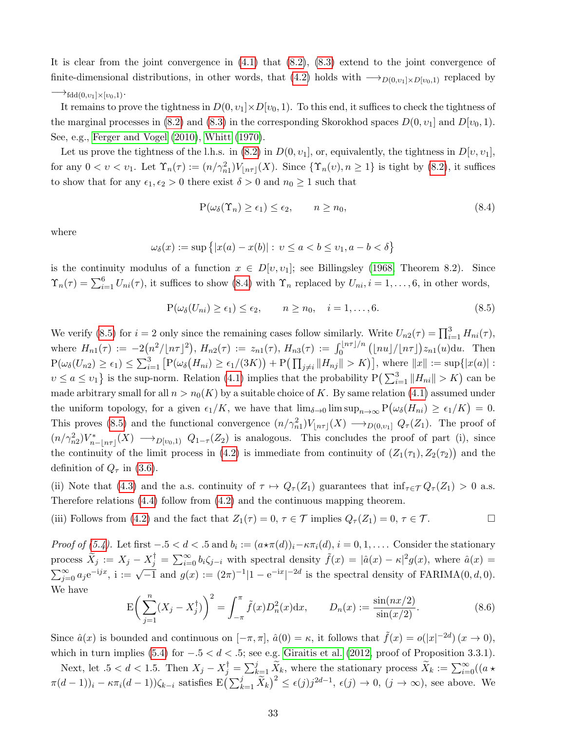It is clear from the joint convergence in  $(4.1)$  that  $(8.2)$ ,  $(8.3)$  extend to the joint convergence of finite-dimensional distributions, in other words, that [\(4.2\)](#page-7-3) holds with  $\rightarrow_{D(0,v_1)\times D(v_0,1)}$  replaced by

#### $\longrightarrow_{\text{fdd}(0,v_1]\times [v_0,1)}$ .

It remains to prove the tightness in  $D(0, v_1] \times D[v_0, 1]$ . To this end, it suffices to check the tightness of the marginal processes in [\(8.2\)](#page-31-2) and [\(8.3\)](#page-31-3) in the corresponding Skorokhod spaces  $D(0, v_1]$  and  $D[v_0, 1)$ . See, e.g., [Ferger and Vogel \(2010\)](#page-37-12), [Whitt \(1970\)](#page-40-3).

Let us prove the tightness of the l.h.s. in [\(8.2\)](#page-31-2) in  $D(0, v_1]$ , or, equivalently, the tightness in  $D[v, v_1]$ , for any  $0 < v < v_1$ . Let  $\Upsilon_n(\tau) := (n/\gamma_{n1}^2)V_{\lfloor n\tau \rfloor}(X)$ . Since  $\{\Upsilon_n(v), n \geq 1\}$  is tight by [\(8.2\)](#page-31-2), it suffices to show that for any  $\epsilon_1, \epsilon_2 > 0$  there exist  $\delta > 0$  and  $n_0 \ge 1$  such that

<span id="page-32-0"></span>
$$
P(\omega_{\delta}(\Upsilon_n) \ge \epsilon_1) \le \epsilon_2, \qquad n \ge n_0,
$$
\n(8.4)

where

$$
\omega_{\delta}(x) := \sup \{|x(a) - x(b)| : v \le a < b \le v_1, a - b < \delta\}
$$

is the continuity modulus of a function  $x \in D[v, v_1]$ ; see Billingsley [\(1968,](#page-37-13) Theorem 8.2). Since  $\Upsilon_n(\tau) = \sum_{i=1}^6 U_{ni}(\tau)$ , it suffices to show [\(8.4\)](#page-32-0) with  $\Upsilon_n$  replaced by  $U_{ni}$ ,  $i = 1, \ldots, 6$ , in other words,

<span id="page-32-1"></span>
$$
P(\omega_{\delta}(U_{ni}) \ge \epsilon_1) \le \epsilon_2, \qquad n \ge n_0, \quad i = 1, ..., 6.
$$
\n
$$
(8.5)
$$

We verify [\(8.5\)](#page-32-1) for  $i = 2$  only since the remaining cases follow similarly. Write  $U_{n2}(\tau) = \prod_{i=1}^{3} H_{ni}(\tau)$ , where  $H_{n1}(\tau) := -2(n^2/[(n\tau)]^2)$ ,  $H_{n2}(\tau) := z_{n1}(\tau)$ ,  $H_{n3}(\tau) := \int_0^{\lfloor n\tau \rfloor/n} (|nu|/[n\tau]) z_{n1}(u) du$ . Then  $P(\omega_{\delta}(U_{n2}) \geq \epsilon_1) \leq \sum_{i=1}^3 \left[ P(\omega_{\delta}(H_{ni}) \geq \epsilon_1/(3K)) + P(\prod_{j \neq i} ||H_{nj}|| > K) \right]$ , where  $||x|| := \sup\{|x(a)| :$  $v \le a \le v_1$  is the sup-norm. Relation [\(4.1\)](#page-7-4) implies that the probability  $P\left(\sum_{i=1}^3 ||H_{ni}|| > K\right)$  can be made arbitrary small for all  $n > n_0(K)$  by a suitable choice of K. By same relation [\(4.1\)](#page-7-4) assumed under the uniform topology, for a given  $\epsilon_1/K$ , we have that  $\lim_{\delta \to 0} \limsup_{n \to \infty} P(\omega_{\delta}(H_{ni}) \ge \epsilon_1/K) = 0$ . This proves [\(8.5\)](#page-32-1) and the functional convergence  $(n/\gamma_{n1}^2)V_{\lfloor n\tau \rfloor}(X) \longrightarrow_{D(0,v_1]} Q_{\tau}(Z_1)$ . The proof of  $(n/\gamma_{n2}^2)V_{n-|n\tau|}^*(X) \longrightarrow_{D[v_0,1)} Q_{1-\tau}(Z_2)$  is analogous. This concludes the proof of part (i), since the continuity of the limit process in [\(4.2\)](#page-7-3) is immediate from continuity of  $(Z_1(\tau_1), Z_2(\tau_2))$  and the definition of  $Q_{\tau}$  in [\(3.6\)](#page-5-5).

(ii) Note that [\(4.3\)](#page-7-6) and the a.s. continuity of  $\tau \mapsto Q_{\tau}(Z_1)$  guarantees that  $\inf_{\tau \in \mathcal{T}} Q_{\tau}(Z_1) > 0$  a.s. Therefore relations [\(4.4\)](#page-7-5) follow from [\(4.2\)](#page-7-3) and the continuous mapping theorem.

(iii) Follows from [\(4.2\)](#page-7-3) and the fact that  $Z_1(\tau) = 0, \tau \in \mathcal{T}$  implies  $Q_\tau(Z_1) = 0, \tau \in \mathcal{T}$ .

Proof of [\(5.4\)](#page-9-3). Let first  $-.5 < d < .5$  and  $b_i := (a \star \pi(d))_i - \kappa \pi_i(d), i = 0, 1, \ldots$  Consider the stationary process  $\widetilde{X}_j := X_j - X_j^{\dagger} = \sum_{i=0}^{\infty} b_i \zeta_{j-i}$  with spectral density  $\widetilde{f}(x) = |\hat{a}(x) - \kappa|^2 g(x)$ , where  $\hat{a}(x) =$  $\sum_{j=0}^{\infty} a_j e^{-ijx}$ ,  $i := \sqrt{-1}$  and  $g(x) := (2\pi)^{-1} |1 - e^{-ix}|^{-2d}$  is the spectral density of FARIMA(0, d, 0). We have

$$
E\left(\sum_{j=1}^{n} (X_j - X_j^{\dagger})\right)^2 = \int_{-\pi}^{\pi} \tilde{f}(x) D_n^2(x) dx, \qquad D_n(x) := \frac{\sin(nx/2)}{\sin(x/2)}.
$$
 (8.6)

Since  $\hat{a}(x)$  is bounded and continuous on  $[-\pi, \pi]$ ,  $\hat{a}(0) = \kappa$ , it follows that  $\tilde{f}(x) = o(|x|^{-2d})$   $(x \to 0)$ , which in turn implies [\(5.4\)](#page-9-3) for  $-0.5 < d < 0.5$ ; see e.g. [Giraitis et al. \(2012,](#page-37-10) proof of Proposition 3.3.1).

Next, let  $0.5 < d < 1.5$ . Then  $X_j - X_j^{\dagger} = \sum_{k=1}^j \widetilde{X}_k$ , where the stationary process  $\widetilde{X}_k := \sum_{i=0}^{\infty} ((a \star \widetilde{X}_k)^2 + (a \star \widetilde{X}_k)^2)$  $\pi(d-1)_{i} - \kappa \pi_{i}(d-1) \zeta_{k-i}$  satisfies  $E\left(\sum_{k=1}^{j} \widetilde{X}_{k}\right)^{2} \le \epsilon(j)j^{2d-1}, \epsilon(j) \to 0, (j \to \infty)$ , see above. We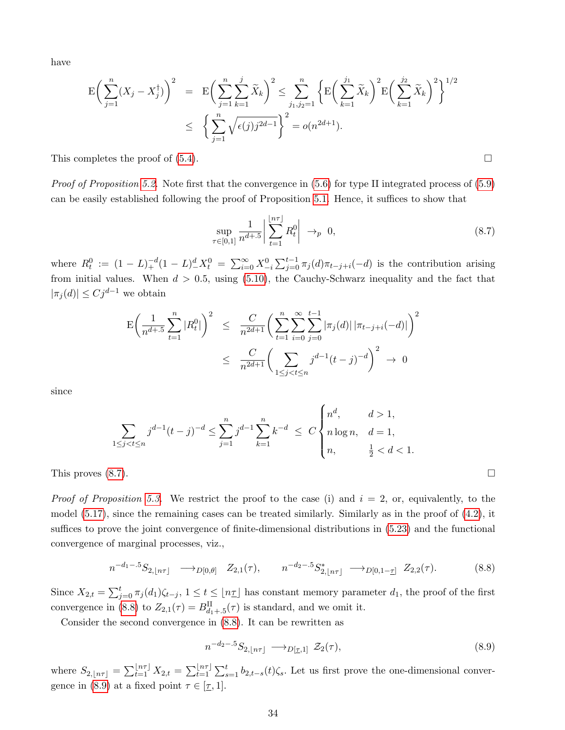have

$$
\mathcal{E}\left(\sum_{j=1}^{n}(X_{j}-X_{j}^{\dagger})\right)^{2} = \mathcal{E}\left(\sum_{j=1}^{n}\sum_{k=1}^{j}\tilde{X}_{k}\right)^{2} \leq \sum_{j_{1},j_{2}=1}^{n}\left\{\mathcal{E}\left(\sum_{k=1}^{j_{1}}\tilde{X}_{k}\right)^{2}\mathcal{E}\left(\sum_{k=1}^{j_{2}}\tilde{X}_{k}\right)^{2}\right\}^{1/2} \leq \left\{\sum_{j=1}^{n}\sqrt{\epsilon(j)j^{2d-1}}\right\}^{2} = o(n^{2d+1}).
$$

This completes the proof of  $(5.4)$ .

*Proof of Proposition [5.2.](#page-10-4)* Note first that the convergence in  $(5.6)$  for type II integrated process of  $(5.9)$ can be easily established following the proof of Proposition [5.1.](#page-9-2) Hence, it suffices to show that

<span id="page-33-0"></span>
$$
\sup_{\tau \in [0,1]} \frac{1}{n^{d+.5}} \left| \sum_{t=1}^{\lfloor n\tau \rfloor} R_t^0 \right| \to_p 0, \tag{8.7}
$$

where  $R_t^0 := (1 - L)_+^{-d} (1 - L)_-^d X_t^0 = \sum_{i=0}^{\infty} X_{-i}^0 \sum_{j=0}^{t-1} \pi_j(d) \pi_{t-j+i}(-d)$  is the contribution arising from initial values. When  $d > 0.5$ , using [\(5.10\)](#page-10-5), the Cauchy-Schwarz inequality and the fact that  $|\pi_j(d)| \leq C j^{d-1}$  we obtain

$$
\mathcal{E}\left(\frac{1}{n^{d+.5}}\sum_{t=1}^{n}|R_{t}^{0}|\right)^{2} \leq \frac{C}{n^{2d+1}}\left(\sum_{t=1}^{n}\sum_{i=0}^{\infty}\sum_{j=0}^{t-1}|\pi_{j}(d)||\pi_{t-j+i}(-d)|\right)^{2}
$$

$$
\leq \frac{C}{n^{2d+1}}\left(\sum_{1\leq j
$$

since

$$
\sum_{1 \le j < t \le n} j^{d-1} (t-j)^{-d} \le \sum_{j=1}^n j^{d-1} \sum_{k=1}^n k^{-d} \le C \begin{cases} n^d, & d > 1, \\ n \log n, & d = 1, \\ n, & \frac{1}{2} < d < 1. \end{cases}
$$

This proves  $(8.7)$ .

*Proof of Proposition [5.3.](#page-14-0)* We restrict the proof to the case (i) and  $i = 2$ , or, equivalently, to the model  $(5.17)$ , since the remaining cases can be treated similarly. Similarly as in the proof of  $(4.2)$ , it suffices to prove the joint convergence of finite-dimensional distributions in [\(5.23\)](#page-14-4) and the functional convergence of marginal processes, viz.,

<span id="page-33-1"></span>
$$
n^{-d_1-5}S_{2,lfn\tau} \longrightarrow_{D[0,\theta]} Z_{2,1}(\tau), \qquad n^{-d_2-5}S_{2,lfn\tau}^* \longrightarrow_{D[0,1-\tau]} Z_{2,2}(\tau). \tag{8.8}
$$

Since  $X_{2,t} = \sum_{j=0}^t \pi_j(d_1)\zeta_{t-j}, 1 \le t \le \lfloor n\tau \rfloor$  has constant memory parameter  $d_1$ , the proof of the first convergence in [\(8.8\)](#page-33-1) to  $Z_{2,1}(\tau) = B_{d_1+1,5}^{\text{II}}(\tau)$  is standard, and we omit it.

Consider the second convergence in [\(8.8\)](#page-33-1). It can be rewritten as

<span id="page-33-2"></span>
$$
n^{-d_2-5}S_{2,\lfloor n\tau \rfloor} \longrightarrow_{D[\underline{\tau},1]} \mathcal{Z}_2(\tau),\tag{8.9}
$$

where  $S_{2,lf}n\tau$  =  $\sum_{t=1}^{\lfloor n\tau \rfloor} X_{2,t} = \sum_{t=1}^{\lfloor n\tau \rfloor} \sum_{s=1}^t b_{2,t-s}(t) \zeta_s$ . Let us first prove the one-dimensional conver-gence in [\(8.9\)](#page-33-2) at a fixed point  $\tau \in [\underline{\tau}, 1]$ .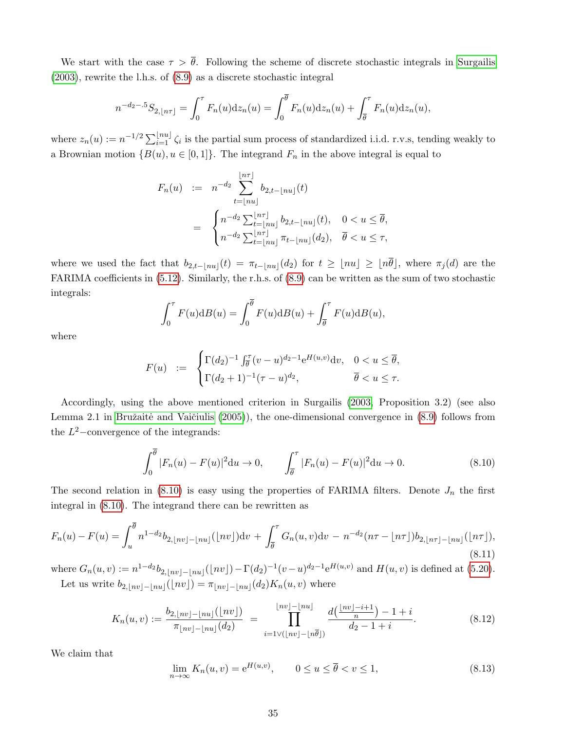We start with the case  $\tau > \bar{\theta}$ . Following the scheme of discrete stochastic integrals in [Surgailis](#page-40-4) [\(2003\)](#page-40-4), rewrite the l.h.s. of [\(8.9\)](#page-33-2) as a discrete stochastic integral

$$
n^{-d_2-5}S_{2, \lfloor n\tau \rfloor} = \int_0^{\tau} F_n(u)dz_n(u) = \int_0^{\overline{\theta}} F_n(u)dz_n(u) + \int_{\overline{\theta}}^{\tau} F_n(u)dz_n(u),
$$

where  $z_n(u) := n^{-1/2} \sum_{i=1}^{\lfloor nu \rfloor} \zeta_i$  is the partial sum process of standardized i.i.d. r.v.s, tending weakly to a Brownian motion  $\{B(u), u \in [0,1]\}$ . The integrand  $F_n$  in the above integral is equal to

$$
F_n(u) := n^{-d_2} \sum_{t=\lfloor nu \rfloor}^{\lfloor n\tau \rfloor} b_{2,t-\lfloor nu \rfloor}(t)
$$
  
= 
$$
\begin{cases} n^{-d_2} \sum_{t=\lfloor nu \rfloor}^{\lfloor n\tau \rfloor} b_{2,t-\lfloor nu \rfloor}(t), & 0 < u \leq \overline{\theta}, \\ n^{-d_2} \sum_{t=\lfloor nu \rfloor}^{\lfloor n\tau \rfloor} \pi_{t-\lfloor nu \rfloor}(d_2), & \overline{\theta} < u \leq \tau, \end{cases}
$$

where we used the fact that  $b_{2,t-|nu|}(t) = \pi_{t-|nu|}(d_2)$  for  $t \geq |nu| \geq |n\theta|$ , where  $\pi_j(d)$  are the FARIMA coefficients in [\(5.12\)](#page-11-1). Similarly, the r.h.s. of [\(8.9\)](#page-33-2) can be written as the sum of two stochastic integrals:

$$
\int_0^{\tau} F(u) \mathrm{d}B(u) = \int_0^{\overline{\theta}} F(u) \mathrm{d}B(u) + \int_{\overline{\theta}}^{\tau} F(u) \mathrm{d}B(u),
$$

where

$$
F(u) \quad := \quad \begin{cases} \Gamma(d_2)^{-1} \int_{\overline{\theta}}^{\tau} (v - u)^{d_2 - 1} e^{H(u, v)} \mathrm{d}v, & 0 < u \leq \overline{\theta}, \\ \Gamma(d_2 + 1)^{-1} (\tau - u)^{d_2}, & \overline{\theta} < u \leq \tau. \end{cases}
$$

Accordingly, using the above mentioned criterion in Surgailis [\(2003,](#page-40-4) Proposition 3.2) (see also Lemma 2.1 in Bružaitė and Vaičiulis (2005)), the one-dimensional convergence in [\(8.9\)](#page-33-2) follows from the  $L^2$ -convergence of the integrands:

<span id="page-34-0"></span>
$$
\int_0^{\overline{\theta}} |F_n(u) - F(u)|^2 du \to 0, \qquad \int_{\overline{\theta}}^{\tau} |F_n(u) - F(u)|^2 du \to 0.
$$
 (8.10)

The second relation in  $(8.10)$  is easy using the properties of FARIMA filters. Denote  $J_n$  the first integral in [\(8.10\)](#page-34-0). The integrand there can be rewritten as

<span id="page-34-2"></span>
$$
F_n(u) - F(u) = \int_u^{\overline{\theta}} n^{1 - d_2} b_{2, \lfloor nv \rfloor - \lfloor nu \rfloor} (\lfloor nv \rfloor) \mathrm{d}v + \int_{\overline{\theta}}^\tau G_n(u, v) \mathrm{d}v - n^{-d_2} (n\tau - \lfloor n\tau \rfloor) b_{2, \lfloor n\tau \rfloor - \lfloor nu \rfloor} (\lfloor n\tau \rfloor),
$$
\n(8.11)

where  $G_n(u, v) := n^{1-d_2} b_{2, \lfloor nv \rfloor - \lfloor nu \rfloor} (\lfloor nv \rfloor) - \Gamma(d_2)^{-1} (v - u)^{d_2 - 1} e^{H(u, v)}$  and  $H(u, v)$  is defined at [\(5.20\)](#page-13-2). Let us write  $b_{2,|nv|-|nu|}(\lfloor nv\rfloor) = \pi_{|nv|-|nu|}(d_2)K_n(u, v)$  where

$$
K_n(u,v) := \frac{b_{2,\lfloor nv \rfloor - \lfloor nu \rfloor}(\lfloor nv \rfloor)}{\pi_{\lfloor nv \rfloor - \lfloor nu \rfloor}(d_2)} = \prod_{i=1 \vee (\lfloor nv \rfloor - \lfloor n\overline{\theta} \rfloor)}^{\lfloor nv \rfloor - \lfloor nu \rfloor} \frac{d(\frac{\lfloor nv \rfloor - i + 1}{n}) - 1 + i}{d_2 - 1 + i}.
$$
 (8.12)

We claim that

<span id="page-34-1"></span>
$$
\lim_{n \to \infty} K_n(u, v) = e^{H(u, v)}, \qquad 0 \le u \le \overline{\theta} < v \le 1,\tag{8.13}
$$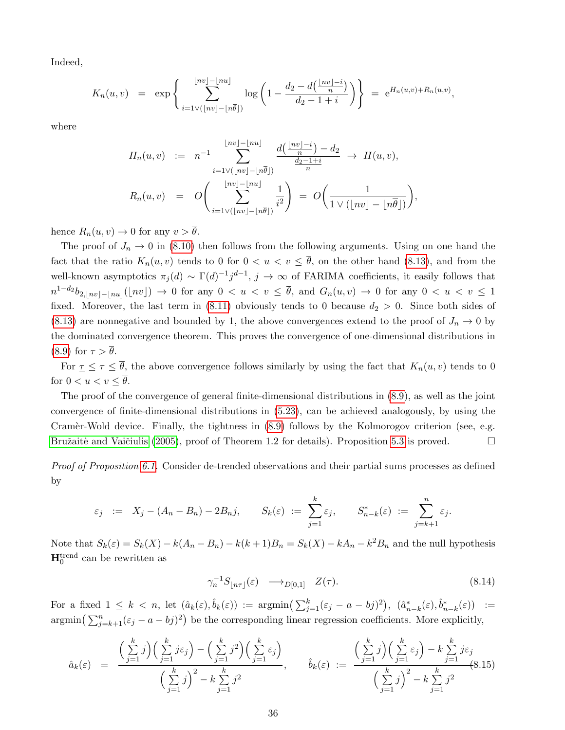Indeed,

$$
K_n(u,v) = \exp\left\{\sum_{i=1 \vee (\lfloor nv \rfloor - \lfloor n\overline{\theta} \rfloor)}^{\lfloor nv \rfloor - \lfloor nu \rfloor} \log\left(1 - \frac{d_2 - d\left(\frac{\lfloor nv \rfloor - i}{n}\right)}{d_2 - 1 + i}\right)\right\} = e^{H_n(u,v) + R_n(u,v)},
$$

where

$$
H_n(u, v) := n^{-1} \sum_{i=1 \vee (\lfloor nv \rfloor - \lfloor n\overline{\theta} \rfloor)}^{\lfloor nv \rfloor - \lfloor nu \rfloor} \frac{d(\frac{\lfloor nv \rfloor - i}{n}) - d_2}{\frac{d_2 - 1 + i}{n}} \to H(u, v),
$$
  

$$
R_n(u, v) = O\left(\sum_{i=1 \vee (\lfloor nv \rfloor - \lfloor n\overline{\theta} \rfloor)}^{\lfloor nv \rfloor - \lfloor nu \rfloor} \frac{1}{i^2}\right) = O\left(\frac{1}{1 \vee (\lfloor nv \rfloor - \lfloor n\overline{\theta} \rfloor)}\right),
$$

hence  $R_n(u, v) \to 0$  for any  $v > \overline{\theta}$ .

The proof of  $J_n \to 0$  in [\(8.10\)](#page-34-0) then follows from the following arguments. Using on one hand the fact that the ratio  $K_n(u, v)$  tends to 0 for  $0 < u < v \leq \overline{\theta}$ , on the other hand [\(8.13\)](#page-34-1), and from the well-known asymptotics  $\pi_j(d) \sim \Gamma(d)^{-1} j^{d-1}$ ,  $j \to \infty$  of FARIMA coefficients, it easily follows that  $n^{1-d_2}b_{2,|nv|-|nu|}(|nv|) \to 0$  for any  $0 < u < v \leq \overline{\theta}$ , and  $G_n(u,v) \to 0$  for any  $0 < u < v \leq 1$ fixed. Moreover, the last term in [\(8.11\)](#page-34-2) obviously tends to 0 because  $d_2 > 0$ . Since both sides of [\(8.13\)](#page-34-1) are nonnegative and bounded by 1, the above convergences extend to the proof of  $J_n \to 0$  by the dominated convergence theorem. This proves the convergence of one-dimensional distributions in [\(8.9\)](#page-33-2) for  $\tau > \overline{\theta}$ .

For  $\underline{\tau} \leq \tau \leq \overline{\theta}$ , the above convergence follows similarly by using the fact that  $K_n(u, v)$  tends to 0 for  $0 < u < v < \overline{\theta}$ .

The proof of the convergence of general finite-dimensional distributions in [\(8.9\)](#page-33-2), as well as the joint convergence of finite-dimensional distributions in [\(5.23\)](#page-14-4), can be achieved analogously, by using the Cramer-Wold device. Finally, the tightness in  $(8.9)$  follows by the Kolmorogov criterion (see, e.g. Bružaitė and Vaičiulis (2005), proof of Theorem 1.2 for details). Proposition [5.3](#page-14-0) is proved.  $\Box$ 

Proof of Proposition [6.1.](#page-16-3) Consider de-trended observations and their partial sums processes as defined by

$$
\varepsilon_j \quad := \quad X_j - (A_n - B_n) - 2B_n j, \qquad S_k(\varepsilon) \quad := \sum_{j=1}^k \varepsilon_j, \qquad S_{n-k}^*(\varepsilon) \quad := \sum_{j=k+1}^n \varepsilon_j.
$$

Note that  $S_k(\varepsilon) = S_k(X) - k(A_n - B_n) - k(k+1)B_n = S_k(X) - kA_n - k^2B_n$  and the null hypothesis  $\mathbf{H}_0^{\text{trend}}$  can be rewritten as

<span id="page-35-0"></span>
$$
\gamma_n^{-1} S_{\lfloor n\tau \rfloor}(\varepsilon) \longrightarrow_{D[0,1]} Z(\tau). \tag{8.14}
$$

For a fixed  $1 \leq k < n$ , let  $(\hat{a}_k(\varepsilon), \hat{b}_k(\varepsilon)) := \operatorname{argmin}(\sum_{j=1}^k (\varepsilon_j - a - b_j)^2), (\hat{a}_{n-k}^*(\varepsilon), \hat{b}_{n-k}^*(\varepsilon)) :=$  $\operatorname{argmin}\left(\sum_{j=k+1}^{n}(\varepsilon_j - a - b_j)^2\right)$  be the corresponding linear regression coefficients. More explicitly,

<span id="page-35-1"></span>
$$
\hat{a}_k(\varepsilon) = \frac{\left(\sum\limits_{j=1}^k j\right)\left(\sum\limits_{j=1}^k j\varepsilon_j\right) - \left(\sum\limits_{j=1}^k j^2\right)\left(\sum\limits_{j=1}^k \varepsilon_j\right)}{\left(\sum\limits_{j=1}^k j\right)^2 - k \sum\limits_{j=1}^k j^2}, \qquad \hat{b}_k(\varepsilon) := \frac{\left(\sum\limits_{j=1}^k j\right)\left(\sum\limits_{j=1}^k \varepsilon_j\right) - k \sum\limits_{j=1}^k j\varepsilon_j}{\left(\sum\limits_{j=1}^k j\right)^2 - k \sum\limits_{j=1}^k j^2}
$$
\n(8.15)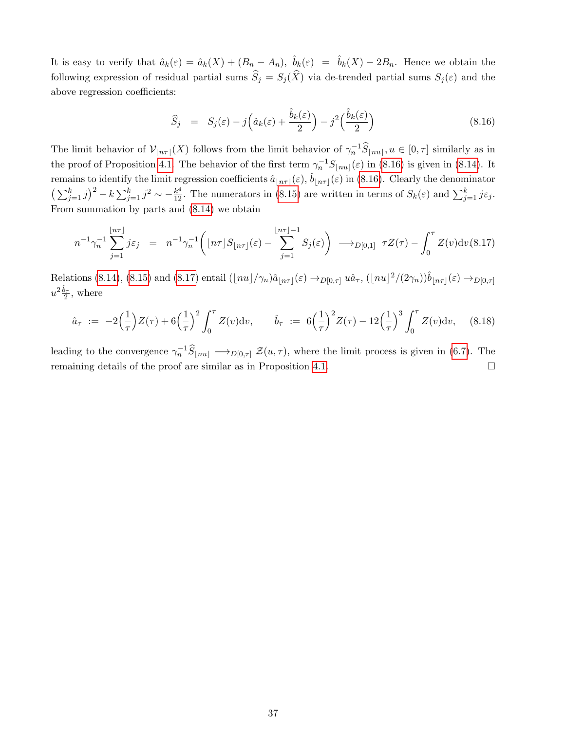It is easy to verify that  $\hat{a}_k(\varepsilon) = \hat{a}_k(X) + (B_n - A_n), \ \hat{b}_k(\varepsilon) = \hat{b}_k(X) - 2B_n$ . Hence we obtain the following expression of residual partial sums  $\widehat{S}_j = S_j(\widehat{X})$  via de-trended partial sums  $S_j(\varepsilon)$  and the above regression coefficients:

<span id="page-36-1"></span>
$$
\widehat{S}_j = S_j(\varepsilon) - j\left(\widehat{a}_k(\varepsilon) + \frac{\widehat{b}_k(\varepsilon)}{2}\right) - j^2\left(\frac{\widehat{b}_k(\varepsilon)}{2}\right)
$$
\n(8.16)

The limit behavior of  $\mathcal{V}_{\lfloor n\tau \rfloor}(X)$  follows from the limit behavior of  $\gamma_n^{-1}\widehat{S}_{\lfloor n\tau \rfloor}, u \in [0, \tau]$  similarly as in the proof of Proposition [4.1.](#page-7-0) The behavior of the first term  $\gamma_n^{-1}S_{\lfloor nu\rfloor}(\varepsilon)$  in [\(8.16\)](#page-36-1) is given in [\(8.14\)](#page-35-0). It remains to identify the limit regression coefficients  $\hat{a}_{n\tau}(\varepsilon), \hat{b}_{n\tau}(\varepsilon)$  in [\(8.16\)](#page-36-1). Clearly the denominator  $\left(\sum_{j=1}^k j\right)^2 - k\sum_{j=1}^k j^2 \sim -\frac{k^4}{12}$ . The numerators in [\(8.15\)](#page-35-1) are written in terms of  $S_k(\varepsilon)$  and  $\sum_{j=1}^k j\varepsilon_j$ . From summation by parts and [\(8.14\)](#page-35-0) we obtain

<span id="page-36-2"></span>
$$
n^{-1}\gamma_n^{-1} \sum_{j=1}^{\lfloor n\tau \rfloor} j\varepsilon_j = n^{-1}\gamma_n^{-1} \bigg( \lfloor n\tau \rfloor S_{\lfloor n\tau \rfloor}(\varepsilon) - \sum_{j=1}^{\lfloor n\tau \rfloor - 1} S_j(\varepsilon) \bigg) \longrightarrow_{D[0,1]} \tau Z(\tau) - \int_0^{\tau} Z(v) \mathrm{d}v(8.17)
$$

Relations [\(8.14\)](#page-35-0), [\(8.15\)](#page-35-1) and [\(8.17\)](#page-36-2) entail  $(\lfloor nu \rfloor / \gamma_n) \hat{a}_{\lfloor n\tau \rfloor}(\varepsilon) \to_{D[0,\tau]} u \hat{a}_{\tau}$ ,  $(\lfloor nu \rfloor^2 / (2\gamma_n)) \hat{b}_{\lfloor n\tau \rfloor}(\varepsilon) \to_{D[0,\tau]} u$  $u^2\frac{\hat{b}_\tau}{2}$ , where

<span id="page-36-0"></span>
$$
\hat{a}_{\tau} := -2\left(\frac{1}{\tau}\right)Z(\tau) + 6\left(\frac{1}{\tau}\right)^2 \int_0^{\tau} Z(v) \mathrm{d}v, \qquad \hat{b}_{\tau} := 6\left(\frac{1}{\tau}\right)^2 Z(\tau) - 12\left(\frac{1}{\tau}\right)^3 \int_0^{\tau} Z(v) \mathrm{d}v, \quad (8.18)
$$

leading to the convergence  $\gamma_n^{-1}\widehat{S}_{\lfloor nu\rfloor} \longrightarrow_{D[0,\tau]} \mathcal{Z}(u,\tau)$ , where the limit process is given in [\(6.7\)](#page-16-2). The remaining details of the proof are similar as in Proposition [4.1.](#page-7-0)  $\Box$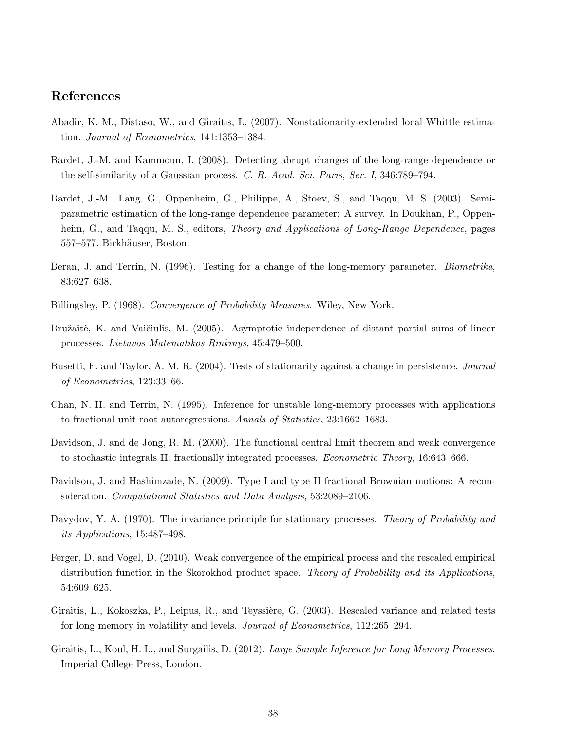# References

- <span id="page-37-5"></span>Abadir, K. M., Distaso, W., and Giraitis, L. (2007). Nonstationarity-extended local Whittle estimation. Journal of Econometrics, 141:1353–1384.
- <span id="page-37-1"></span>Bardet, J.-M. and Kammoun, I. (2008). Detecting abrupt changes of the long-range dependence or the self-similarity of a Gaussian process. C. R. Acad. Sci. Paris, Ser. I, 346:789–794.
- <span id="page-37-4"></span>Bardet, J.-M., Lang, G., Oppenheim, G., Philippe, A., Stoev, S., and Taqqu, M. S. (2003). Semiparametric estimation of the long-range dependence parameter: A survey. In Doukhan, P., Oppenheim, G., and Taqqu, M. S., editors, *Theory and Applications of Long-Range Dependence*, pages 557–577. Birkhäuser, Boston.
- <span id="page-37-0"></span>Beran, J. and Terrin, N. (1996). Testing for a change of the long-memory parameter. *Biometrika*, 83:627–638.
- <span id="page-37-13"></span>Billingsley, P. (1968). Convergence of Probability Measures. Wiley, New York.
- <span id="page-37-8"></span>Bružaitė, K. and Vaičiulis, M. (2005). Asymptotic independence of distant partial sums of linear processes. Lietuvos Matematikos Rinkinys, 45:479–500.
- <span id="page-37-2"></span>Busetti, F. and Taylor, A. M. R. (2004). Tests of stationarity against a change in persistence. *Journal* of Econometrics, 123:33–66.
- <span id="page-37-9"></span>Chan, N. H. and Terrin, N. (1995). Inference for unstable long-memory processes with applications to fractional unit root autoregressions. Annals of Statistics, 23:1662–1683.
- <span id="page-37-6"></span>Davidson, J. and de Jong, R. M. (2000). The functional central limit theorem and weak convergence to stochastic integrals II: fractionally integrated processes. Econometric Theory, 16:643–666.
- <span id="page-37-11"></span>Davidson, J. and Hashimzade, N. (2009). Type I and type II fractional Brownian motions: A reconsideration. Computational Statistics and Data Analysis, 53:2089–2106.
- <span id="page-37-7"></span>Davydov, Y. A. (1970). The invariance principle for stationary processes. *Theory of Probability and* its Applications, 15:487–498.
- <span id="page-37-12"></span>Ferger, D. and Vogel, D. (2010). Weak convergence of the empirical process and the rescaled empirical distribution function in the Skorokhod product space. Theory of Probability and its Applications, 54:609–625.
- <span id="page-37-3"></span>Giraitis, L., Kokoszka, P., Leipus, R., and Teyssière, G. (2003). Rescaled variance and related tests for long memory in volatility and levels. Journal of Econometrics, 112:265–294.
- <span id="page-37-10"></span>Giraitis, L., Koul, H. L., and Surgailis, D. (2012). *Large Sample Inference for Long Memory Processes*. Imperial College Press, London.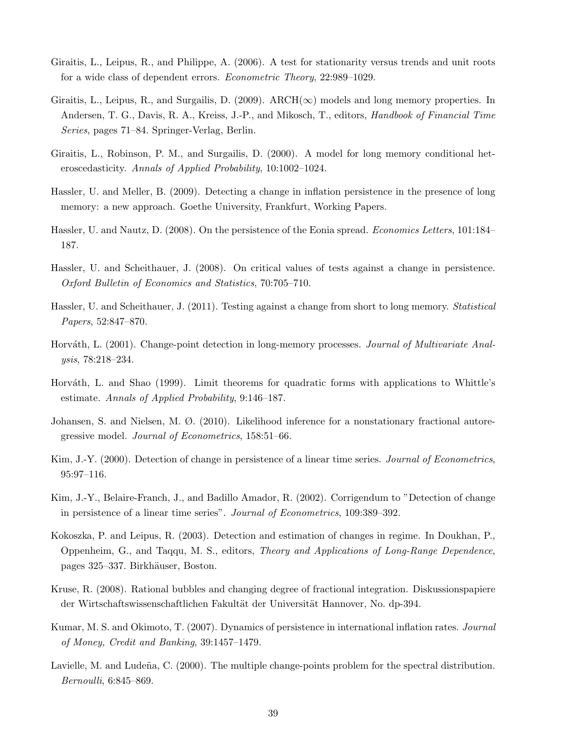- <span id="page-38-13"></span>Giraitis, L., Leipus, R., and Philippe, A. (2006). A test for stationarity versus trends and unit roots for a wide class of dependent errors. Econometric Theory, 22:989–1029.
- <span id="page-38-12"></span>Giraitis, L., Leipus, R., and Surgailis, D. (2009). ARCH( $\infty$ ) models and long memory properties. In Andersen, T. G., Davis, R. A., Kreiss, J.-P., and Mikosch, T., editors, Handbook of Financial Time Series, pages 71–84. Springer-Verlag, Berlin.
- <span id="page-38-11"></span>Giraitis, L., Robinson, P. M., and Surgailis, D. (2000). A model for long memory conditional heteroscedasticity. Annals of Applied Probability, 10:1002–1024.
- <span id="page-38-7"></span>Hassler, U. and Meller, B. (2009). Detecting a change in inflation persistence in the presence of long memory: a new approach. Goethe University, Frankfurt, Working Papers.
- <span id="page-38-1"></span>Hassler, U. and Nautz, D. (2008). On the persistence of the Eonia spread. Economics Letters, 101:184– 187.
- <span id="page-38-15"></span>Hassler, U. and Scheithauer, J. (2008). On critical values of tests against a change in persistence. Oxford Bulletin of Economics and Statistics, 70:705–710.
- <span id="page-38-10"></span>Hassler, U. and Scheithauer, J. (2011). Testing against a change from short to long memory. Statistical Papers, 52:847–870.
- <span id="page-38-4"></span>Horváth, L. (2001). Change-point detection in long-memory processes. Journal of Multivariate Analysis, 78:218–234.
- <span id="page-38-3"></span>Horváth, L. and Shao (1999). Limit theorems for quadratic forms with applications to Whittle's estimate. Annals of Applied Probability, 9:146–187.
- <span id="page-38-14"></span>Johansen, S. and Nielsen, M. Ø. (2010). Likelihood inference for a nonstationary fractional autoregressive model. Journal of Econometrics, 158:51–66.
- <span id="page-38-8"></span>Kim, J.-Y. (2000). Detection of change in persistence of a linear time series. Journal of Econometrics, 95:97–116.
- <span id="page-38-9"></span>Kim, J.-Y., Belaire-Franch, J., and Badillo Amador, R. (2002). Corrigendum to "Detection of change in persistence of a linear time series". Journal of Econometrics, 109:389–392.
- <span id="page-38-6"></span>Kokoszka, P. and Leipus, R. (2003). Detection and estimation of changes in regime. In Doukhan, P., Oppenheim, G., and Taqqu, M. S., editors, Theory and Applications of Long-Range Dependence, pages 325–337. Birkhäuser, Boston.
- <span id="page-38-2"></span>Kruse, R. (2008). Rational bubbles and changing degree of fractional integration. Diskussionspapiere der Wirtschaftswissenschaftlichen Fakultät der Universität Hannover, No. dp-394.
- <span id="page-38-0"></span>Kumar, M. S. and Okimoto, T. (2007). Dynamics of persistence in international inflation rates. Journal of Money, Credit and Banking, 39:1457–1479.
- <span id="page-38-5"></span>Lavielle, M. and Ludeña, C. (2000). The multiple change-points problem for the spectral distribution. Bernoulli, 6:845–869.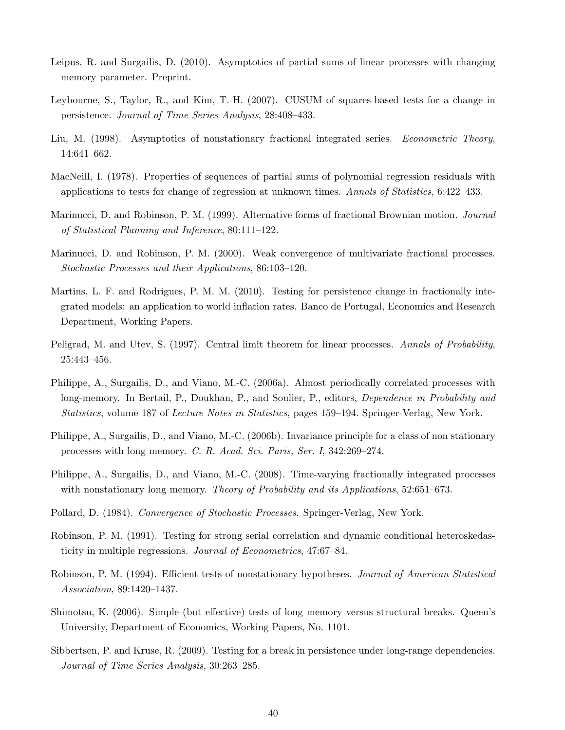- <span id="page-39-11"></span>Leipus, R. and Surgailis, D. (2010). Asymptotics of partial sums of linear processes with changing memory parameter. Preprint.
- <span id="page-39-4"></span>Leybourne, S., Taylor, R., and Kim, T.-H. (2007). CUSUM of squares-based tests for a change in persistence. Journal of Time Series Analysis, 28:408–433.
- <span id="page-39-7"></span>Liu, M. (1998). Asymptotics of nonstationary fractional integrated series. Econometric Theory, 14:641–662.
- <span id="page-39-15"></span>MacNeill, I. (1978). Properties of sequences of partial sums of polynomial regression residuals with applications to tests for change of regression at unknown times. Annals of Statistics, 6:422–433.
- <span id="page-39-9"></span>Marinucci, D. and Robinson, P. M. (1999). Alternative forms of fractional Brownian motion. Journal of Statistical Planning and Inference, 80:111–122.
- <span id="page-39-10"></span>Marinucci, D. and Robinson, P. M. (2000). Weak convergence of multivariate fractional processes. Stochastic Processes and their Applications, 86:103–120.
- <span id="page-39-1"></span>Martins, L. F. and Rodrigues, P. M. M. (2010). Testing for persistence change in fractionally integrated models: an application to world inflation rates. Banco de Portugal, Economics and Research Department, Working Papers.
- <span id="page-39-8"></span>Peligrad, M. and Utev, S. (1997). Central limit theorem for linear processes. Annals of Probability, 25:443–456.
- <span id="page-39-12"></span>Philippe, A., Surgailis, D., and Viano, M.-C. (2006a). Almost periodically correlated processes with long-memory. In Bertail, P., Doukhan, P., and Soulier, P., editors, *Dependence in Probability and* Statistics, volume 187 of Lecture Notes in Statistics, pages 159–194. Springer-Verlag, New York.
- <span id="page-39-13"></span>Philippe, A., Surgailis, D., and Viano, M.-C. (2006b). Invariance principle for a class of non stationary processes with long memory. C. R. Acad. Sci. Paris, Ser. I, 342:269–274.
- <span id="page-39-14"></span>Philippe, A., Surgailis, D., and Viano, M.-C. (2008). Time-varying fractionally integrated processes with nonstationary long memory. Theory of Probability and its Applications, 52:651–673.
- <span id="page-39-6"></span>Pollard, D. (1984). Convergence of Stochastic Processes. Springer-Verlag, New York.
- <span id="page-39-2"></span>Robinson, P. M. (1991). Testing for strong serial correlation and dynamic conditional heteroskedasticity in multiple regressions. Journal of Econometrics, 47:67–84.
- <span id="page-39-3"></span>Robinson, P. M. (1994). Efficient tests of nonstationary hypotheses. Journal of American Statistical Association, 89:1420–1437.
- <span id="page-39-0"></span>Shimotsu, K. (2006). Simple (but effective) tests of long memory versus structural breaks. Queen's University, Department of Economics, Working Papers, No. 1101.
- <span id="page-39-5"></span>Sibbertsen, P. and Kruse, R. (2009). Testing for a break in persistence under long-range dependencies. Journal of Time Series Analysis, 30:263–285.